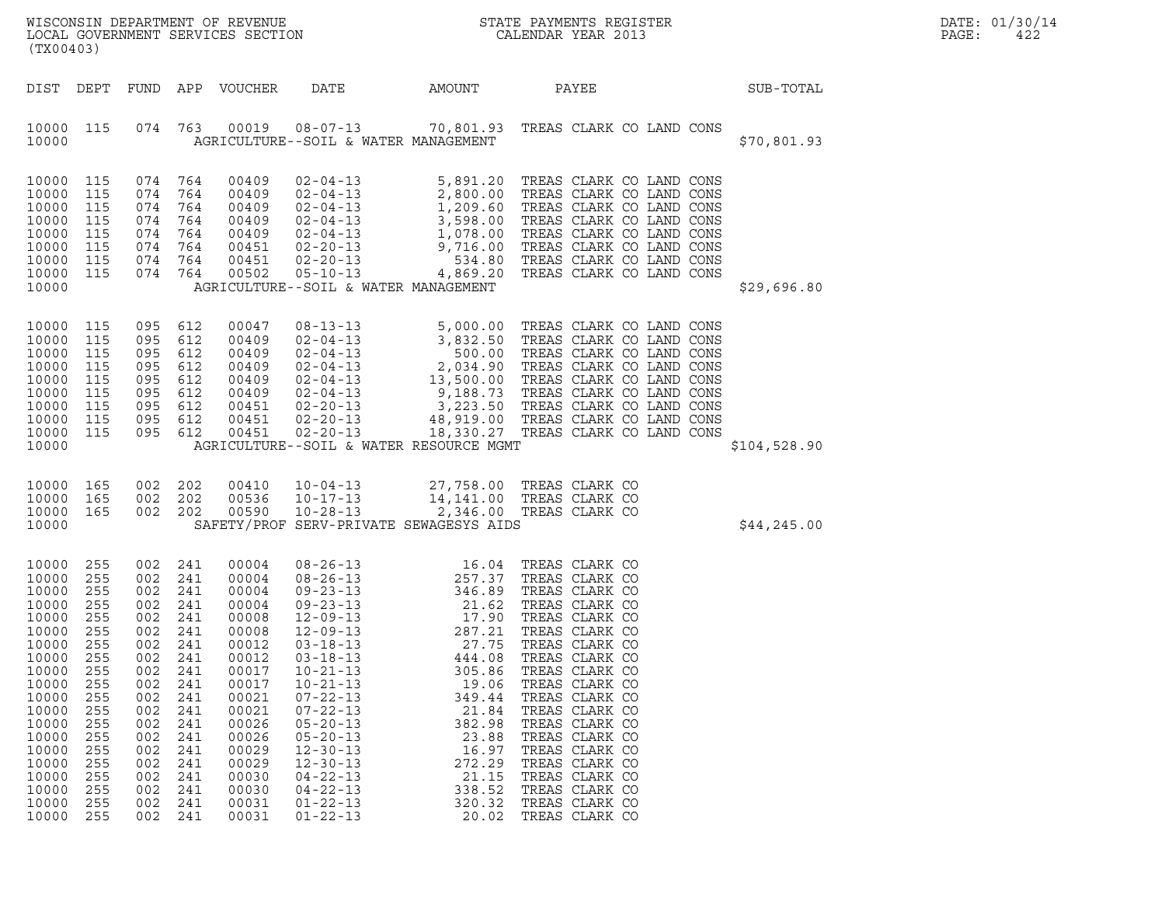| (TX00403)                                                                                                                                                                        |                                                                                                                                          |                                                                                                                                          |                                                                                                                                          | LOCAL GOVERNMENT SERVICES SECTION                                                                                                                                                |                                                                                                                                                                                                                                                                                                                                                                                        |                                                                                                                                                                                            | $\tt WISCONSIM DEPARTMENT OF REVENUE$ $\tt WISCONSIM EN THE BAYMENTS REGISTERLOCAL GOVERNMENT SERVICES SECTION CALENDAR YEAR 2013$                                                                                                                                                                                                                                   |              | DATE: 01/30/14<br>PAGE:<br>422 |
|----------------------------------------------------------------------------------------------------------------------------------------------------------------------------------|------------------------------------------------------------------------------------------------------------------------------------------|------------------------------------------------------------------------------------------------------------------------------------------|------------------------------------------------------------------------------------------------------------------------------------------|----------------------------------------------------------------------------------------------------------------------------------------------------------------------------------|----------------------------------------------------------------------------------------------------------------------------------------------------------------------------------------------------------------------------------------------------------------------------------------------------------------------------------------------------------------------------------------|--------------------------------------------------------------------------------------------------------------------------------------------------------------------------------------------|----------------------------------------------------------------------------------------------------------------------------------------------------------------------------------------------------------------------------------------------------------------------------------------------------------------------------------------------------------------------|--------------|--------------------------------|
| DIST DEPT                                                                                                                                                                        |                                                                                                                                          |                                                                                                                                          |                                                                                                                                          | FUND APP VOUCHER                                                                                                                                                                 | DATE                                                                                                                                                                                                                                                                                                                                                                                   | AMOUNT                                                                                                                                                                                     | PAYEE                                                                                                                                                                                                                                                                                                                                                                | SUB-TOTAL    |                                |
| 10000 115<br>10000                                                                                                                                                               |                                                                                                                                          | 074 763                                                                                                                                  |                                                                                                                                          |                                                                                                                                                                                  | AGRICULTURE--SOIL & WATER MANAGEMENT                                                                                                                                                                                                                                                                                                                                                   |                                                                                                                                                                                            | 00019  08-07-13  70,801.93  TREAS CLARK CO LAND CONS                                                                                                                                                                                                                                                                                                                 | \$70,801.93  |                                |
| 10000<br>10000<br>10000<br>10000<br>10000<br>10000<br>10000<br>10000 115<br>10000                                                                                                | 115<br>115<br>115<br>115<br>115<br>115<br>115                                                                                            | 074<br>074<br>074<br>074<br>074<br>074<br>074<br>074 764                                                                                 | 764<br>764<br>764<br>764<br>764<br>764<br>764                                                                                            | 00409<br>00409<br>00409<br>00409<br>00409<br>00451<br>00451<br>00502                                                                                                             | $05 - 10 - 13$<br>AGRICULTURE--SOIL & WATER MANAGEMENT                                                                                                                                                                                                                                                                                                                                 |                                                                                                                                                                                            | 3,891.20 TREAS CLARK CO LAND CONS<br>02-04-13<br>2,800.00 TREAS CLARK CO LAND CONS<br>02-04-13<br>3,598.00 TREAS CLARK CO LAND CONS<br>02-04-13<br>1,078.00 TREAS CLARK CO LAND CONS<br>02-20-13<br>9,716.00 TREAS CLARK CO LAND CONS<br>02-20-1<br>4,869.20 TREAS CLARK CO LAND CONS                                                                                | \$29,696.80  |                                |
| 10000<br>10000<br>10000<br>10000<br>10000<br>10000<br>10000<br>10000<br>10000<br>10000                                                                                           | 115<br>115<br>115<br>115<br>115<br>115<br>115<br>115<br>115                                                                              | 095<br>095<br>095<br>095<br>095<br>095<br>095<br>095<br>095 612                                                                          | 612<br>612<br>612<br>612<br>612<br>612<br>612<br>612                                                                                     | 00047<br>00409<br>00409<br>00409<br>00409<br>00409<br>00451<br>00451<br>00451                                                                                                    | $02 - 20 - 13$<br>$02 - 20 - 13$<br>AGRICULTURE--SOIL & WATER RESOURCE MGMT                                                                                                                                                                                                                                                                                                            |                                                                                                                                                                                            | 08-13-13<br>02-04-13<br>3,832.50 TREAS CLARK CO LAND CONS<br>02-04-13<br>500.00 TREAS CLARK CO LAND CONS<br>02-04-13<br>2,034.90 TREAS CLARK CO LAND CONS<br>02-04-13<br>9,188.73 TREAS CLARK CO LAND CONS<br>02-04-13<br>9,188.73 TREAS CLARK CO<br>48,919.00 TREAS CLARK CO LAND CONS<br>18,330.27 TREAS CLARK CO LAND CONS                                        | \$104,528.90 |                                |
| 10000<br>10000<br>10000 165<br>10000                                                                                                                                             | 165<br>165                                                                                                                               | 002<br>002<br>002 202                                                                                                                    | 202<br>202                                                                                                                               | 00410<br>00536<br>00590                                                                                                                                                          | $10 - 04 - 13$<br>$10 - 17 - 13$<br>$10 - 28 - 13$<br>SAFETY/PROF SERV-PRIVATE SEWAGESYS AIDS                                                                                                                                                                                                                                                                                          |                                                                                                                                                                                            | 27,758.00 TREAS CLARK CO<br>14,141.00 TREAS CLARK CO<br>$2,346.00$ TREAS CLARK CO                                                                                                                                                                                                                                                                                    | \$44,245.00  |                                |
| 10000<br>10000<br>10000<br>10000<br>10000<br>10000<br>10000<br>10000<br>10000<br>10000<br>10000<br>10000<br>10000<br>10000<br>10000<br>10000<br>10000<br>10000<br>10000<br>10000 | 255<br>255<br>255<br>255<br>255<br>255<br>255<br>255<br>255<br>255<br>255<br>255<br>255<br>255<br>255<br>255<br>255<br>255<br>255<br>255 | 002<br>002<br>002<br>002<br>002<br>002<br>002<br>002<br>002<br>002<br>002<br>002<br>002<br>002<br>002<br>002<br>002<br>002<br>002<br>002 | 241<br>241<br>241<br>241<br>241<br>241<br>241<br>241<br>241<br>241<br>241<br>241<br>241<br>241<br>241<br>241<br>241<br>241<br>241<br>241 | 00004<br>00004<br>00004<br>00004<br>00008<br>00008<br>00012<br>00012<br>00017<br>00017<br>00021<br>00021<br>00026<br>00026<br>00029<br>00029<br>00030<br>00030<br>00031<br>00031 | $08 - 26 - 13$<br>$08 - 26 - 13$<br>$09 - 23 - 13$<br>$09 - 23 - 13$<br>$12 - 09 - 13$<br>$12 - 09 - 13$<br>$12 - 09 - 13$<br>$03 - 18 - 13$<br>$03 - 18 - 13$<br>$10 - 21 - 13$<br>$10 - 21 - 13$<br>$07 - 22 - 13$<br>$07 - 22 - 13$<br>$05 - 20 - 13$<br>$05 - 20 - 13$<br>$12 - 30 - 13$<br>$12 - 30 - 13$<br>$04 - 22 - 13$<br>$04 - 22 - 13$<br>$01 - 22 - 13$<br>$01 - 22 - 13$ | 16.04<br>257.37<br>346.89<br>21.62<br>17.90<br>287.21<br>27.75<br>444.08<br>305.86<br>19.06<br>349.44<br>21.84<br>382.98<br>23.88<br>16.97<br>272.29<br>21.15<br>338.52<br>320.32<br>20.02 | TREAS CLARK CO<br>TREAS CLARK CO<br>TREAS CLARK CO<br>TREAS CLARK CO<br>TREAS CLARK CO<br>TREAS CLARK CO<br>TREAS CLARK CO<br>TREAS CLARK CO<br>TREAS CLARK CO<br>TREAS CLARK CO<br>TREAS CLARK CO<br>TREAS CLARK CO<br>TREAS CLARK CO<br>TREAS CLARK CO<br>TREAS CLARK CO<br>TREAS CLARK CO<br>TREAS CLARK CO<br>TREAS CLARK CO<br>TREAS CLARK CO<br>TREAS CLARK CO |              |                                |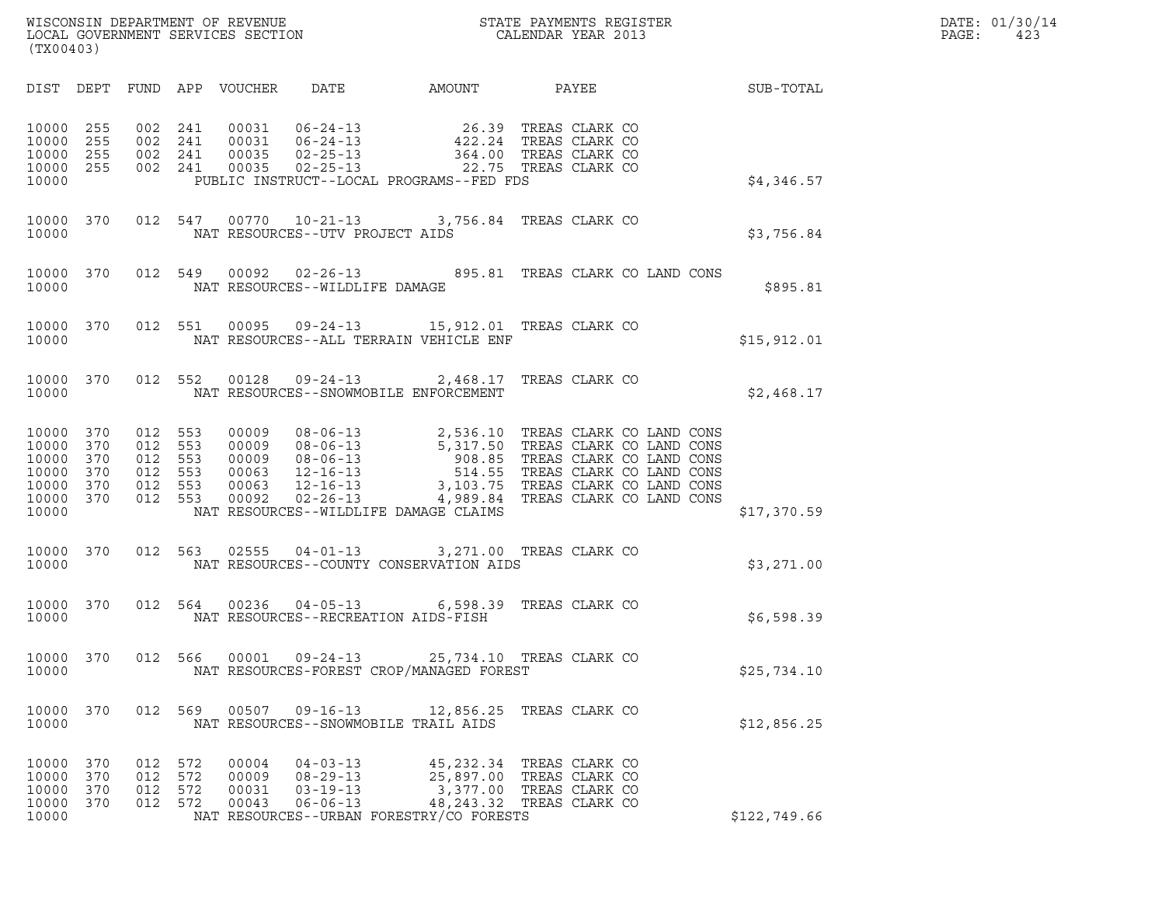| WISCONSIN DEPARTMENT OF REVENUE<br>LOCAL GOVERNMENT SERVICES SECTION<br>(TX00403) | STATE PAYMENTS REGISTER<br>CALENDAR YEAR 2013 | DATE: 01/30/14<br>PAGE:<br>423 |
|-----------------------------------------------------------------------------------|-----------------------------------------------|--------------------------------|

| (TX00403)                                                   |                                        |                                        |                                        |                                                    |                                                                      |                                                                                                                                                                                |                                                                      |              |
|-------------------------------------------------------------|----------------------------------------|----------------------------------------|----------------------------------------|----------------------------------------------------|----------------------------------------------------------------------|--------------------------------------------------------------------------------------------------------------------------------------------------------------------------------|----------------------------------------------------------------------|--------------|
|                                                             |                                        |                                        |                                        |                                                    |                                                                      | DIST DEPT FUND APP VOUCHER DATE AMOUNT PAYEE                                                                                                                                   |                                                                      | SUB-TOTAL    |
| 10000<br>10000<br>10000<br>10000<br>10000                   | 255<br>255<br>255<br>255               | 002<br>002<br>002                      | 241<br>241<br>241<br>002 241           | 00031<br>00031<br>00035<br>00035                   |                                                                      | 06-24-13 26.39 TREAS CLARK CO<br>06-24-13 422.24 TREAS CLARK CO<br>02-25-13 364.00 TREAS CLARK CO<br>02-25-13 22.75 TREAS CLARK CO<br>PUBLIC INSTRUCT--LOCAL PROGRAMS--FED FDS |                                                                      | \$4,346.57   |
| 10000                                                       |                                        |                                        |                                        |                                                    | NAT RESOURCES--UTV PROJECT AIDS                                      | 10000 370 012 547 00770 10-21-13 3,756.84 TREAS CLARK CO                                                                                                                       |                                                                      | \$3,756.84   |
| 10000                                                       |                                        | 10000 370 012 549                      |                                        |                                                    | NAT RESOURCES--WILDLIFE DAMAGE                                       | 00092  02-26-13  895.81  TREAS CLARK CO LAND CONS                                                                                                                              |                                                                      | \$895.81     |
| 10000                                                       |                                        | 10000 370 012 551                      |                                        |                                                    |                                                                      | 00095  09-24-13  15,912.01  TREAS CLARK CO<br>NAT RESOURCES--ALL TERRAIN VEHICLE ENF                                                                                           |                                                                      | \$15,912.01  |
| 10000                                                       |                                        |                                        |                                        |                                                    |                                                                      | 10000 370 012 552 00128 09-24-13 2,468.17 TREAS CLARK CO<br>NAT RESOURCES--SNOWMOBILE ENFORCEMENT                                                                              |                                                                      | \$2,468.17   |
| 10000<br>10000<br>10000<br>10000<br>10000<br>10000<br>10000 | 370<br>370<br>370<br>370<br>370<br>370 | 012<br>012<br>012<br>012<br>012<br>012 | 553<br>553<br>553<br>553<br>553<br>553 | 00009<br>00009<br>00009<br>00063<br>00063<br>00092 |                                                                      | NAT RESOURCES--WILDLIFE DAMAGE CLAIMS                                                                                                                                          |                                                                      | \$17,370.59  |
| 10000<br>10000                                              | 370                                    | 012                                    |                                        | 563 02555                                          |                                                                      | 04-01-13 3,271.00 TREAS CLARK CO<br>NAT RESOURCES--COUNTY CONSERVATION AIDS                                                                                                    |                                                                      | \$3,271.00   |
| 10000<br>10000                                              | 370                                    |                                        |                                        |                                                    | NAT RESOURCES--RECREATION AIDS-FISH                                  | 012 564 00236 04-05-13 6,598.39 TREAS CLARK CO                                                                                                                                 |                                                                      | \$6,598.39   |
| 10000<br>10000                                              | 370                                    |                                        |                                        |                                                    |                                                                      | 012 566 00001 09-24-13 25,734.10 TREAS CLARK CO<br>NAT RESOURCES-FOREST CROP/MANAGED FOREST                                                                                    |                                                                      | \$25,734.10  |
| 10000<br>10000                                              | 370                                    | 012                                    | 569                                    | 00507                                              | NAT RESOURCES--SNOWMOBILE TRAIL AIDS                                 | $09-16-13$ 12,856.25                                                                                                                                                           | TREAS CLARK CO                                                       | \$12,856.25  |
| 10000<br>10000<br>10000<br>10000<br>10000                   | 370<br>370<br>370<br>370               | 012<br>012<br>012<br>012               | 572<br>572<br>572<br>572               | 00004<br>00009<br>00031<br>00043                   | $04 - 03 - 13$<br>$08 - 29 - 13$<br>$03 - 19 - 13$<br>$06 - 06 - 13$ | 45,232.34<br>25,897.00<br>3,377.00<br>48,243.32<br>NAT RESOURCES--URBAN FORESTRY/CO FORESTS                                                                                    | TREAS CLARK CO<br>TREAS CLARK CO<br>TREAS CLARK CO<br>TREAS CLARK CO | \$122,749.66 |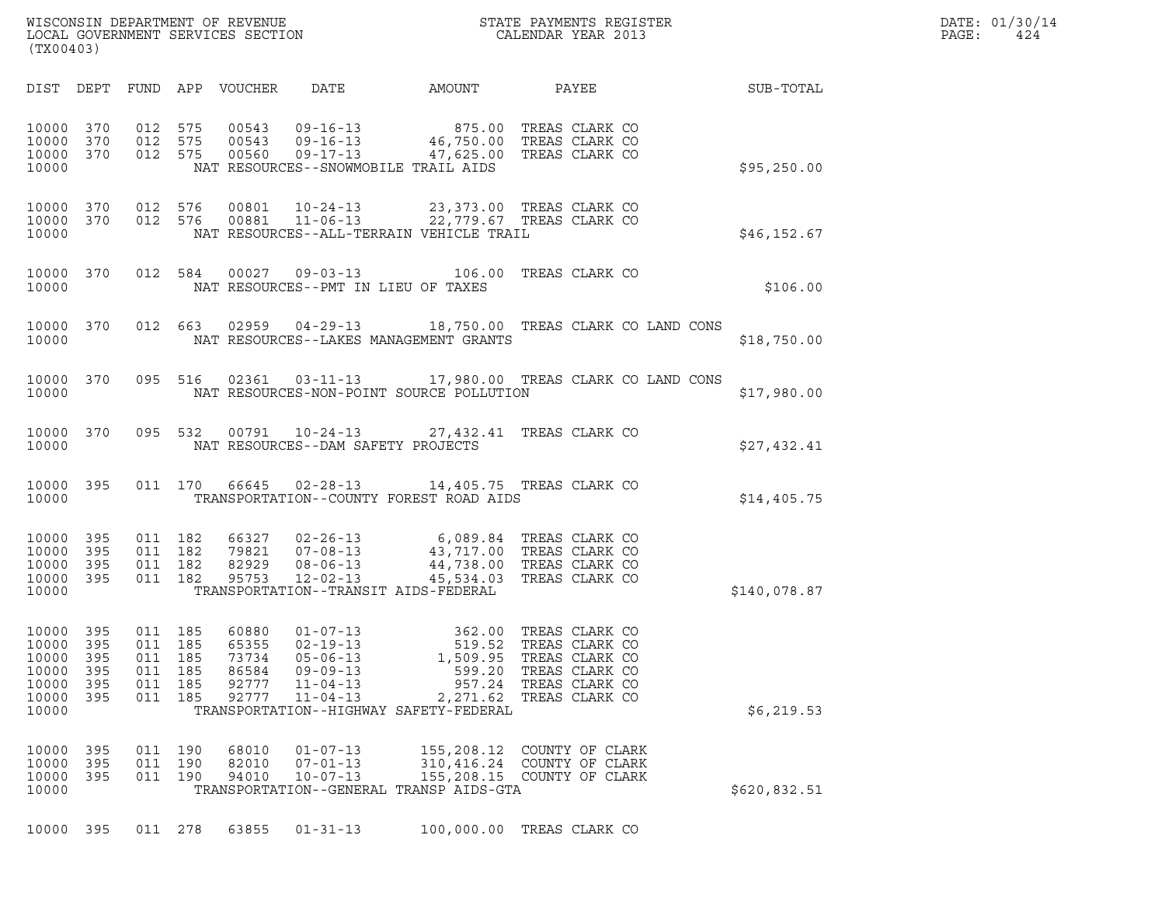| (TX00403)                                                       |                                 |                                     |                                     | LOCAL GOVERNMENT SERVICES SECTION                  |                                                                                                    |                                                                                                                                   |                                                                                               |              | DATE: 01/30/14<br>PAGE:<br>424 |
|-----------------------------------------------------------------|---------------------------------|-------------------------------------|-------------------------------------|----------------------------------------------------|----------------------------------------------------------------------------------------------------|-----------------------------------------------------------------------------------------------------------------------------------|-----------------------------------------------------------------------------------------------|--------------|--------------------------------|
|                                                                 |                                 |                                     |                                     | DIST DEPT FUND APP VOUCHER                         | DATE                                                                                               | AMOUNT                                                                                                                            | PAYEE                                                                                         | SUB-TOTAL    |                                |
| 10000 370<br>10000 370<br>10000 370<br>10000                    |                                 |                                     | 012 575<br>012 575<br>012 575       | 00543<br>00543<br>00560                            |                                                                                                    | 09-16-13 875.00<br>09-16-13 46,750.00 TREAS CLARK CO<br>09-17-13 47,625.00 TREAS CLARK CO<br>NAT RESOURCES--SNOWMOBILE TRAIL AIDS | TREAS CLARK CO                                                                                | \$95,250.00  |                                |
| 10000 370<br>10000 370<br>10000                                 |                                 |                                     | 012 576<br>012 576                  | 00801<br>00881                                     | 10-24-13<br>$11 - 06 - 13$                                                                         | NAT RESOURCES--ALL-TERRAIN VEHICLE TRAIL                                                                                          | 23,373.00 TREAS CLARK CO<br>22,779.67 TREAS CLARK CO                                          | \$46, 152.67 |                                |
| 10000 370<br>10000                                              |                                 |                                     | 012 584                             | 00027                                              | $09 - 03 - 13$                                                                                     | NAT RESOURCES--PMT IN LIEU OF TAXES                                                                                               | 106.00 TREAS CLARK CO                                                                         | \$106.00     |                                |
| 10000 370<br>10000                                              |                                 |                                     | 012 663                             |                                                    |                                                                                                    | NAT RESOURCES--LAKES MANAGEMENT GRANTS                                                                                            | 02959  04-29-13  18,750.00  TREAS CLARK CO LAND CONS                                          | \$18,750.00  |                                |
| 10000 370<br>10000                                              |                                 |                                     | 095 516                             |                                                    |                                                                                                    | NAT RESOURCES-NON-POINT SOURCE POLLUTION                                                                                          | 02361  03-11-13  17,980.00  TREAS CLARK CO LAND CONS                                          | \$17,980.00  |                                |
| 10000 370<br>10000                                              |                                 |                                     | 095 532                             |                                                    | NAT RESOURCES--DAM SAFETY PROJECTS                                                                 | 00791  10-24-13  27,432.41  TREAS CLARK CO                                                                                        |                                                                                               | \$27,432.41  |                                |
| 10000 395<br>10000                                              |                                 |                                     | 011 170                             | 66645                                              | $02 - 28 - 13$                                                                                     | TRANSPORTATION--COUNTY FOREST ROAD AIDS                                                                                           | 14,405.75 TREAS CLARK CO                                                                      | \$14,405.75  |                                |
| 10000<br>10000<br>10000<br>10000 395<br>10000                   | 395<br>395<br>395               | 011 182                             | 011 182<br>011 182<br>011 182       | 66327<br>79821<br>82929<br>95753                   | $07 - 08 - 13$<br>$08 - 06 - 13$<br>$12 - 02 - 13$                                                 | 02-26-13 6,089.84 TREAS CLARK CO<br>TRANSPORTATION--TRANSIT AIDS-FEDERAL                                                          | 43,717.00 TREAS CLARK CO<br>44,738.00 TREAS CLARK CO<br>45,534.03 TREAS CLARK CO              | \$140,078.87 |                                |
| 10000 395<br>10000<br>10000<br>10000<br>10000<br>10000<br>10000 | 395<br>395<br>395<br>395<br>395 | 011<br>011<br>011<br>011<br>011 185 | 011 185<br>185<br>185<br>185<br>185 | 60880<br>65355<br>73734<br>86584<br>92777<br>92777 | 01-07-13<br>$02 - 19 - 13$<br>$05 - 06 - 13$<br>$09 - 09 - 13$<br>$11 - 04 - 13$<br>$11 - 04 - 13$ | 362.00 TREAS CLARK CO<br>519.52<br>1,509.95<br>599.20<br>2,271.62<br>TRANSPORTATION--HIGHWAY SAFETY-FEDERAL                       | TREAS CLARK CO<br>TREAS CLARK CO<br>TREAS CLARK CO<br>957.24 TREAS CLARK CO<br>TREAS CLARK CO | \$6, 219.53  |                                |
| 10000<br>10000<br>10000<br>10000                                | 395<br>395<br>395               | 011                                 | 011 190<br>190<br>011 190           | 68010<br>82010<br>94010                            | $01 - 07 - 13$<br>$07 - 01 - 13$<br>$10 - 07 - 13$                                                 | 155,208.12<br>TRANSPORTATION--GENERAL TRANSP AIDS-GTA                                                                             | COUNTY OF CLARK<br>310,416.24 COUNTY OF CLARK<br>155,208.15 COUNTY OF CLARK                   | \$620,832.51 |                                |
| 10000                                                           | 395                             |                                     | 011 278                             | 63855                                              | $01 - 31 - 13$                                                                                     |                                                                                                                                   | 100,000.00 TREAS CLARK CO                                                                     |              |                                |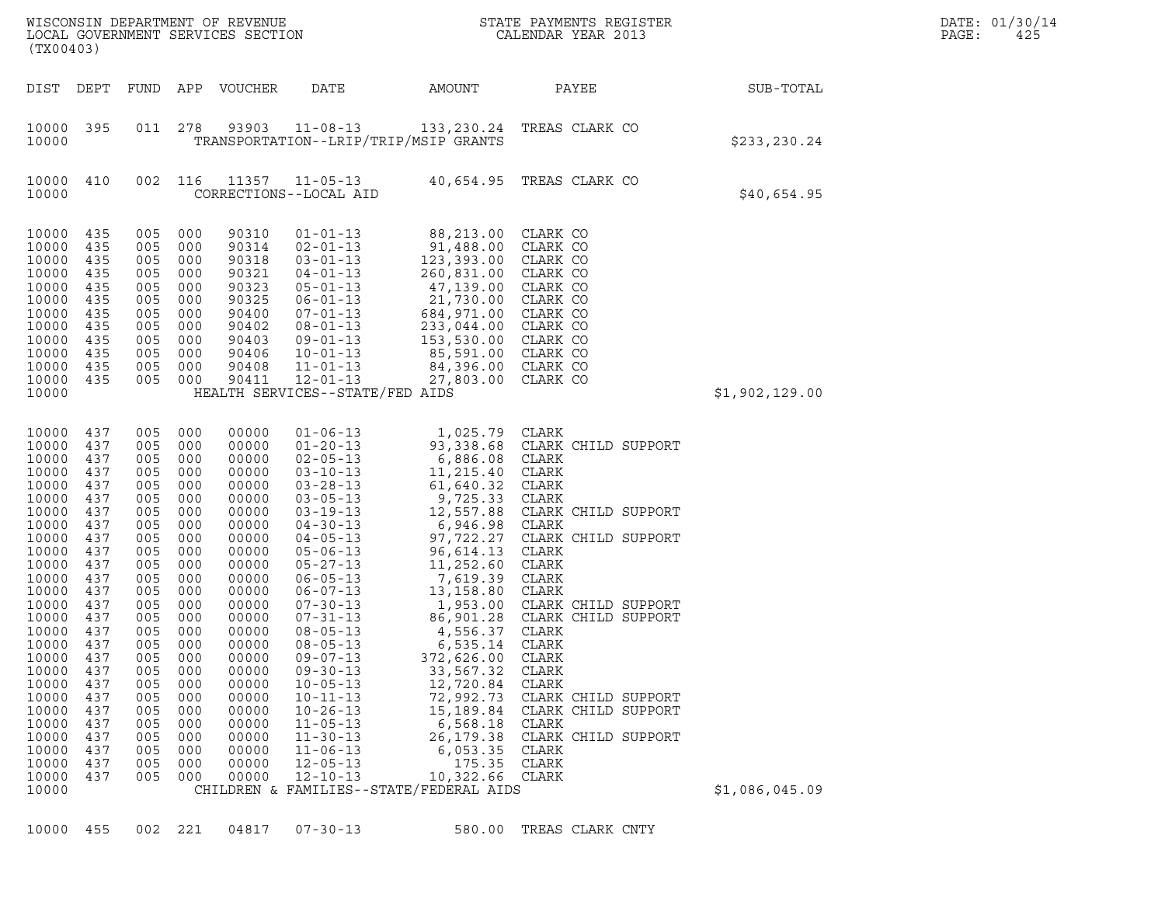| DEPT<br>FUND<br>APP<br>VOUCHER<br>DATE<br>AMOUNT<br>PAYEE<br>SUB-TOTAL<br>278<br>93903<br>$11 - 08 - 13$<br>133, 230.24 TREAS CLARK CO<br>011<br>TRANSPORTATION--LRIP/TRIP/MSIP GRANTS<br>\$233,230.24<br>410<br>002<br>116<br>11357 11-05-13<br>40,654.95<br>TREAS CLARK CO<br>CORRECTIONS--LOCAL AID<br>\$40,654.95<br>435<br>005<br>000<br>$01 - 01 - 13$<br>88,213.00<br>CLARK CO<br>90310<br>435<br>005<br>000<br>90314<br>$02 - 01 - 13$<br>91,488.00<br>CLARK CO<br>435<br>005<br>000<br>90318<br>$03 - 01 - 13$<br>123,393.00<br>CLARK CO<br>005<br>000<br>90321<br>$04 - 01 - 13$<br>$260, 831.00$<br>47,139.00<br>CLARK CO<br>435<br>435<br>005<br>000<br>90323<br>$05 - 01 - 13$<br>CLARK CO<br>005<br>000<br>90325<br>$06 - 01 - 13$<br>$21,730.00$<br>684.077<br>CLARK CO<br>435<br>435<br>005<br>000<br>90400<br>CLARK CO<br>$07 - 01 - 13$<br>005<br>000<br>90402<br>$08 - 01 - 13$<br>233,044.00<br>CLARK CO<br>435<br>435<br>005<br>000<br>90403<br>$09 - 01 - 13$<br>153,530.00<br>CLARK CO<br>000<br>90406<br>$10 - 01 - 13$<br>85,591.00<br>CLARK CO<br>435<br>005<br>005<br>000<br>90408<br>$11 - 01 - 13$<br>84,396.00<br>CLARK CO<br>435<br>435<br>005<br>000<br>90411<br>$12 - 01 - 13$<br>CLARK CO<br>27,803.00<br>HEALTH SERVICES--STATE/FED AIDS<br>\$1,902,129.00<br>437<br>005<br>000<br>00000<br>1,025.79<br>CLARK<br>$01 - 06 - 13$<br>437<br>005<br>000<br>00000<br>$01 - 20 - 13$<br>93,338.68<br>CLARK CHILD SUPPORT<br>005<br>000<br>00000<br>$02 - 05 - 13$<br>6,886.08<br>CLARK<br>437<br>005<br>000<br>00000<br>$03 - 10 - 13$<br>11,215.40<br>CLARK<br>437<br>437<br>005<br>000<br>00000<br>$03 - 28 - 13$<br>61,640.32<br>CLARK<br>437<br>005<br>000<br>00000<br>$03 - 05 - 13$<br>9,725.33<br>CLARK<br>005<br>000<br>00000<br>$03 - 19 - 13$<br>12,557.88<br>CLARK CHILD SUPPORT<br>437<br>437<br>005<br>000<br>00000<br>$04 - 30 - 13$<br>6,946.98<br>CLARK<br>005<br>000<br>00000<br>$04 - 05 - 13$<br>97,722.27<br>CLARK CHILD SUPPORT<br>437<br>437<br>005<br>000<br>00000<br>96,614.13<br>CLARK<br>$05 - 06 - 13$<br>005<br>000<br>00000<br>$05 - 27 - 13$<br>11,252.60<br>CLARK<br>437<br>005<br>000<br>7,619.39<br>CLARK<br>437<br>00000<br>$06 - 05 - 13$<br>000<br>$06 - 07 - 13$<br>13,158.80<br>CLARK<br>437<br>005<br>00000<br>000<br>1,953.00<br>CLARK CHILD SUPPORT<br>437<br>005<br>00000<br>$07 - 30 - 13$<br>CLARK CHILD SUPPORT<br>437<br>005<br>000<br>00000<br>07-31-13<br>86,901.28<br>005<br>000<br>00000<br>4,556.37<br>$08 - 05 - 13$<br>CLARK<br>437<br>005<br>000<br>00000<br>$08 - 05 - 13$<br>6,535.14<br>CLARK<br>437<br>000<br>372,626.00<br>CLARK<br>005<br>00000<br>$09 - 07 - 13$<br>437<br>005<br>000<br>00000<br>$09 - 30 - 13$<br>33,567.32<br>CLARK<br>437<br>005<br>000<br>00000<br>$10 - 05 - 13$<br>12,720.84<br>CLARK<br>005<br>000<br>00000<br>$10 - 11 - 13$<br>72,992.73<br>CLARK CHILD SUPPORT<br>437<br>005<br>000<br>$10 - 26 - 13$<br>15,189.84<br>CLARK CHILD SUPPORT<br>437<br>00000<br>000<br>$11 - 05 - 13$<br>6,568.18<br>CLARK<br>437<br>005<br>00000<br>000<br>$11 - 30 - 13$<br>26, 179. 38<br>CLARK CHILD SUPPORT<br>437<br>005<br>00000<br>00000<br>$11 - 06 - 13$<br>6,053.35<br>CLARK<br>437<br>005<br>000 | (TX00403)                                                                                                |     |     |     | WISCONSIN DEPARTMENT OF REVENUE<br>LOCAL GOVERNMENT SERVICES SECTION |                | STATE PAYMENTS REGISTER<br>CALENDAR YEAR 2013 |       |  | DATE: 01/30/14<br>PAGE:<br>425 |
|-----------------------------------------------------------------------------------------------------------------------------------------------------------------------------------------------------------------------------------------------------------------------------------------------------------------------------------------------------------------------------------------------------------------------------------------------------------------------------------------------------------------------------------------------------------------------------------------------------------------------------------------------------------------------------------------------------------------------------------------------------------------------------------------------------------------------------------------------------------------------------------------------------------------------------------------------------------------------------------------------------------------------------------------------------------------------------------------------------------------------------------------------------------------------------------------------------------------------------------------------------------------------------------------------------------------------------------------------------------------------------------------------------------------------------------------------------------------------------------------------------------------------------------------------------------------------------------------------------------------------------------------------------------------------------------------------------------------------------------------------------------------------------------------------------------------------------------------------------------------------------------------------------------------------------------------------------------------------------------------------------------------------------------------------------------------------------------------------------------------------------------------------------------------------------------------------------------------------------------------------------------------------------------------------------------------------------------------------------------------------------------------------------------------------------------------------------------------------------------------------------------------------------------------------------------------------------------------------------------------------------------------------------------------------------------------------------------------------------------------------------------------------------------------------------------------------------------------------------------------------------------------------------------------------------------------------------------------------------------------------------------------------------------------------------------------------------------------------------------------------------------------------------------------------------------------------------------------|----------------------------------------------------------------------------------------------------------|-----|-----|-----|----------------------------------------------------------------------|----------------|-----------------------------------------------|-------|--|--------------------------------|
| 10000 395<br>10000<br>10000<br>10000<br>10000<br>10000                                                                                                                                                                                                                                                                                                                                                                                                                                                                                                                                                                                                                                                                                                                                                                                                                                                                                                                                                                                                                                                                                                                                                                                                                                                                                                                                                                                                                                                                                                                                                                                                                                                                                                                                                                                                                                                                                                                                                                                                                                                                                                                                                                                                                                                                                                                                                                                                                                                                                                                                                                                                                                                                                                                                                                                                                                                                                                                                                                                                                                                                                                                                                          | DIST                                                                                                     |     |     |     |                                                                      |                |                                               |       |  |                                |
| 10000                                                                                                                                                                                                                                                                                                                                                                                                                                                                                                                                                                                                                                                                                                                                                                                                                                                                                                                                                                                                                                                                                                                                                                                                                                                                                                                                                                                                                                                                                                                                                                                                                                                                                                                                                                                                                                                                                                                                                                                                                                                                                                                                                                                                                                                                                                                                                                                                                                                                                                                                                                                                                                                                                                                                                                                                                                                                                                                                                                                                                                                                                                                                                                                                           | 10000                                                                                                    |     |     |     |                                                                      |                |                                               |       |  |                                |
|                                                                                                                                                                                                                                                                                                                                                                                                                                                                                                                                                                                                                                                                                                                                                                                                                                                                                                                                                                                                                                                                                                                                                                                                                                                                                                                                                                                                                                                                                                                                                                                                                                                                                                                                                                                                                                                                                                                                                                                                                                                                                                                                                                                                                                                                                                                                                                                                                                                                                                                                                                                                                                                                                                                                                                                                                                                                                                                                                                                                                                                                                                                                                                                                                 |                                                                                                          |     |     |     |                                                                      |                |                                               |       |  |                                |
| 10000<br>10000<br>10000<br>10000<br>10000<br>10000<br>10000<br>10000<br>10000<br>10000<br>10000<br>10000<br>10000<br>10000<br>10000 437<br>10000<br>10000<br>10000<br>10000<br>10000<br>10000<br>10000                                                                                                                                                                                                                                                                                                                                                                                                                                                                                                                                                                                                                                                                                                                                                                                                                                                                                                                                                                                                                                                                                                                                                                                                                                                                                                                                                                                                                                                                                                                                                                                                                                                                                                                                                                                                                                                                                                                                                                                                                                                                                                                                                                                                                                                                                                                                                                                                                                                                                                                                                                                                                                                                                                                                                                                                                                                                                                                                                                                                          | 10000<br>10000<br>10000<br>10000<br>10000<br>10000<br>10000<br>10000<br>10000<br>10000<br>10000<br>10000 |     |     |     |                                                                      |                |                                               |       |  |                                |
| 005<br>000<br>00000<br>$12 - 10 - 13$<br>10,322.66<br>CLARK<br>10000<br>437<br>\$1,086,045.09<br>10000<br>CHILDREN & FAMILIES--STATE/FEDERAL AIDS                                                                                                                                                                                                                                                                                                                                                                                                                                                                                                                                                                                                                                                                                                                                                                                                                                                                                                                                                                                                                                                                                                                                                                                                                                                                                                                                                                                                                                                                                                                                                                                                                                                                                                                                                                                                                                                                                                                                                                                                                                                                                                                                                                                                                                                                                                                                                                                                                                                                                                                                                                                                                                                                                                                                                                                                                                                                                                                                                                                                                                                               | 10000                                                                                                    | 437 | 005 | 000 | 00000                                                                | $12 - 05 - 13$ | 175.35                                        | CLARK |  |                                |

10000 455 002 221 04817 07-30-13 580.00 TREAS CLARK CNTY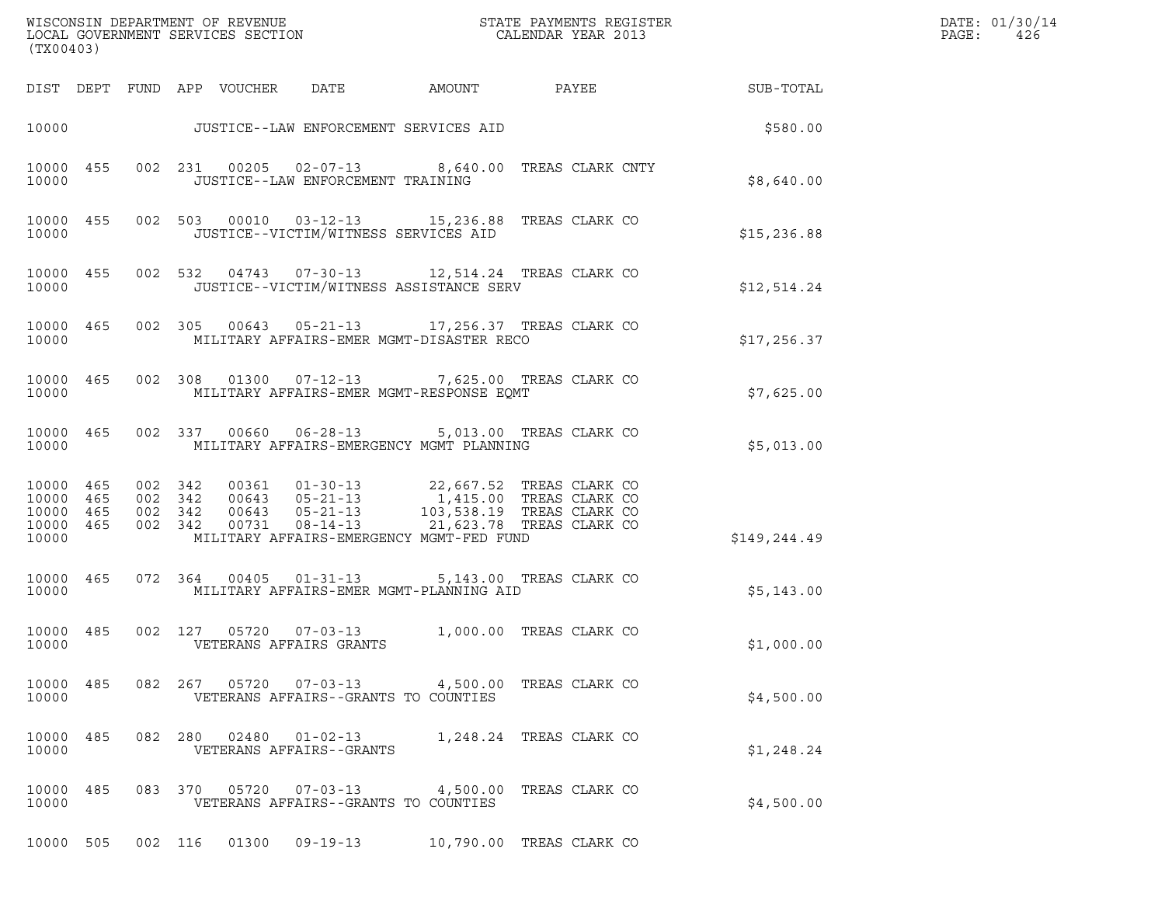| (TX00403)                                                 |           |                                          |                            |                                      |                                                                                                                                                                                                                              |                          |                  | DATE: 01/30/14<br>PAGE:<br>426 |
|-----------------------------------------------------------|-----------|------------------------------------------|----------------------------|--------------------------------------|------------------------------------------------------------------------------------------------------------------------------------------------------------------------------------------------------------------------------|--------------------------|------------------|--------------------------------|
|                                                           |           |                                          | DIST DEPT FUND APP VOUCHER | DATE                                 | AMOUNT                                                                                                                                                                                                                       | PAYEE                    | <b>SUB-TOTAL</b> |                                |
|                                                           |           |                                          |                            |                                      | 10000 JUSTICE--LAW ENFORCEMENT SERVICES AID                                                                                                                                                                                  |                          | \$580.00         |                                |
| 10000                                                     | 10000 455 |                                          |                            | JUSTICE--LAW ENFORCEMENT TRAINING    | 002 231 00205 02-07-13 8,640.00 TREAS CLARK CNTY                                                                                                                                                                             |                          | \$8,640.00       |                                |
| 10000                                                     | 10000 455 |                                          |                            | JUSTICE--VICTIM/WITNESS SERVICES AID | 002 503 00010 03-12-13 15,236.88 TREAS CLARK CO                                                                                                                                                                              |                          | \$15,236.88      |                                |
| 10000                                                     | 10000 455 |                                          |                            |                                      | 002 532 04743 07-30-13 12,514.24 TREAS CLARK CO<br>JUSTICE--VICTIM/WITNESS ASSISTANCE SERV                                                                                                                                   |                          | \$12,514.24      |                                |
| 10000                                                     | 10000 465 |                                          |                            |                                      | 002 305 00643 05-21-13 17,256.37 TREAS CLARK CO<br>MILITARY AFFAIRS-EMER MGMT-DISASTER RECO                                                                                                                                  |                          | \$17,256.37      |                                |
| 10000                                                     | 10000 465 |                                          |                            |                                      | 002 308 01300 07-12-13 7,625.00 TREAS CLARK CO<br>MILITARY AFFAIRS-EMER MGMT-RESPONSE EQMT                                                                                                                                   |                          | \$7,625.00       |                                |
| 10000                                                     | 10000 465 |                                          |                            |                                      | 002 337 00660 06-28-13 5,013.00 TREAS CLARK CO<br>MILITARY AFFAIRS-EMERGENCY MGMT PLANNING                                                                                                                                   |                          | \$5,013.00       |                                |
| 10000 465<br>10000 465<br>10000 465<br>10000 465<br>10000 |           | 002 342<br>002 342<br>002 342<br>002 342 |                            |                                      | 00361  01-30-13  22,667.52 TREAS CLARK CO<br>00643  05-21-13  1,415.00 TREAS CLARK CO<br>00643  05-21-13  103,538.19 TREAS CLARK CO<br>00731  08-14-13  21,623.78 TREAS CLARK CO<br>MILITARY AFFAIRS-EMERGENCY MGMT-FED FUND |                          | \$149,244.49     |                                |
| 10000                                                     | 10000 465 |                                          | 072 364 00405              |                                      | 01-31-13 5,143.00 TREAS CLARK CO<br>MILITARY AFFAIRS-EMER MGMT-PLANNING AID                                                                                                                                                  |                          | \$5,143.00       |                                |
| 10000 485<br>10000                                        |           |                                          |                            | VETERANS AFFAIRS GRANTS              | 002 127 05720 07-03-13 1,000.00 TREAS CLARK CO                                                                                                                                                                               |                          | \$1,000.00       |                                |
| 10000                                                     | 10000 485 |                                          |                            | VETERANS AFFAIRS--GRANTS TO COUNTIES | 082  267  05720  07-03-13  4,500.00 TREAS CLARK CO                                                                                                                                                                           |                          | \$4,500.00       |                                |
| 10000 485<br>10000                                        |           |                                          |                            | VETERANS AFFAIRS--GRANTS             | 082  280  02480  01-02-13  1,248.24  TREAS CLARK CO                                                                                                                                                                          |                          | \$1,248.24       |                                |
| 10000 485<br>10000                                        |           |                                          |                            | VETERANS AFFAIRS--GRANTS TO COUNTIES | 083 370 05720 07-03-13 4,500.00 TREAS CLARK CO                                                                                                                                                                               |                          | \$4,500.00       |                                |
| 10000 505                                                 |           | 002 116                                  | 01300                      | $09 - 19 - 13$                       |                                                                                                                                                                                                                              | 10,790.00 TREAS CLARK CO |                  |                                |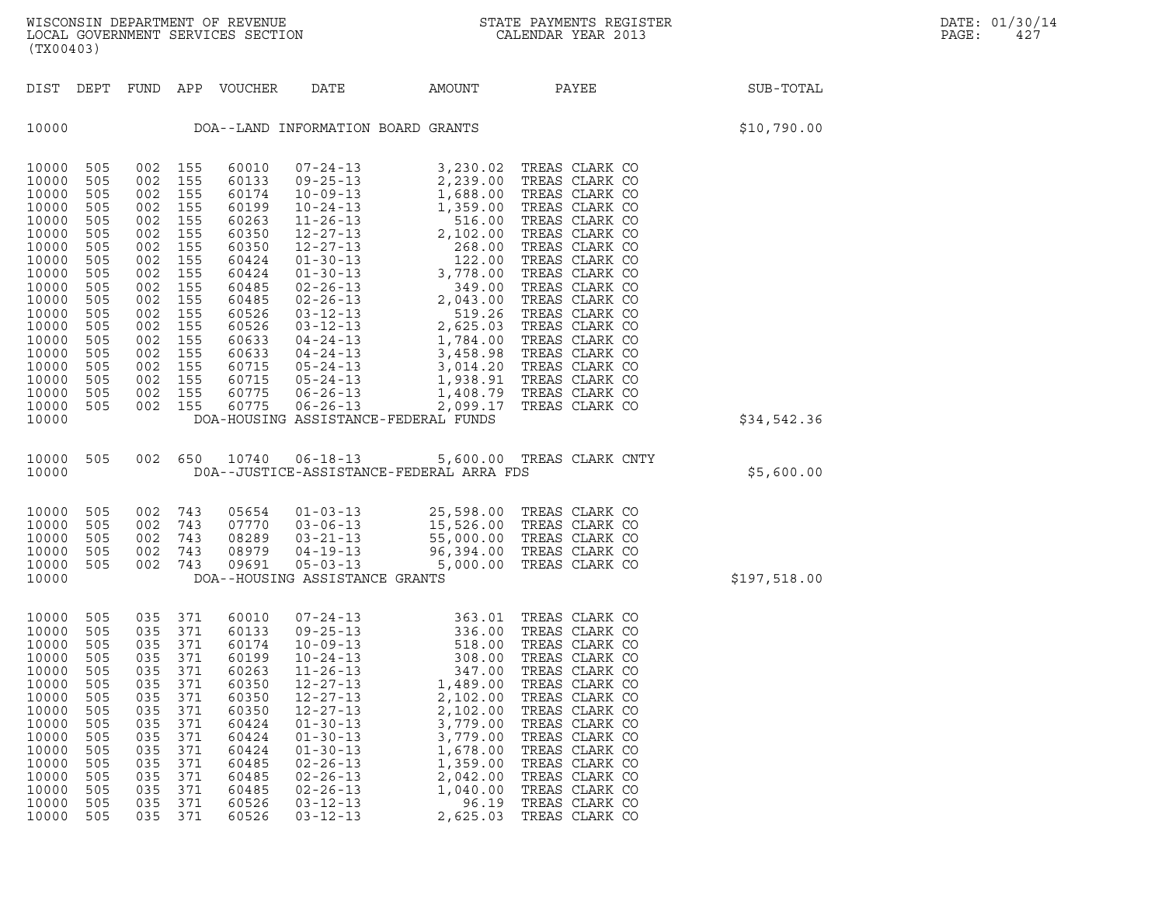| (TX00403)                                                                                                                                                                        |                                                                                                                                   |                                                                                                |                                                                                                                                                                                                               |                                                                                                                                              |                                                                                                                                                                                                                                                                      |                                                                                                                                                                                               |                                                                                                                                                                                                                                                                                   |                  | DATE: 01/30/14<br>PAGE:<br>427 |
|----------------------------------------------------------------------------------------------------------------------------------------------------------------------------------|-----------------------------------------------------------------------------------------------------------------------------------|------------------------------------------------------------------------------------------------|---------------------------------------------------------------------------------------------------------------------------------------------------------------------------------------------------------------|----------------------------------------------------------------------------------------------------------------------------------------------|----------------------------------------------------------------------------------------------------------------------------------------------------------------------------------------------------------------------------------------------------------------------|-----------------------------------------------------------------------------------------------------------------------------------------------------------------------------------------------|-----------------------------------------------------------------------------------------------------------------------------------------------------------------------------------------------------------------------------------------------------------------------------------|------------------|--------------------------------|
|                                                                                                                                                                                  |                                                                                                                                   |                                                                                                |                                                                                                                                                                                                               | DIST DEPT FUND APP VOUCHER                                                                                                                   | DATE                                                                                                                                                                                                                                                                 | AMOUNT                                                                                                                                                                                        | PAYEE                                                                                                                                                                                                                                                                             | <b>SUB-TOTAL</b> |                                |
| 10000                                                                                                                                                                            |                                                                                                                                   |                                                                                                |                                                                                                                                                                                                               |                                                                                                                                              |                                                                                                                                                                                                                                                                      | DOA--LAND INFORMATION BOARD GRANTS                                                                                                                                                            |                                                                                                                                                                                                                                                                                   | \$10,790.00      |                                |
| 10000<br>10000<br>10000<br>10000<br>10000<br>10000<br>10000<br>10000<br>10000<br>10000<br>10000<br>10000<br>10000<br>10000<br>10000<br>10000<br>10000<br>10000<br>10000<br>10000 | 505<br>505<br>505<br>505<br>505<br>505<br>505<br>505<br>505<br>505<br>505<br>505<br>505<br>505<br>505<br>505<br>505<br>505<br>505 |                                                                                                | 002 155<br>002 155<br>002 155<br>002 155<br>002 155<br>002 155<br>002 155<br>002 155<br>002 155<br>002 155<br>002 155<br>002 155<br>002 155<br>002 155<br>002 155<br>002 155<br>002 155<br>002 155<br>002 155 |                                                                                                                                              |                                                                                                                                                                                                                                                                      | DOA-HOUSING ASSISTANCE-FEDERAL FUNDS                                                                                                                                                          |                                                                                                                                                                                                                                                                                   | \$34,542.36      |                                |
| 10000 505<br>10000                                                                                                                                                               |                                                                                                                                   |                                                                                                |                                                                                                                                                                                                               |                                                                                                                                              |                                                                                                                                                                                                                                                                      | DOA--JUSTICE-ASSISTANCE-FEDERAL ARRA FDS                                                                                                                                                      | 002 650 10740 06-18-13 5,600.00 TREAS CLARK CNTY                                                                                                                                                                                                                                  | \$5,600.00       |                                |
| 10000<br>10000<br>10000<br>10000<br>10000<br>10000                                                                                                                               | 505<br>505<br>505<br>505<br>505                                                                                                   |                                                                                                | 002 743<br>002 743<br>002 743<br>002 743<br>002 743                                                                                                                                                           | 05654<br>07770<br>08289<br>08979<br>09691                                                                                                    | DOA--HOUSING ASSISTANCE GRANTS                                                                                                                                                                                                                                       | 01-03-13<br>03-06-13<br>03-06-13<br>03-21-13<br>55,000.00 TREAS CLARK CO<br>04-19-13<br>05-03-13<br>05-03-13<br>05-03-13<br>05-03-13<br>05-03-13<br>05-03-13<br>05-03-13                      |                                                                                                                                                                                                                                                                                   | \$197,518.00     |                                |
| 10000<br>10000 505<br>10000<br>10000<br>10000<br>10000<br>10000<br>10000<br>10000<br>10000<br>10000<br>10000<br>10000<br>10000<br>10000<br>10000                                 | 505<br>505<br>505<br>505<br>505<br>505<br>505<br>505<br>505<br>505<br>505<br>505<br>505<br>505<br>505                             | 035<br>035<br>035<br>035<br>035<br>035<br>035<br>035<br>035<br>035<br>035<br>035<br>035<br>035 | 035 371<br>035 371<br>371<br>371<br>371<br>371<br>371<br>371<br>371<br>371<br>371<br>371<br>371<br>371<br>371<br>371                                                                                          | 60010<br>60133<br>60174<br>60199<br>60263<br>60350<br>60350<br>60350<br>60424<br>60424<br>60424<br>60485<br>60485<br>60485<br>60526<br>60526 | 09-25-13<br>$10 - 09 - 13$<br>$10 - 24 - 13$<br>$11 - 26 - 13$<br>$12 - 27 - 13$<br>$12 - 27 - 13$<br>$12 - 27 - 13$<br>$01 - 30 - 13$<br>$01 - 30 - 13$<br>$01 - 30 - 13$<br>$02 - 26 - 13$<br>$02 - 26 - 13$<br>$02 - 26 - 13$<br>$03 - 12 - 13$<br>$03 - 12 - 13$ | 07-24-13 363.01 TREAS CLARK CO<br>518.00<br>308.00<br>347.00<br>1,489.00<br>2,102.00<br>2,102.00<br>3,779.00<br>3,779.00<br>1,678.00<br>1,359.00<br>2,042.00<br>1,040.00<br>96.19<br>2,625.03 | 336.00 TREAS CLARK CO<br>TREAS CLARK CO<br>TREAS CLARK CO<br>TREAS CLARK CO<br>TREAS CLARK CO<br>TREAS CLARK CO<br>TREAS CLARK CO<br>TREAS CLARK CO<br>TREAS CLARK CO<br>TREAS CLARK CO<br>TREAS CLARK CO<br>TREAS CLARK CO<br>TREAS CLARK CO<br>TREAS CLARK CO<br>TREAS CLARK CO |                  |                                |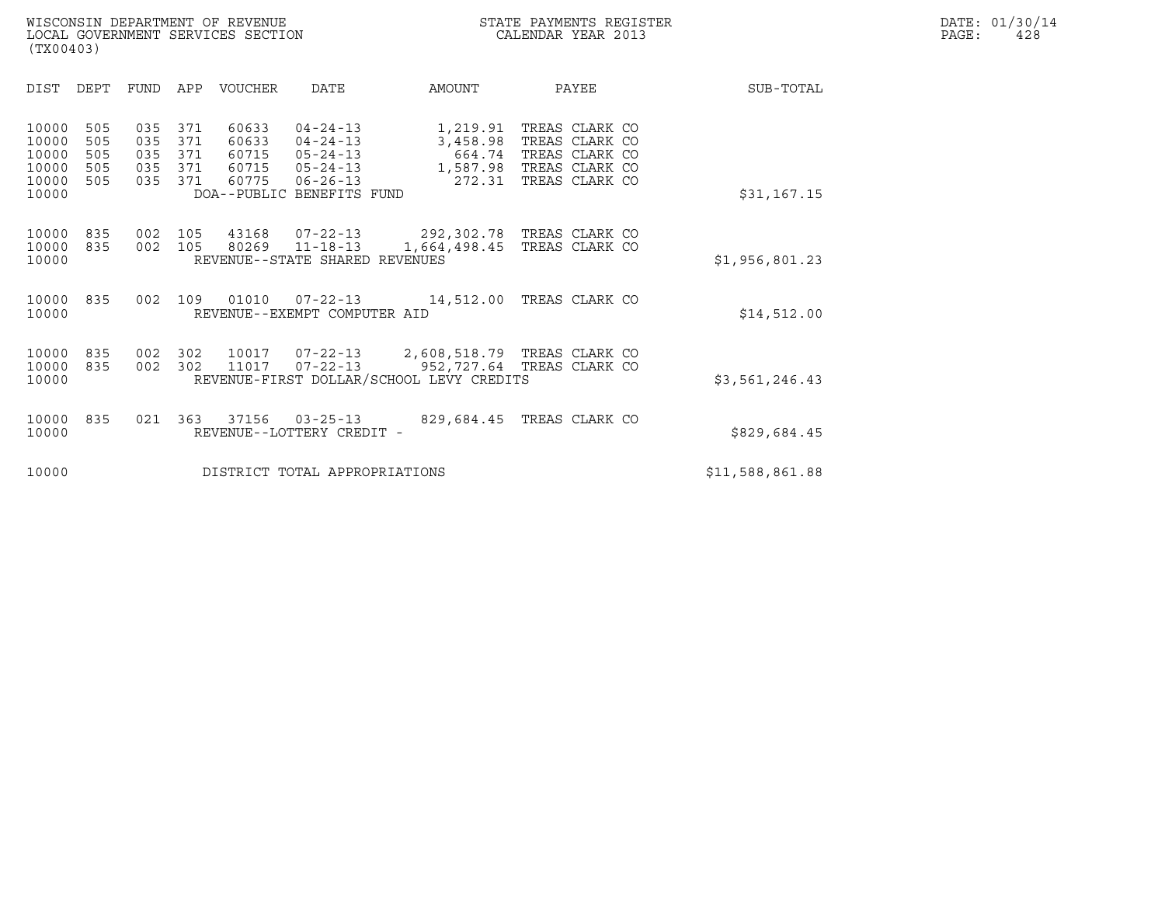| DIST<br>DEPT<br><b>VOUCHER</b><br>PAYEE<br><b>FUND</b><br>APP<br><b>DATE</b><br>AMOUNT                                                                                                                                                                                                                                                                                                                                                                                         | SUB-TOTAL       |
|--------------------------------------------------------------------------------------------------------------------------------------------------------------------------------------------------------------------------------------------------------------------------------------------------------------------------------------------------------------------------------------------------------------------------------------------------------------------------------|-----------------|
|                                                                                                                                                                                                                                                                                                                                                                                                                                                                                |                 |
| 371<br>60633<br>TREAS CLARK CO<br>10000<br>505<br>035<br>$04 - 24 - 13$<br>1,219.91<br>505<br>035<br>371<br>TREAS CLARK CO<br>10000<br>60633<br>$04 - 24 - 13$<br>3,458.98<br>10000<br>505<br>035<br>60715<br>TREAS CLARK CO<br>371<br>$05 - 24 - 13$<br>664.74<br>10000<br>505<br>035<br>371<br>60715<br>$05 - 24 - 13$<br>1,587.98 TREAS CLARK CO<br>10000<br>371<br>60775<br>$06 - 26 - 13$<br>272.31<br>TREAS CLARK CO<br>505<br>035<br>DOA--PUBLIC BENEFITS FUND<br>10000 | \$31,167.15     |
| 10000<br>835<br>43168<br>07-22-13<br>292,302.78 TREAS CLARK CO<br>002<br>105<br>835<br>105<br>$11 - 18 - 13$<br>10000<br>002<br>80269<br>1,664,498.45<br>TREAS CLARK CO<br>REVENUE--STATE SHARED REVENUES<br>10000                                                                                                                                                                                                                                                             | \$1,956,801.23  |
| 10000<br>835<br>002<br>109<br>01010<br>$07 - 22 - 13$<br>TREAS CLARK CO<br>14,512.00<br>REVENUE--EXEMPT COMPUTER AID<br>10000                                                                                                                                                                                                                                                                                                                                                  | \$14,512.00     |
| 2,608,518.79 TREAS CLARK CO<br>10000<br>835<br>002<br>302<br>10017<br>07-22-13<br>835<br>302<br>11017<br>$07 - 22 - 13$<br>952,727.64 TREAS CLARK CO<br>10000<br>002<br>REVENUE-FIRST DOLLAR/SCHOOL LEVY CREDITS<br>10000                                                                                                                                                                                                                                                      | \$3,561,246.43  |
| 37156<br>TREAS CLARK CO<br>10000<br>835<br>021<br>363<br>$03 - 25 - 13$<br>829,684.45<br>10000<br>REVENUE--LOTTERY CREDIT -                                                                                                                                                                                                                                                                                                                                                    | \$829,684.45    |
| 10000<br>DISTRICT TOTAL APPROPRIATIONS                                                                                                                                                                                                                                                                                                                                                                                                                                         | \$11,588,861.88 |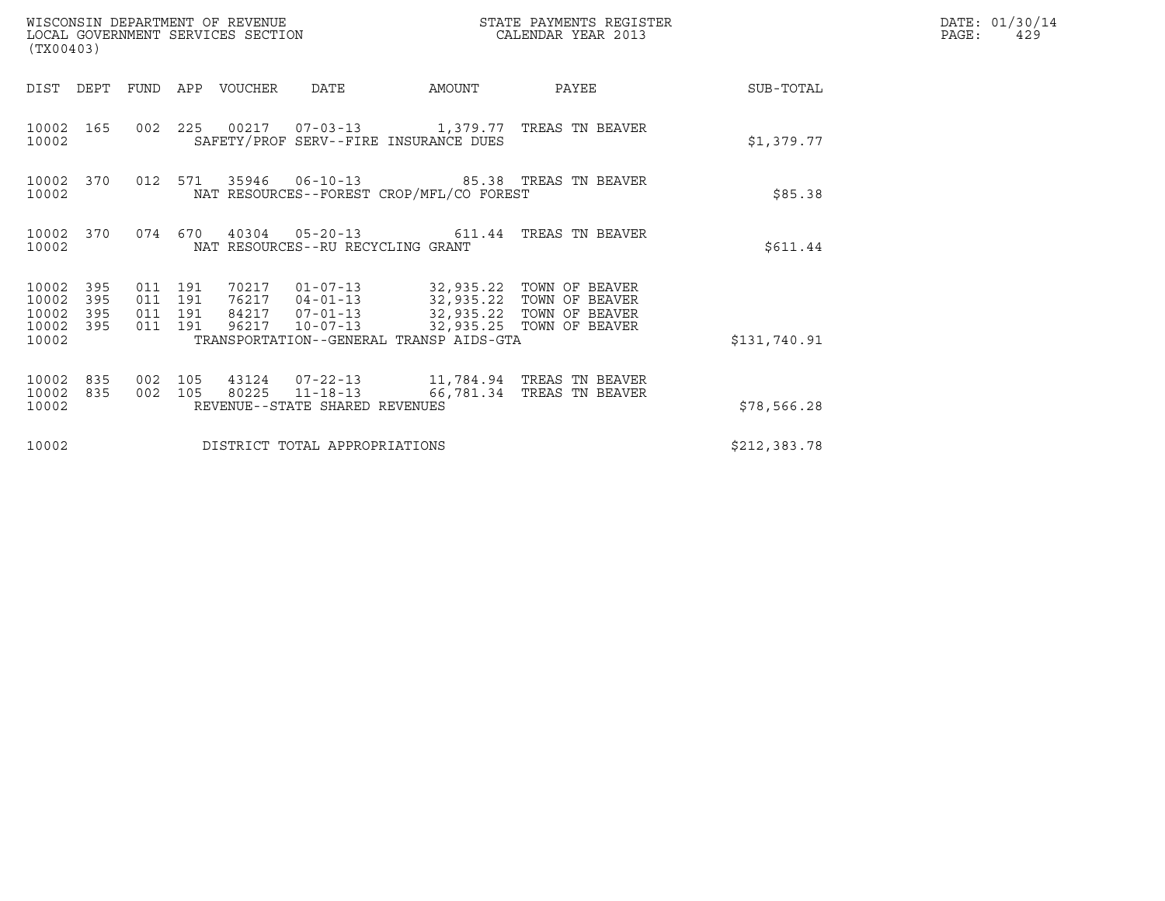| (TX00403)                                 |                          |                               |         | WISCONSIN DEPARTMENT OF REVENUE<br>LOCAL GOVERNMENT SERVICES SECTION |                                                    |                                                                                                                                      | STATE PAYMENTS REGISTER<br>CALENDAR YEAR 2013                                       |              | DATE: 01/30/14<br>PAGE:<br>429 |
|-------------------------------------------|--------------------------|-------------------------------|---------|----------------------------------------------------------------------|----------------------------------------------------|--------------------------------------------------------------------------------------------------------------------------------------|-------------------------------------------------------------------------------------|--------------|--------------------------------|
| DIST DEPT                                 |                          | FUND                          |         | APP VOUCHER                                                          | <b>DATE</b>                                        | AMOUNT                                                                                                                               | PAYEE                                                                               | SUB-TOTAL    |                                |
| 10002                                     | 10002 165                |                               |         |                                                                      |                                                    | SAFETY/PROF SERV--FIRE INSURANCE DUES                                                                                                | 002 225 00217 07-03-13 1,379.77 TREAS TN BEAVER                                     | \$1,379.77   |                                |
| 10002                                     | 10002 370                |                               | 012 571 |                                                                      |                                                    | NAT RESOURCES--FOREST CROP/MFL/CO FOREST                                                                                             |                                                                                     | \$85.38      |                                |
| 10002                                     | 10002 370                |                               | 074 670 |                                                                      | NAT RESOURCES--RU RECYCLING GRANT                  |                                                                                                                                      | 40304  05-20-13  611.44  TREAS TN BEAVER                                            | \$611.44     |                                |
| 10002<br>10002<br>10002<br>10002<br>10002 | 395<br>395<br>395<br>395 | 011 191<br>011 191<br>011 191 | 011 191 | 70217<br>76217<br>84217<br>96217                                     | $01 - 07 - 13$<br>$07 - 01 - 13$<br>$10 - 07 - 13$ | 32,935.22 TOWN OF BEAVER<br>04-01-13 32,935.22 TOWN OF BEAVER<br>32,935.22 TOWN OF BEAVER<br>TRANSPORTATION--GENERAL TRANSP AIDS-GTA | 32,935.25 TOWN OF BEAVER                                                            | \$131,740.91 |                                |
| 10002<br>10002<br>10002                   | 835<br>835               | 002<br>002 105                | 105     | 80225                                                                | REVENUE--STATE SHARED REVENUES                     |                                                                                                                                      | 43124  07-22-13   11,784.94   TREAS TN BEAVER<br>11-18-13 66,781.34 TREAS TN BEAVER | \$78,566.28  |                                |
| 10002                                     |                          |                               |         |                                                                      | DISTRICT TOTAL APPROPRIATIONS                      |                                                                                                                                      |                                                                                     | \$212,383.78 |                                |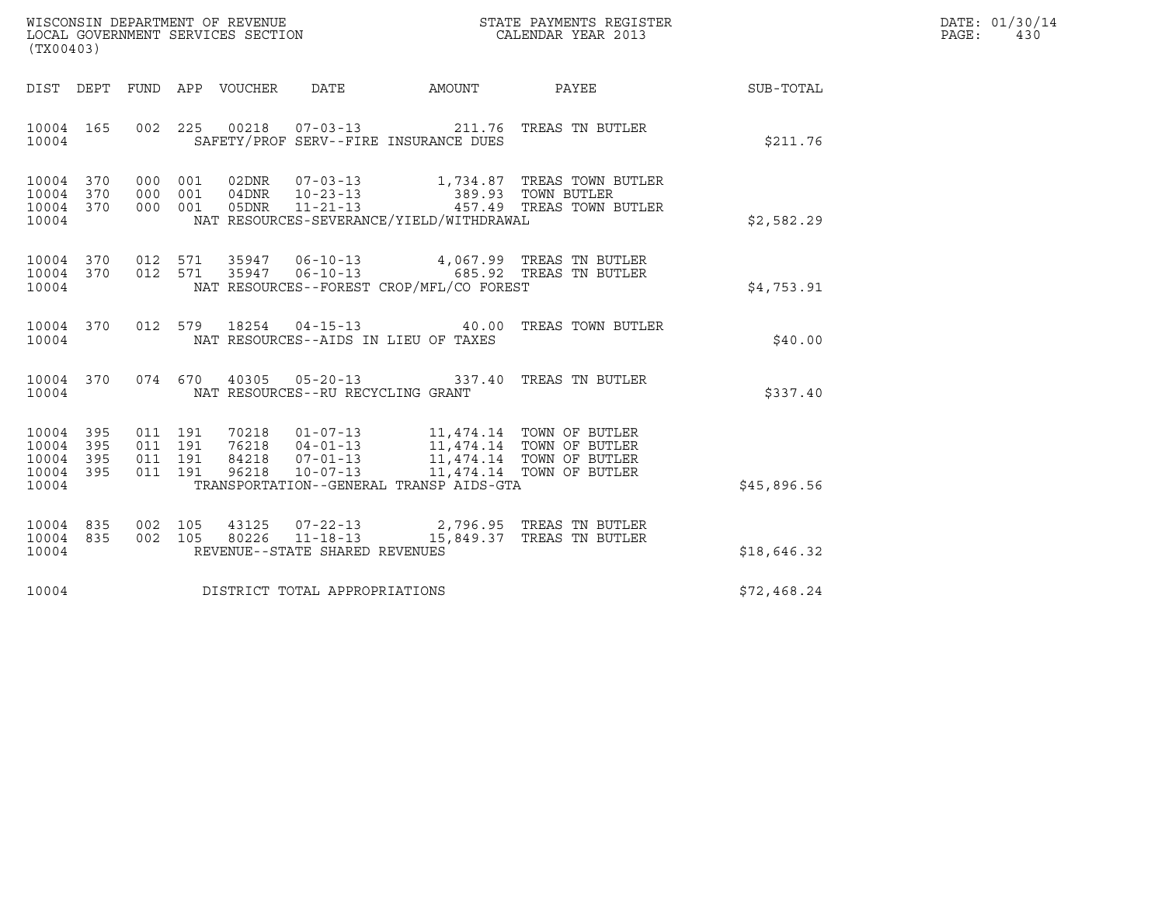| WISCONSIN DEPARTMENT OF REVENUE   | STATE PAYMENTS REGISTER | DATE: 01/30/14 |
|-----------------------------------|-------------------------|----------------|
| LOCAL GOVERNMENT SERVICES SECTION | CALENDAR YEAR 2013      | PAGE :<br>430  |

| WISCONSIN DEPARTMENT OF REVENUE<br>LOCAL GOVERNMENT SERVICES SECTION<br>CALENDAR YEAR 2013<br>(TX00403) |                        |                                          |  |  |                                   |                                                                                                                                                                                                                             |                                                                                                                                                                                                                 |             | DATE: 01/30/14<br>PAGE:<br>430 |
|---------------------------------------------------------------------------------------------------------|------------------------|------------------------------------------|--|--|-----------------------------------|-----------------------------------------------------------------------------------------------------------------------------------------------------------------------------------------------------------------------------|-----------------------------------------------------------------------------------------------------------------------------------------------------------------------------------------------------------------|-------------|--------------------------------|
|                                                                                                         |                        |                                          |  |  |                                   |                                                                                                                                                                                                                             | DIST DEPT FUND APP VOUCHER DATE AMOUNT PAYEE                                                                                                                                                                    | SUB-TOTAL   |                                |
| 10004                                                                                                   | 10004 165              |                                          |  |  |                                   | SAFETY/PROF SERV--FIRE INSURANCE DUES                                                                                                                                                                                       | 002 225 00218 07-03-13 211.76 TREAS TN BUTLER                                                                                                                                                                   | \$211.76    |                                |
| 10004 370<br>10004                                                                                      | 10004 370<br>10004 370 |                                          |  |  |                                   | NAT RESOURCES-SEVERANCE/YIELD/WITHDRAWAL                                                                                                                                                                                    | 000 001 02DNR 07-03-13 1,734.87 TREAS TOWN BUTLER<br>000 001 04DNR 10-23-13 389.93 TOWN BUTLER<br>000 001 05DNR 11-21-13 457.49 TREAS TOWN BUTLER                                                               | \$2,582.29  |                                |
| 10004                                                                                                   | 10004 370              |                                          |  |  |                                   | NAT RESOURCES--FOREST CROP/MFL/CO FOREST                                                                                                                                                                                    | 10004 370 012 571 35947 06-10-13 4,067.99 TREAS TN BUTLER<br>012 571 35947 06-10-13 685.92 TREAS TN BUTLER                                                                                                      | \$4,753.91  |                                |
| 10004                                                                                                   | 10004 370              |                                          |  |  |                                   | NAT RESOURCES--AIDS IN LIEU OF TAXES                                                                                                                                                                                        | 012 579 18254 04-15-13 40.00 TREAS TOWN BUTLER                                                                                                                                                                  | \$40.00     |                                |
| 10004                                                                                                   | 10004 370              |                                          |  |  | NAT RESOURCES--RU RECYCLING GRANT |                                                                                                                                                                                                                             | 074 670 40305 05-20-13 337.40 TREAS TN BUTLER                                                                                                                                                                   | \$337.40    |                                |
| 10004 395<br>10004<br>10004 395<br>10004 395<br>10004                                                   | 395                    | 011 191<br>011 191<br>011 191<br>011 191 |  |  |                                   | 70218  01-07-13  11,474.14 TOWN OF BUTLER<br>76218  04-01-13  11,474.14 TOWN OF BUTLER<br>84218  07-01-13  11,474.14 TOWN OF BUTLER<br>96218  10-07-13  11,474.14 TOWN OF BUTLER<br>TRANSPORTATION--GENERAL TRANSP AIDS-GTA |                                                                                                                                                                                                                 | \$45,896.56 |                                |
| 10004 835<br>10004                                                                                      | 10004 835              |                                          |  |  | REVENUE--STATE SHARED REVENUES    |                                                                                                                                                                                                                             | $\begin{array}{cccc} 002 & 105 & 43125 & 07\texttt{-}22\texttt{-}13 & 2,796.95 & \texttt{TREAS TN BUTLER} \\ 002 & 105 & 80226 & 11\texttt{-}18\texttt{-}13 & 15,849.37 & \texttt{TREAS TN BUTLER} \end{array}$ | \$18,646.32 |                                |
| 10004                                                                                                   |                        |                                          |  |  | DISTRICT TOTAL APPROPRIATIONS     |                                                                                                                                                                                                                             |                                                                                                                                                                                                                 | \$72,468.24 |                                |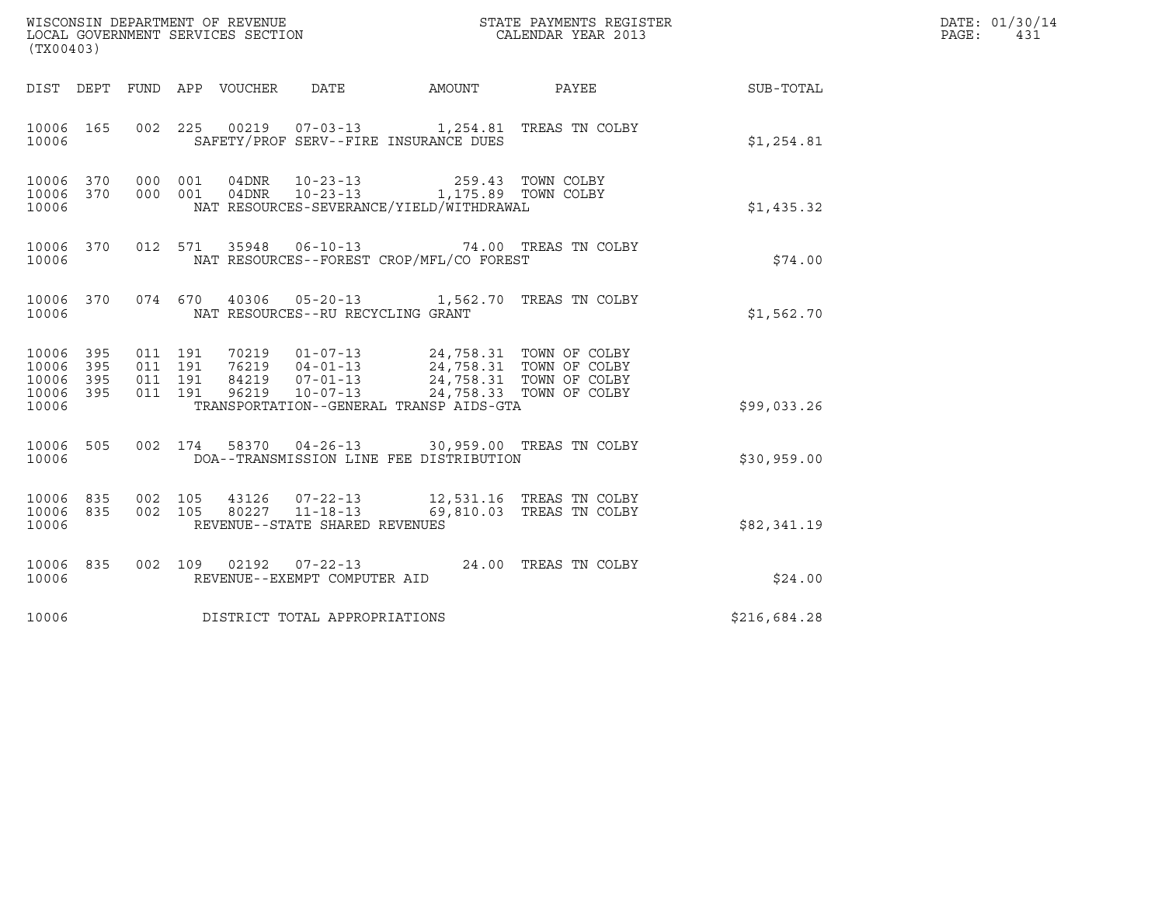| (TX00403)                                                          |                                          | WISCONSIN DEPARTMENT OF REVENUE<br>LOCAL GOVERNMENT SERVICES SECTION<br>LOCAL GOVERNMENT SERVICES SECTION                                                                                               | STATE PAYMENTS REGISTER<br>CALENDAR YEAR 2013 |                          | DATE: 01/30/14<br>PAGE:<br>431 |  |
|--------------------------------------------------------------------|------------------------------------------|---------------------------------------------------------------------------------------------------------------------------------------------------------------------------------------------------------|-----------------------------------------------|--------------------------|--------------------------------|--|
|                                                                    |                                          | DIST DEPT FUND APP VOUCHER<br>DATE<br>AMOUNT                                                                                                                                                            |                                               | PAYEE                    | SUB-TOTAL                      |  |
| 10006 165<br>10006                                                 |                                          | 002 225 00219 07-03-13 1,254.81 TREAS TN COLBY<br>SAFETY/PROF SERV--FIRE INSURANCE DUES                                                                                                                 |                                               |                          | \$1,254.81                     |  |
| 10006 370 000 001<br>10006 370<br>10006                            | 000 001                                  | 04DNR<br>$10 - 23 - 13$<br>04DNR 10-23-13 1,175.89 TOWN COLBY<br>NAT RESOURCES-SEVERANCE/YIELD/WITHDRAWAL                                                                                               |                                               | 259.43 TOWN COLBY        | \$1,435.32                     |  |
| 10006 370<br>10006                                                 |                                          | 35948  06-10-13  74.00 TREAS TN COLBY<br>012 571<br>NAT RESOURCES--FOREST CROP/MFL/CO FOREST                                                                                                            |                                               |                          | \$74.00                        |  |
| 10006 370<br>10006                                                 |                                          | 40306  05-20-13  1,562.70  TREAS TN COLBY<br>074 670<br>NAT RESOURCES--RU RECYCLING GRANT                                                                                                               |                                               |                          | \$1,562.70                     |  |
| 10006<br>395<br>395<br>10006<br>10006<br>395<br>10006 395<br>10006 | 011 191<br>011 191<br>011 191<br>011 191 | 70219  01-07-13  24,758.31  TOWN OF COLBY<br>76219  04-01-13  24,758.31 TOWN OF COLBY<br>84219  07-01-13  24,758.31 TOWN OF COLBY<br>$10 - 07 - 13$<br>96219<br>TRANSPORTATION--GENERAL TRANSP AIDS-GTA |                                               | 24,758.33 TOWN OF COLBY  | \$99,033.26                    |  |
| 10006 505<br>10006                                                 |                                          | 002 174 58370 04-26-13 30,959.00 TREAS TN COLBY<br>DOA--TRANSMISSION LINE FEE DISTRIBUTION                                                                                                              |                                               |                          | \$30,959.00                    |  |
| 10006 835<br>10006 835<br>10006                                    | 002 105<br>002 105                       | 43126  07-22-13  12,531.16  TREAS TN COLBY<br>80227 11-18-13<br>REVENUE--STATE SHARED REVENUES                                                                                                          |                                               | 69,810.03 TREAS TN COLBY | \$82,341.19                    |  |
| 10006 835<br>10006                                                 |                                          | 002 109 02192 07-22-13 24.00 TREAS TN COLBY<br>REVENUE--EXEMPT COMPUTER AID                                                                                                                             |                                               |                          | \$24.00                        |  |
| 10006                                                              |                                          | DISTRICT TOTAL APPROPRIATIONS                                                                                                                                                                           |                                               |                          | \$216,684.28                   |  |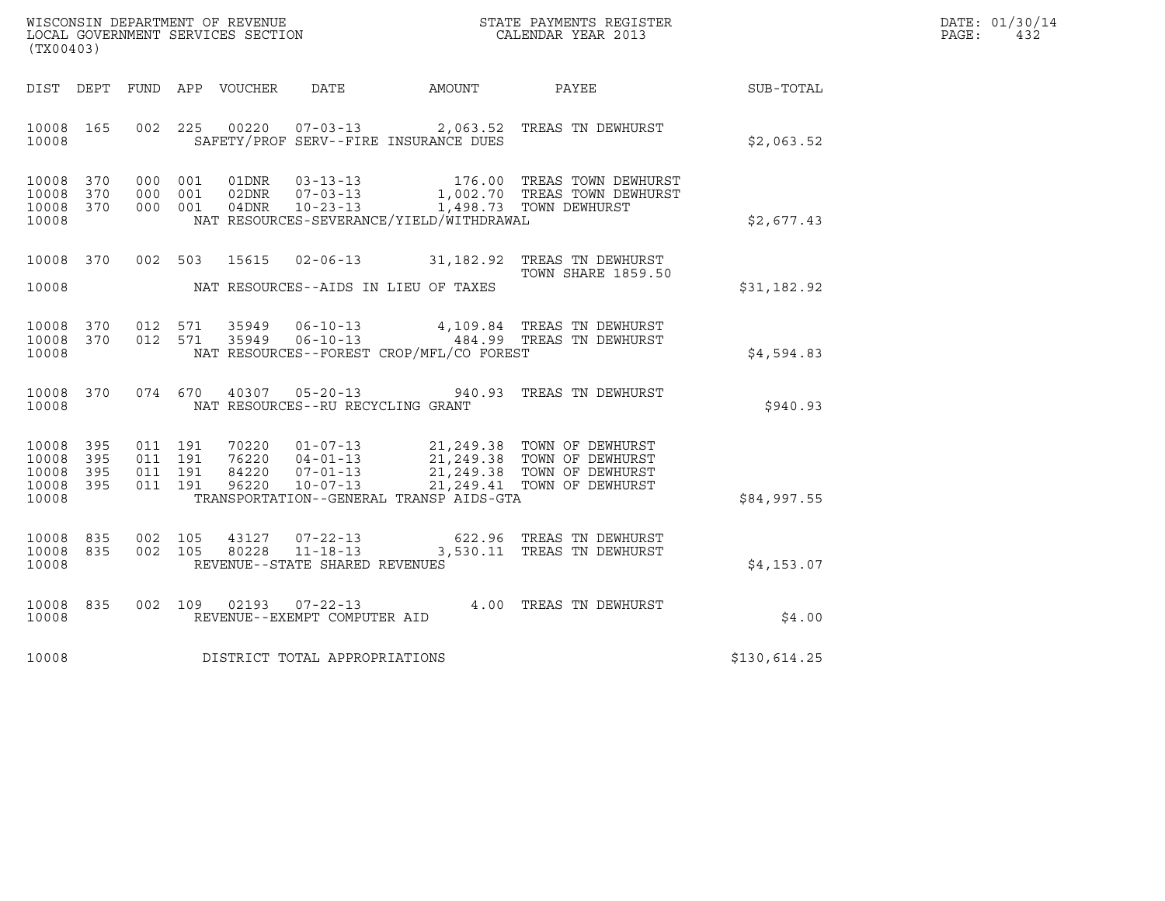| WISCONSIN DEPARTMENT OF REVENUE<br>LOCAL GOVERNMENT SERVICES SECTION | STATE PAYMENTS REGISTER<br>CALENDAR YEAR 2013 | DATE: 01/30/14<br>PAGE:<br>432 |
|----------------------------------------------------------------------|-----------------------------------------------|--------------------------------|

| ${\tt WISCONSIM\ DEPARTMENT\ OF\ REVENUE}\hbox{\tt STATE\ PAYMENTS\ REGISTER}\hbox{\tt LOGL\ GOVERNMENT\ SERVICES\ SECTION}\hbox{\tt SECTION}\hbox{\tt CALENDAR\ YEAR\ 2013}$<br>(TX00403) |                   |                               |                               |                                  |                                                  |                                          |                                                                                                                                                 |              | DATE: 01/30/14<br>PAGE:<br>432 |
|--------------------------------------------------------------------------------------------------------------------------------------------------------------------------------------------|-------------------|-------------------------------|-------------------------------|----------------------------------|--------------------------------------------------|------------------------------------------|-------------------------------------------------------------------------------------------------------------------------------------------------|--------------|--------------------------------|
| DIST DEPT                                                                                                                                                                                  |                   |                               |                               | FUND APP VOUCHER                 | DATE                                             | AMOUNT PAYEE                             |                                                                                                                                                 | SUB-TOTAL    |                                |
| 10008 165<br>10008                                                                                                                                                                         |                   |                               | 002 225                       |                                  |                                                  | SAFETY/PROF SERV--FIRE INSURANCE DUES    | 00220  07-03-13  2,063.52  TREAS TN DEWHURST                                                                                                    | \$2,063.52   |                                |
| 10008<br>10008<br>10008<br>10008                                                                                                                                                           | 370<br>370<br>370 |                               | 000 001<br>000 001<br>000 001 | 01DNR<br>02DNR<br>04DNR          | $07 - 03 - 13$<br>$10 - 23 - 13$                 | NAT RESOURCES-SEVERANCE/YIELD/WITHDRAWAL | 03-13-13 176.00 TREAS TOWN DEWHURST<br>1,002.70 TREAS TOWN DEWHURST<br>1,498.73 TOWN DEWHURST                                                   | \$2,677.43   |                                |
| 10008 370<br>10008                                                                                                                                                                         |                   |                               |                               |                                  |                                                  | NAT RESOURCES--AIDS IN LIEU OF TAXES     | 002 503 15615 02-06-13 31,182.92 TREAS TN DEWHURST<br><b>TOWN SHARE 1859.50</b>                                                                 | \$31,182.92  |                                |
| 10008<br>10008<br>10008                                                                                                                                                                    | 370<br>370        |                               | 012 571<br>012 571            | 35949<br>35949                   |                                                  | NAT RESOURCES--FOREST CROP/MFL/CO FOREST | 06-10-13 4, 109.84 TREAS TN DEWHURST<br>06-10-13 484.99 TREAS TN DEWHURST                                                                       | \$4,594.83   |                                |
| 10008 370<br>10008                                                                                                                                                                         |                   |                               | 074 670                       | 40307                            |                                                  | NAT RESOURCES--RU RECYCLING GRANT        | 05-20-13 940.93 TREAS TN DEWHURST                                                                                                               | \$940.93     |                                |
| 10008<br>10008<br>10008<br>10008 395<br>10008                                                                                                                                              | 395<br>395<br>395 | 011 191<br>011 191<br>011 191 | 011 191                       | 70220<br>76220<br>84220<br>96220 | $10 - 07 - 13$                                   | TRANSPORTATION--GENERAL TRANSP AIDS-GTA  | 01-07-13 21,249.38 TOWN OF DEWHURST<br>04-01-13 21,249.38 TOWN OF DEWHURST<br>07-01-13 21,249.38 TOWN OF DEWHURST<br>21,249.41 TOWN OF DEWHURST | \$84,997.55  |                                |
| 10008 835<br>10008<br>10008                                                                                                                                                                | 835               |                               | 002 105<br>002 105            | 43127<br>80228                   | $11 - 18 - 13$<br>REVENUE--STATE SHARED REVENUES |                                          | 07-22-13 622.96 TREAS TN DEWHURST<br>3,530.11 TREAS TN DEWHURST                                                                                 | \$4,153.07   |                                |
| 10008<br>10008                                                                                                                                                                             | 835               |                               | 002 109                       | 02193                            | 07-22-13<br>REVENUE--EXEMPT COMPUTER AID         |                                          | 4.00 TREAS TN DEWHURST                                                                                                                          | \$4.00       |                                |
| 10008                                                                                                                                                                                      |                   |                               |                               |                                  | DISTRICT TOTAL APPROPRIATIONS                    |                                          |                                                                                                                                                 | \$130,614.25 |                                |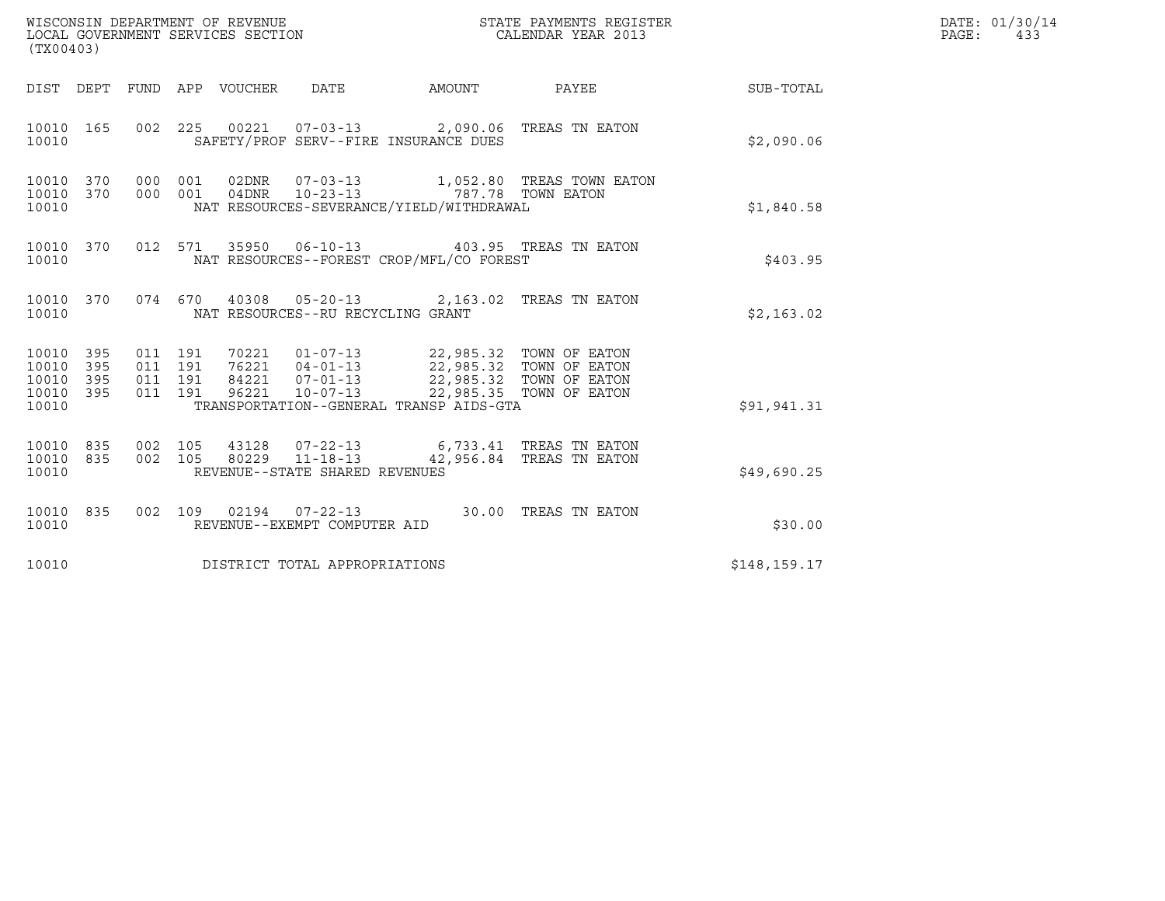| WISCONSIN DEPARTMENT OF REVENUE<br>LOCAL GOVERNMENT SERVICES SECTION<br>CALENDAR YEAR 2013<br>(TX00403) |  |                                          |  |                                 |                                                  | STATE PAYMENTS REGISTER                                                                                                                                                        |                                                                                                                                    | DATE: 01/30/14<br>PAGE: 433 |  |
|---------------------------------------------------------------------------------------------------------|--|------------------------------------------|--|---------------------------------|--------------------------------------------------|--------------------------------------------------------------------------------------------------------------------------------------------------------------------------------|------------------------------------------------------------------------------------------------------------------------------------|-----------------------------|--|
|                                                                                                         |  |                                          |  | DIST DEPT FUND APP VOUCHER DATE |                                                  |                                                                                                                                                                                | AMOUNT PAYEE                                                                                                                       | SUB-TOTAL                   |  |
| 10010 165<br>10010                                                                                      |  |                                          |  |                                 |                                                  | 002 225 00221 07-03-13 2,090.06 TREAS TN EATON<br>SAFETY/PROF SERV--FIRE INSURANCE DUES                                                                                        |                                                                                                                                    | \$2,090.06                  |  |
| 10010 370 000 001<br>10010 370<br>10010                                                                 |  | 000 001                                  |  |                                 |                                                  | NAT RESOURCES-SEVERANCE/YIELD/WITHDRAWAL                                                                                                                                       | $\begin{tabular}{llllll} 02DNR & 07-03-13 & 1,052.80 & TREAS TOWN EATION \\ 04DNR & 10-23-13 & 787.78 TOWN EATOR \\ \end{tabular}$ | \$1,840.58                  |  |
| 10010                                                                                                   |  |                                          |  |                                 |                                                  | 10010 370 012 571 35950 06-10-13 403.95 TREAS TN EATON<br>NAT RESOURCES--FOREST CROP/MFL/CO FOREST                                                                             |                                                                                                                                    | \$403.95                    |  |
| 10010 370<br>10010                                                                                      |  |                                          |  |                                 | NAT RESOURCES--RU RECYCLING GRANT                | 074 670 40308 05-20-13 2,163.02 TREAS TN EATON                                                                                                                                 |                                                                                                                                    | \$2,163.02                  |  |
| 10010 395<br>10010 395<br>10010 395<br>10010 395<br>10010                                               |  | 011 191<br>011 191<br>011 191<br>011 191 |  | 96221                           | $10 - 07 - 13$                                   | 70221  01-07-13  22,985.32  TOWN OF EATON<br>76221  04-01-13  22,985.32  TOWN OF EATON<br>84221  07-01-13  22,985.32  TOWN OF EATON<br>TRANSPORTATION--GENERAL TRANSP AIDS-GTA | 22,985.35 TOWN OF EATON                                                                                                            | \$91,941.31                 |  |
| 10010 835<br>10010 835<br>10010                                                                         |  | 002 105<br>002 105                       |  |                                 | 80229 11-18-13<br>REVENUE--STATE SHARED REVENUES | 43128  07-22-13   6,733.41 TREAS TN EATON                                                                                                                                      | 42,956.84 TREAS TN EATON                                                                                                           | \$49,690.25                 |  |
| 10010 835<br>10010                                                                                      |  |                                          |  |                                 | REVENUE--EXEMPT COMPUTER AID                     | 002 109 02194 07-22-13 30.00 TREAS TN EATON                                                                                                                                    |                                                                                                                                    | \$30.00                     |  |
| 10010                                                                                                   |  |                                          |  |                                 | DISTRICT TOTAL APPROPRIATIONS                    |                                                                                                                                                                                |                                                                                                                                    | \$148,159.17                |  |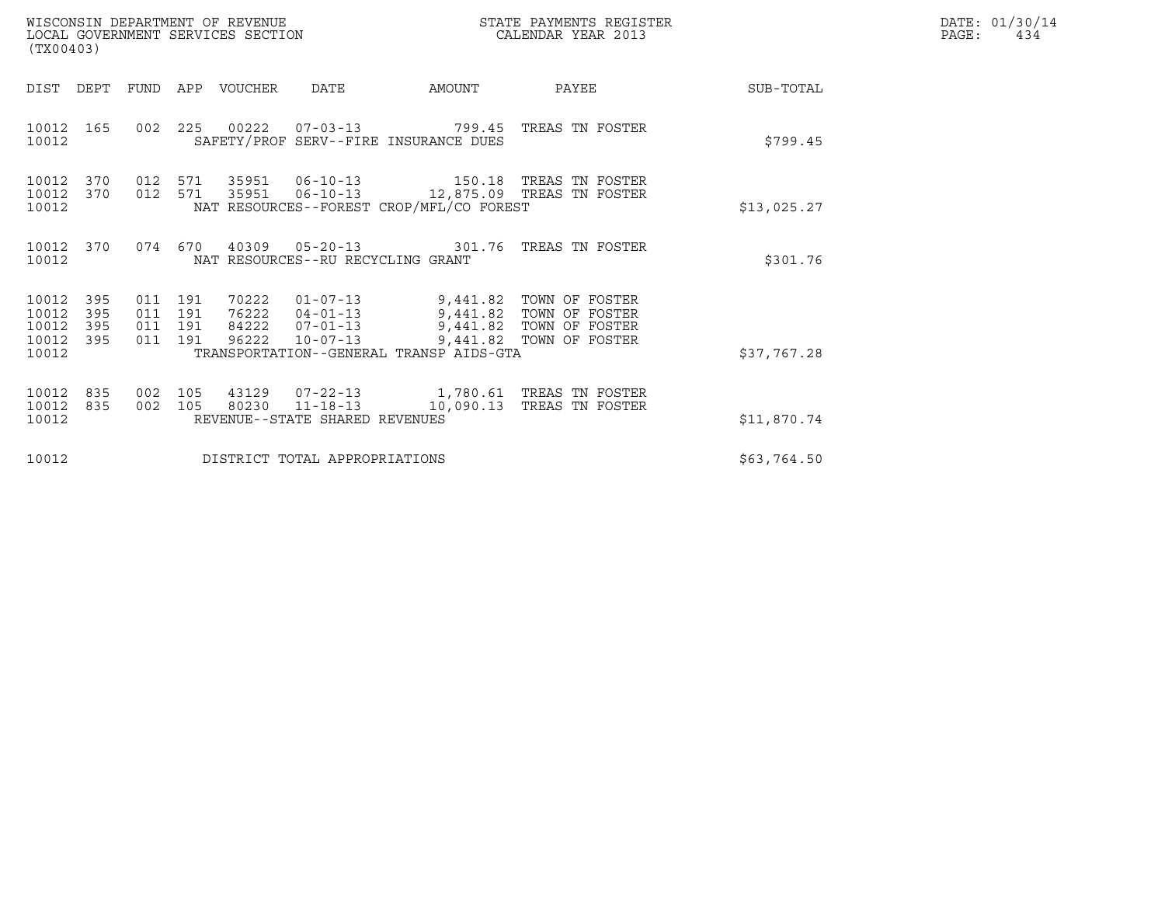| WISCONSIN DEPARTMENT OF REVENUE<br>LOCAL GOVERNMENT SERVICES SECTION<br>$(TTV \cap A \cap 2)$ | STATE PAYMENTS REGISTER<br>CALENDAR YEAR 2013 | DATE: 01/30/14<br>PAGE:<br>434 |
|-----------------------------------------------------------------------------------------------|-----------------------------------------------|--------------------------------|

| (TX00403)                                                             | WISCONSIN DEPARTMENT OF REVENUE<br>LOCAL GOVERNMENT SERVICES SECTION                                                                                        |                                                                         | STATE PAYMENTS REGISTER<br>CALENDAR YEAR 2013               |             | DATE: 01/30/14<br>PAGE:<br>434 |
|-----------------------------------------------------------------------|-------------------------------------------------------------------------------------------------------------------------------------------------------------|-------------------------------------------------------------------------|-------------------------------------------------------------|-------------|--------------------------------|
| DIST<br>DEPT                                                          | FUND APP VOUCHER<br>DATE                                                                                                                                    | AMOUNT                                                                  | PAYEE                                                       | SUB-TOTAL   |                                |
| 10012<br>165<br>10012                                                 | 002 225 00222 07-03-13 799.45<br>SAFETY/PROF SERV--FIRE INSURANCE DUES                                                                                      |                                                                         | TREAS TN FOSTER                                             | \$799.45    |                                |
| 10012<br>370<br>10012<br>370<br>10012                                 | 571 35951 06-10-13 150.18 TREAS TN FOSTER<br>012<br>012 571<br>NAT RESOURCES--FOREST CROP/MFL/CO FOREST                                                     |                                                                         |                                                             | \$13,025.27 |                                |
| 10012<br>370<br>10012                                                 | 074  670  40309  05-20-13  301.76  TREAS TN FOSTER<br>NAT RESOURCES--RU RECYCLING GRANT                                                                     |                                                                         |                                                             | \$301.76    |                                |
| 10012<br>395<br>10012<br>395<br>10012<br>395<br>10012<br>395<br>10012 | 011 191<br>70222<br>011 191<br>76222<br>84222<br>011 191<br>$07 - 01 - 13$<br>96222<br>$10 - 07 - 13$<br>011 191<br>TRANSPORTATION--GENERAL TRANSP AIDS-GTA | 01-07-13 9,441.82 TOWN OF FOSTER<br>$04 - 01 - 13$ 9,441.82<br>9,441.82 | TOWN OF FOSTER<br>TOWN OF FOSTER<br>9,441.82 TOWN OF FOSTER | \$37,767.28 |                                |
| 10012<br>835<br>10012<br>835<br>10012                                 | 105<br>43129<br>002<br>80230 11-18-13 10,090.13<br>002<br>105<br>REVENUE--STATE SHARED REVENUES                                                             | 07-22-13 1,780.61 TREAS TN FOSTER                                       | TREAS TN FOSTER                                             | \$11,870.74 |                                |
| 10012                                                                 | DISTRICT TOTAL APPROPRIATIONS                                                                                                                               | \$63,764.50                                                             |                                                             |             |                                |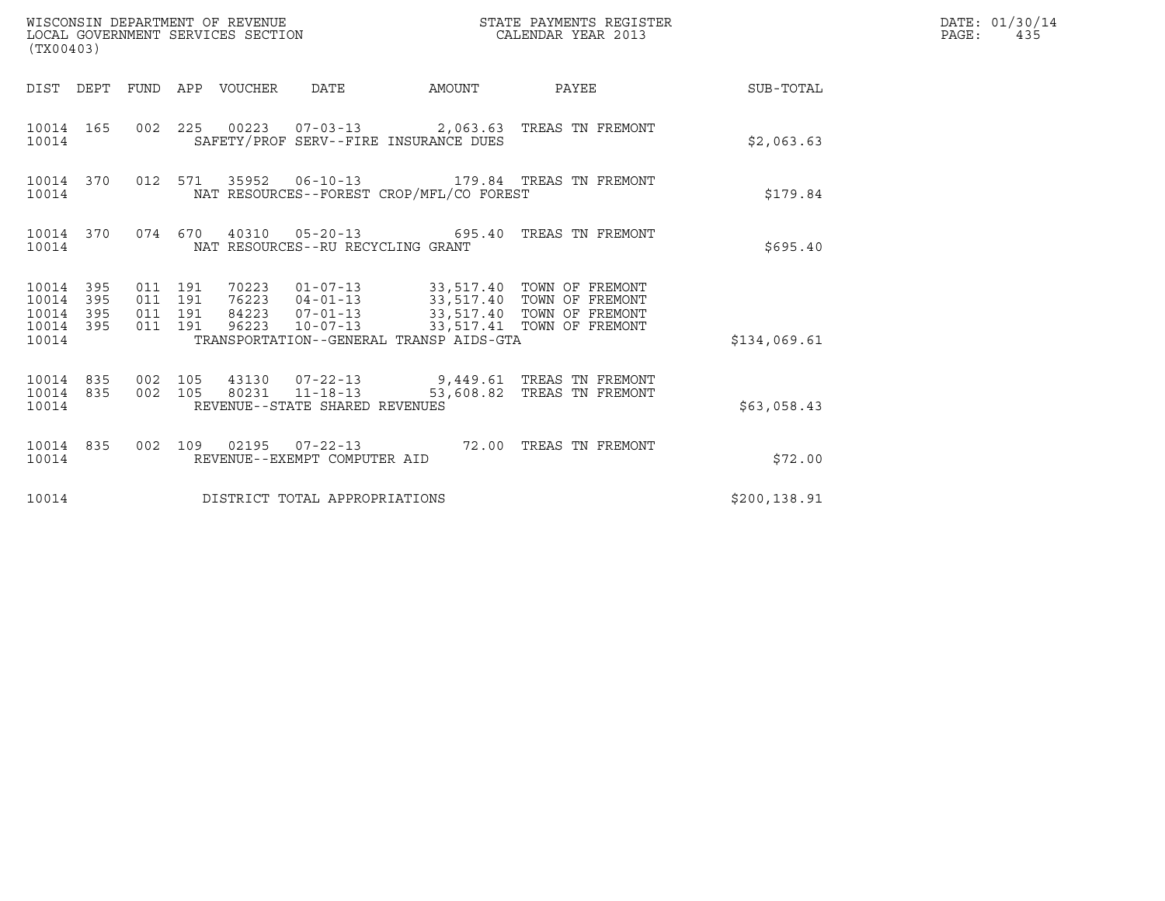| (TX00403)                                                 |                                          | WISCONSIN DEPARTMENT OF REVENUE<br>LOCAL GOVERNMENT SERVICES SECTION                          |                                                                                                                                                                                                | STATE PAYMENTS REGISTER<br>CALENDAR YEAR 2013 |              | DATE: 01/30/14<br>$\mathtt{PAGE}$ :<br>435 |
|-----------------------------------------------------------|------------------------------------------|-----------------------------------------------------------------------------------------------|------------------------------------------------------------------------------------------------------------------------------------------------------------------------------------------------|-----------------------------------------------|--------------|--------------------------------------------|
|                                                           |                                          | DIST DEPT FUND APP VOUCHER DATE                                                               |                                                                                                                                                                                                | AMOUNT PAYEE SUB-TOTAL                        |              |                                            |
| 10014 165<br>10014                                        |                                          | 002 225 00223 07-03-13 2,063.63 TREAS TN FREMONT<br>SAFETY/PROF SERV--FIRE INSURANCE DUES     |                                                                                                                                                                                                |                                               | \$2,063.63   |                                            |
| 10014 370<br>10014                                        |                                          | 012 571 35952 06-10-13 179.84 TREAS TN FREMONT<br>NAT RESOURCES--FOREST CROP/MFL/CO FOREST    |                                                                                                                                                                                                |                                               | \$179.84     |                                            |
| 10014                                                     |                                          | 10014 370 074 670 40310 05-20-13 695.40 TREAS TN FREMONT<br>NAT RESOURCES--RU RECYCLING GRANT |                                                                                                                                                                                                |                                               | \$695.40     |                                            |
| 10014 395<br>10014 395<br>10014 395<br>10014 395<br>10014 | 011 191<br>011 191<br>011 191<br>011 191 | TRANSPORTATION--GENERAL TRANSP AIDS-GTA                                                       | 70223   01-07-13   33,517.40   TOWN OF FREMONT<br>76223   04-01-13   33,517.40   TOWN OF FREMONT<br>84223  07-01-13  33,517.40  TOWN OF FREMONT<br>96223  10-07-13  33,517.41  TOWN OF FREMONT |                                               | \$134,069.61 |                                            |
| 10014 835 002 105<br>10014 835<br>10014                   |                                          | 002 105 80231 11-18-13<br>REVENUE--STATE SHARED REVENUES                                      | 43130  07-22-13  9,449.61  TREAS TN FREMONT                                                                                                                                                    | 53,608.82 TREAS TN FREMONT                    | \$63,058.43  |                                            |
| 10014 835<br>10014                                        |                                          | 002 109 02195 07-22-13 72.00 TREAS TN FREMONT<br>REVENUE--EXEMPT COMPUTER AID                 |                                                                                                                                                                                                |                                               | \$72.00      |                                            |
| 10014                                                     |                                          | DISTRICT TOTAL APPROPRIATIONS                                                                 |                                                                                                                                                                                                |                                               | \$200,138.91 |                                            |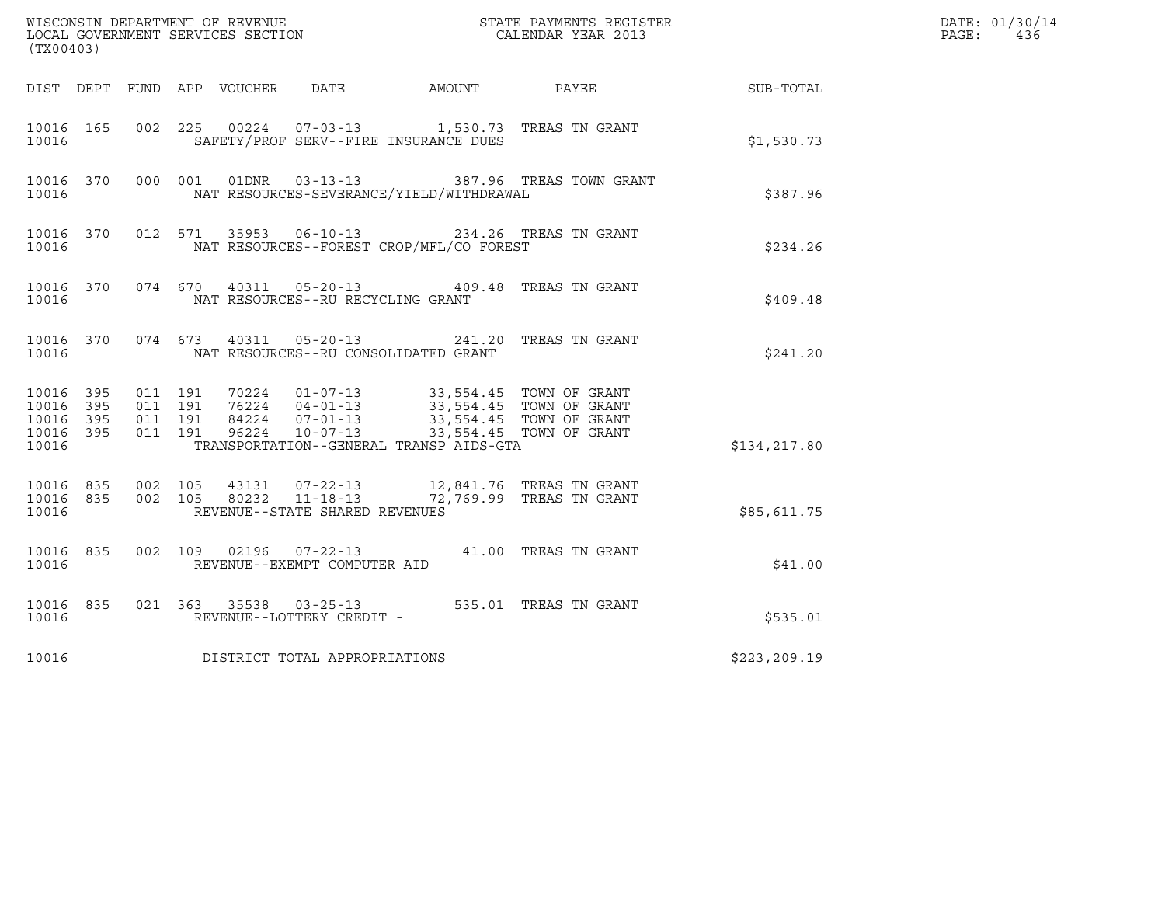| (TX00403)                                                 |           |                               |         |  |                                                  |                                          |  |                                                                        | DATE: 01/30/14<br>$\mathtt{PAGE}$ :<br>436 |  |
|-----------------------------------------------------------|-----------|-------------------------------|---------|--|--------------------------------------------------|------------------------------------------|--|------------------------------------------------------------------------|--------------------------------------------|--|
|                                                           |           |                               |         |  |                                                  |                                          |  | DIST DEPT FUND APP VOUCHER DATE AMOUNT PAYEE SUB-TOTAL                 |                                            |  |
| 10016 165<br>10016                                        |           |                               |         |  |                                                  | SAFETY/PROF SERV--FIRE INSURANCE DUES    |  | 002  225  00224  07-03-13   1,530.73  TREAS TN GRANT                   | \$1,530.73                                 |  |
| 10016                                                     | 10016 370 |                               | 000 001 |  | 01DNR        03-13-13                            | NAT RESOURCES-SEVERANCE/YIELD/WITHDRAWAL |  | 387.96 TREAS TOWN GRANT                                                | \$387.96                                   |  |
| 10016                                                     | 10016 370 |                               | 012 571 |  |                                                  | NAT RESOURCES--FOREST CROP/MFL/CO FOREST |  | 35953  06-10-13  234.26  TREAS TN GRANT                                | \$234.26                                   |  |
| 10016                                                     | 10016 370 |                               |         |  |                                                  | NAT RESOURCES--RU RECYCLING GRANT        |  | 074 670 40311 05-20-13 409.48 TREAS TN GRANT                           | \$409.48                                   |  |
| 10016                                                     | 10016 370 |                               | 074 673 |  |                                                  | NAT RESOURCES--RU CONSOLIDATED GRANT     |  | 40311  05-20-13  241.20  TREAS TN GRANT                                | \$241.20                                   |  |
| 10016 395<br>10016 395<br>10016 395<br>10016 395<br>10016 |           | 011 191<br>011 191<br>011 191 | 011 191 |  |                                                  | TRANSPORTATION--GENERAL TRANSP AIDS-GTA  |  |                                                                        | \$134,217.80                               |  |
| 10016 835<br>10016                                        | 10016 835 | 002 105                       | 002 105 |  | 80232 11-18-13<br>REVENUE--STATE SHARED REVENUES |                                          |  | 43131  07-22-13  12,841.76  TREAS TN GRANT<br>72,769.99 TREAS TN GRANT | \$85,611.75                                |  |
| 10016 835<br>10016                                        |           |                               |         |  | REVENUE--EXEMPT COMPUTER AID                     |                                          |  | 002 109 02196 07-22-13 41.00 TREAS TN GRANT                            | \$41.00                                    |  |
| 10016                                                     | 10016 835 |                               |         |  | REVENUE--LOTTERY CREDIT -                        |                                          |  | 021 363 35538 03-25-13 535.01 TREAS TN GRANT                           | \$535.01                                   |  |
| 10016                                                     |           |                               |         |  | DISTRICT TOTAL APPROPRIATIONS                    |                                          |  |                                                                        | \$223, 209.19                              |  |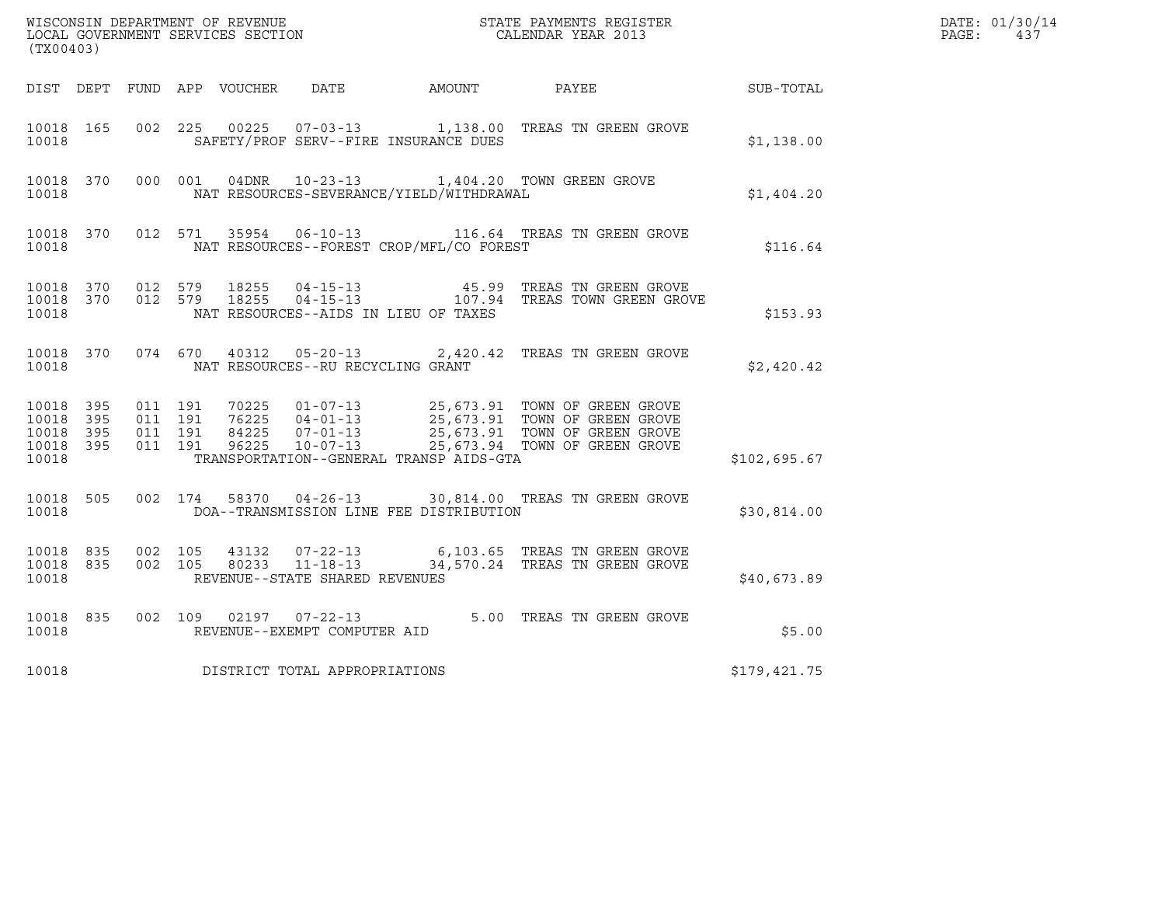|       | DATE: 01/30/14 |
|-------|----------------|
| PAGE: | 437            |

| (TX00403)                                             |     |         |                               |                        |                                                  |                                          |                                                                                                                             |              | DATE: 01/30/14<br>$\mathtt{PAGE}$ :<br>437 |
|-------------------------------------------------------|-----|---------|-------------------------------|------------------------|--------------------------------------------------|------------------------------------------|-----------------------------------------------------------------------------------------------------------------------------|--------------|--------------------------------------------|
|                                                       |     |         |                               |                        |                                                  | DIST DEPT FUND APP VOUCHER DATE AMOUNT   | PAYEE                                                                                                                       | SUB-TOTAL    |                                            |
| 10018 165<br>10018                                    |     |         |                               |                        |                                                  | SAFETY/PROF SERV--FIRE INSURANCE DUES    | 002 225 00225 07-03-13 1,138.00 TREAS TN GREEN GROVE                                                                        | \$1,138.00   |                                            |
| 10018 370<br>10018                                    |     |         | 000 001                       |                        |                                                  | NAT RESOURCES-SEVERANCE/YIELD/WITHDRAWAL | 04DNR  10-23-13  1,404.20 TOWN GREEN GROVE                                                                                  | \$1,404.20   |                                            |
| 10018 370<br>10018                                    |     |         |                               |                        |                                                  | NAT RESOURCES--FOREST CROP/MFL/CO FOREST | 012 571 35954 06-10-13 116.64 TREAS TN GREEN GROVE                                                                          | \$116.64     |                                            |
| 10018 370<br>10018 370<br>10018                       |     | 012 579 |                               | 18255<br>012 579 18255 |                                                  | NAT RESOURCES--AIDS IN LIEU OF TAXES     | 04-15-13                         45.99   TREAS TN GREEN GROVE<br>04-15-13                   107.94   TREAS TOWN GREEN GROVE | \$153.93     |                                            |
| 10018 370<br>10018                                    |     |         | 074 670                       |                        | NAT RESOURCES--RU RECYCLING GRANT                |                                          | 40312  05-20-13  2,420.42  TREAS TN GREEN GROVE                                                                             | \$2,420.42   |                                            |
| 10018 395<br>10018<br>10018 395<br>10018 395<br>10018 | 395 | 011 191 | 011 191<br>011 191<br>011 191 |                        |                                                  | TRANSPORTATION--GENERAL TRANSP AIDS-GTA  |                                                                                                                             | \$102,695.67 |                                            |
| 10018 505<br>10018                                    |     |         |                               |                        |                                                  | DOA--TRANSMISSION LINE FEE DISTRIBUTION  | 002 174 58370 04-26-13 30,814.00 TREAS TN GREEN GROVE                                                                       | \$30,814.00  |                                            |
| 10018 835<br>10018 835<br>10018                       |     | 002 105 | 002 105                       | 43132                  | 80233 11-18-13<br>REVENUE--STATE SHARED REVENUES |                                          | 07-22-13 6,103.65 TREAS TN GREEN GROVE<br>34,570.24 TREAS TN GREEN GROVE                                                    | \$40,673.89  |                                            |
| 10018 835<br>10018                                    |     | 002 109 |                               |                        | 02197   07-22-13<br>REVENUE--EXEMPT COMPUTER AID |                                          | 5.00 TREAS TN GREEN GROVE                                                                                                   | \$5.00       |                                            |
| 10018                                                 |     |         |                               |                        | DISTRICT TOTAL APPROPRIATIONS                    |                                          |                                                                                                                             | \$179,421.75 |                                            |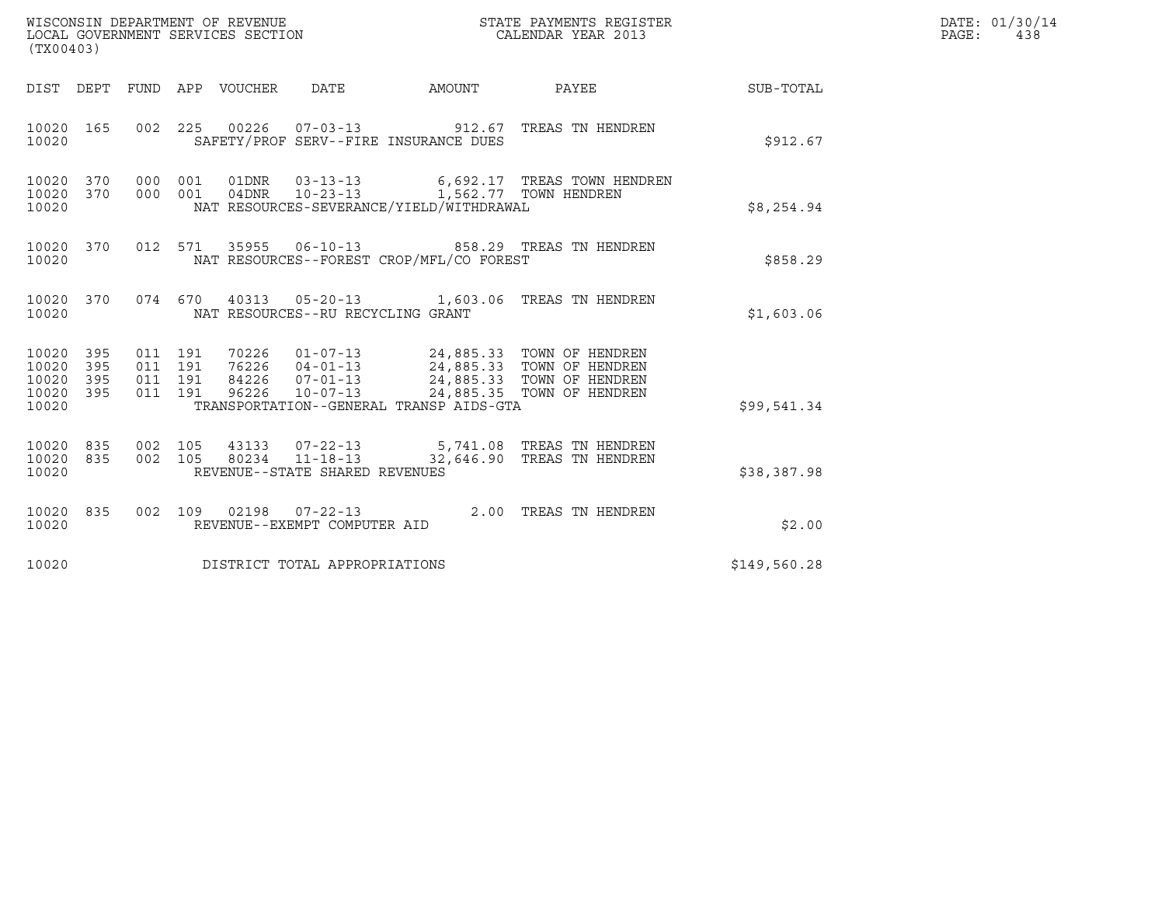| (TX00403)                                                       |                                                                                                                                                                                                                                                                                                                                                                                                                       |  |                           |              | DATE: 01/30/14<br>PAGE: 438 |
|-----------------------------------------------------------------|-----------------------------------------------------------------------------------------------------------------------------------------------------------------------------------------------------------------------------------------------------------------------------------------------------------------------------------------------------------------------------------------------------------------------|--|---------------------------|--------------|-----------------------------|
|                                                                 | DIST DEPT FUND APP VOUCHER DATE AMOUNT PAYEE TO SUB-TOTAL                                                                                                                                                                                                                                                                                                                                                             |  |                           |              |                             |
| 10020 165<br>10020                                              | 002 225 00226 07-03-13 912.67 TREAS TN HENDREN<br>SAFETY/PROF SERV--FIRE INSURANCE DUES                                                                                                                                                                                                                                                                                                                               |  |                           | \$912.67     |                             |
| 10020 370<br>10020 370<br>10020                                 | 000 001 01DNR 03-13-13 6,692.17 TREAS TOWN HENDREN<br>000 001 04DNR 10-23-13 1,562.77 TOWN HENDREN<br>NAT RESOURCES-SEVERANCE/YIELD/WITHDRAWAL                                                                                                                                                                                                                                                                        |  |                           | \$8,254.94   |                             |
| 10020 370<br>10020                                              | 012 571 35955 06-10-13 858.29 TREAS TN HENDREN<br>NAT RESOURCES--FOREST CROP/MFL/CO FOREST                                                                                                                                                                                                                                                                                                                            |  |                           | \$858.29     |                             |
| 10020                                                           | 10020 370 074 670 40313 05-20-13 1,603.06 TREAS TN HENDREN<br>NAT RESOURCES--RU RECYCLING GRANT                                                                                                                                                                                                                                                                                                                       |  |                           | \$1,603.06   |                             |
| 10020<br>395<br>10020<br>395<br>10020 395<br>10020 395<br>10020 | $\begin{array}{cccc} 011 & 191 & 70226 & 01\texttt{-}07\texttt{-}13 & 24\texttt{,}885.33 & \texttt{TOWN OF HENDREN} \\ 011 & 191 & 76226 & 04\texttt{-}01\texttt{-}13 & 24\texttt{,}885.33 & \texttt{TOWN OF HENDREN} \\ 011 & 191 & 84226 & 07\texttt{-}01\texttt{-}13 & 24\texttt{,}885.33 & \texttt{TOWN OF HENDREN} \end{array}$<br>$10 - 07 - 13$<br>96226<br>011 191<br>TRANSPORTATION--GENERAL TRANSP AIDS-GTA |  | 24,885.35 TOWN OF HENDREN | \$99.541.34  |                             |
| 10020 835<br>10020 835<br>10020                                 | 002 105 43133 07-22-13 5,741.08 TREAS TN HENDREN<br>002 105 80234 11-18-13 32,646.90 TREAS TN HENDREN<br>REVENUE--STATE SHARED REVENUES                                                                                                                                                                                                                                                                               |  |                           | \$38,387.98  |                             |
| 10020 835<br>10020                                              | 002 109 02198 07-22-13 2.00 TREAS TN HENDREN<br>REVENUE--EXEMPT COMPUTER AID                                                                                                                                                                                                                                                                                                                                          |  |                           | \$2.00       |                             |
| 10020                                                           | DISTRICT TOTAL APPROPRIATIONS                                                                                                                                                                                                                                                                                                                                                                                         |  |                           | \$149,560.28 |                             |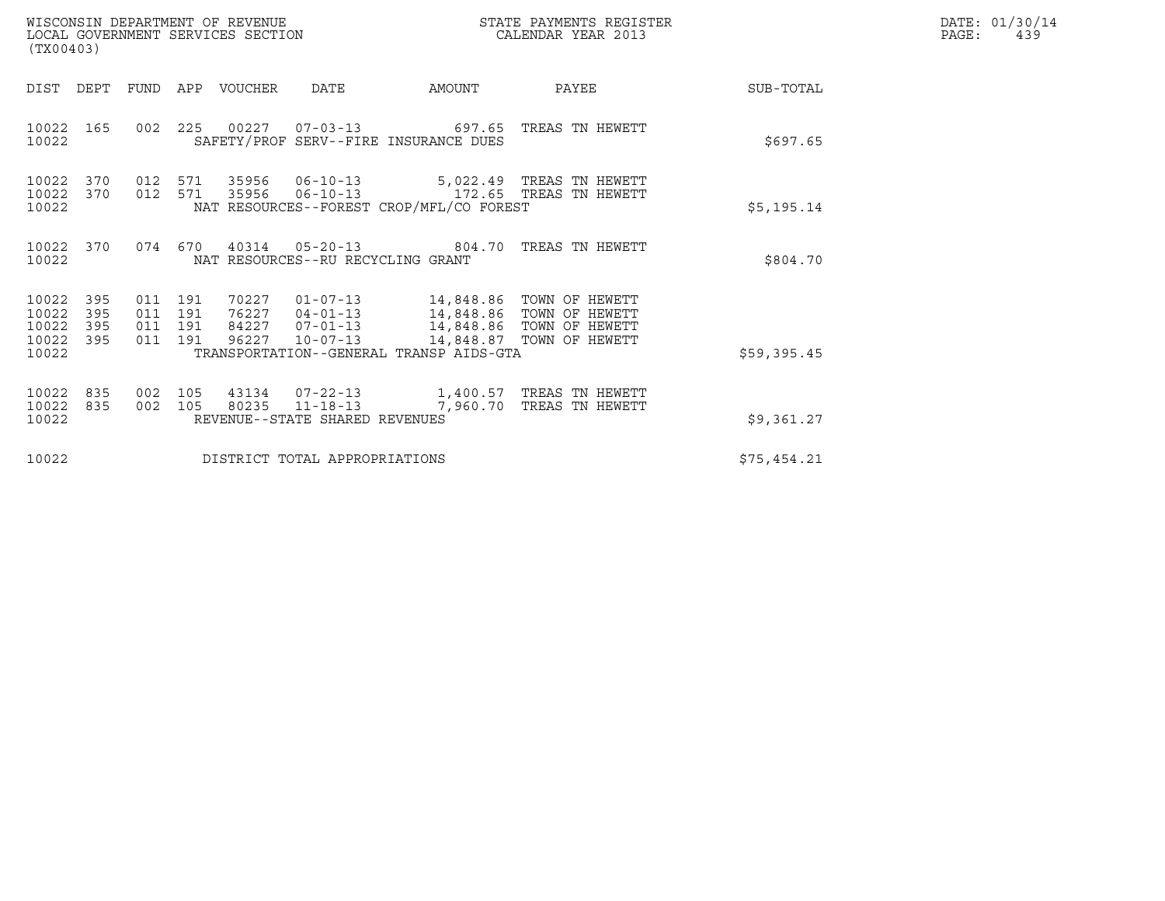| WISCONSIN DEPARTMENT OF REVENUE<br>LOCAL GOVERNMENT SERVICES SECTION<br>(TX00403)                                                                                                                                  | STATE PAYMENTS REGISTER<br>CALENDAR YEAR 2013                                                                                           |             | DATE: 01/30/14<br>PAGE:<br>439 |
|--------------------------------------------------------------------------------------------------------------------------------------------------------------------------------------------------------------------|-----------------------------------------------------------------------------------------------------------------------------------------|-------------|--------------------------------|
| DIST DEPT<br>FUND APP VOUCHER<br>DATE                                                                                                                                                                              | PAYEE<br>AMOUNT                                                                                                                         | SUB-TOTAL   |                                |
| 002 225 00227<br>10022<br>165<br>SAFETY/PROF SERV--FIRE INSURANCE DUES<br>10022                                                                                                                                    | 07-03-13 697.65 TREAS TN HEWETT                                                                                                         | \$697.65    |                                |
| 10022<br>370<br>012 571<br>35956 06-10-13<br>10022<br>370<br>012 571<br>35956<br>NAT RESOURCES--FOREST CROP/MFL/CO FOREST<br>10022                                                                                 | 5,022.49 TREAS TN HEWETT<br>06-10-13 172.65 TREAS TN HEWETT                                                                             | \$5,195.14  |                                |
| 10022<br>370<br>10022<br>NAT RESOURCES--RU RECYCLING GRANT                                                                                                                                                         | 074  670  40314  05-20-13  804.70  TREAS TN HEWETT                                                                                      | \$804.70    |                                |
| 10022<br>395<br>011 191<br>70227<br>10022<br>395<br>011 191<br>76227<br>10022<br>395<br>011 191<br>84227<br>10022<br>395<br>011 191<br>96227<br>$10 - 07 - 13$<br>TRANSPORTATION--GENERAL TRANSP AIDS-GTA<br>10022 | 01-07-13 14,848.86 TOWN OF HEWETT<br>04-01-13 14,848.86 TOWN OF HEWETT<br>07-01-13 14,848.86 TOWN OF HEWETT<br>14,848.87 TOWN OF HEWETT | \$59,395.45 |                                |
| 10022<br>835<br>105<br>43134<br>002<br>10022<br>835<br>002 105<br>80235<br>10022<br>REVENUE--STATE SHARED REVENUES                                                                                                 | 11-18-13 7,960.70<br>TREAS TN HEWETT                                                                                                    | \$9,361.27  |                                |
| 10022<br>DISTRICT TOTAL APPROPRIATIONS                                                                                                                                                                             |                                                                                                                                         | \$75,454.21 |                                |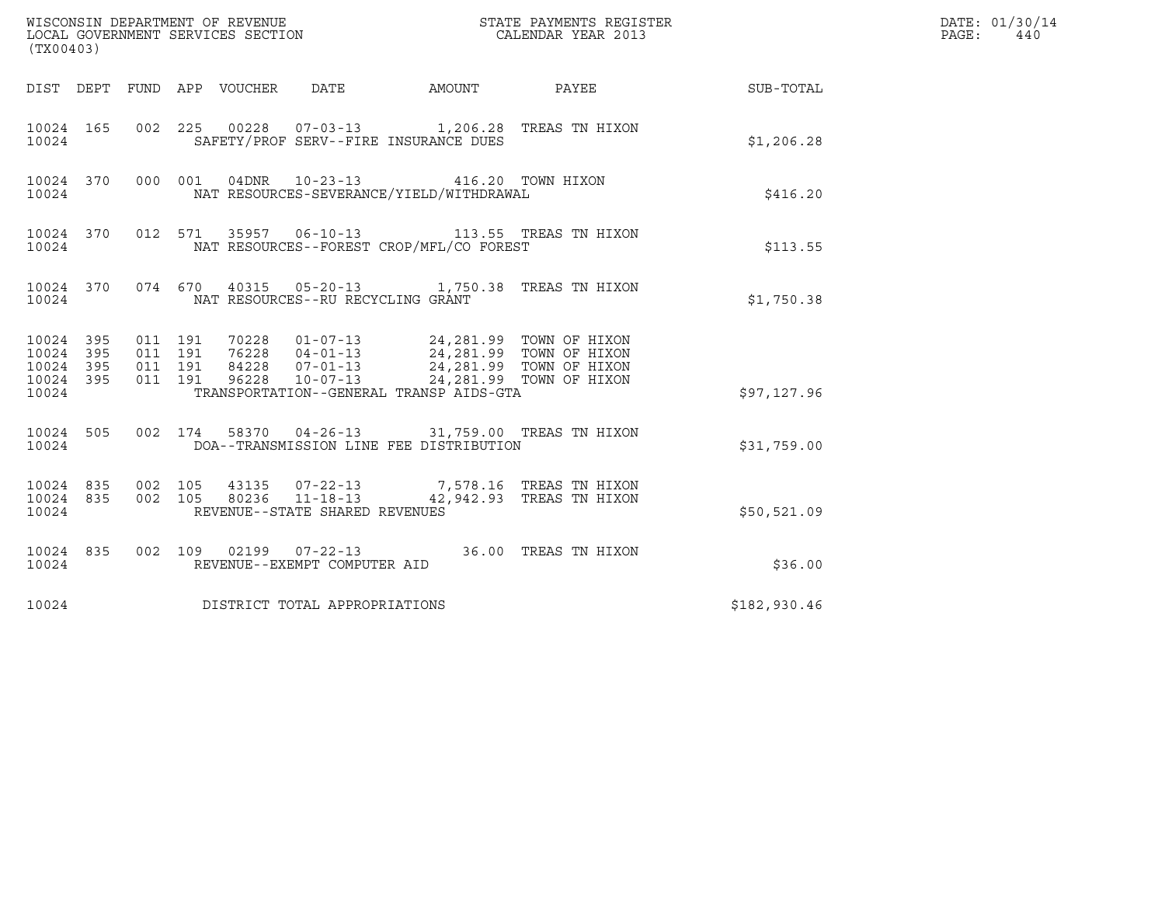| (TX00403)                                |            |                                          | WISCONSIN DEPARTMENT OF REVENUE<br>LOCAL GOVERNMENT SERVICES SECTION |                                   |                                          | STATE PAYMENTS REGISTER<br>CALENDAR YEAR 2013                                                                                                                                    |                        | DATE: 01/30/14<br>PAGE:<br>440 |
|------------------------------------------|------------|------------------------------------------|----------------------------------------------------------------------|-----------------------------------|------------------------------------------|----------------------------------------------------------------------------------------------------------------------------------------------------------------------------------|------------------------|--------------------------------|
|                                          |            |                                          | DIST DEPT FUND APP VOUCHER DATE                                      |                                   |                                          |                                                                                                                                                                                  | AMOUNT PAYEE SUB-TOTAL |                                |
| 10024 165<br>10024                       |            | 002 225                                  |                                                                      |                                   | SAFETY/PROF SERV--FIRE INSURANCE DUES    | 00228  07-03-13  1,206.28  TREAS TN HIXON                                                                                                                                        | \$1,206.28             |                                |
| 10024 370<br>10024                       |            |                                          | 000 001                                                              | 04DNR 10-23-13                    | NAT RESOURCES-SEVERANCE/YIELD/WITHDRAWAL | 416.20 TOWN HIXON                                                                                                                                                                | \$416.20               |                                |
| 10024 370<br>10024                       |            |                                          |                                                                      |                                   | NAT RESOURCES--FOREST CROP/MFL/CO FOREST | 012 571 35957 06-10-13 113.55 TREAS TN HIXON                                                                                                                                     | \$113.55               |                                |
| 10024                                    |            |                                          |                                                                      | NAT RESOURCES--RU RECYCLING GRANT |                                          | 10024 370 074 670 40315 05-20-13 1,750.38 TREAS TN HIXON                                                                                                                         | \$1,750.38             |                                |
| 10024 395<br>10024<br>10024<br>10024 395 | 395<br>395 | 011 191<br>011 191<br>011 191<br>011 191 |                                                                      |                                   |                                          | 70228  01-07-13  24,281.99  TOWN OF HIXON<br>76228  04-01-13  24,281.99  TOWN OF HIXON<br>84228  07-01-13  24,281.99  TOWN OF HIXON<br>96228  10-07-13  24,281.99  TOWN OF HIXON |                        |                                |
| 10024                                    |            |                                          |                                                                      |                                   | TRANSPORTATION--GENERAL TRANSP AIDS-GTA  |                                                                                                                                                                                  | \$97,127.96            |                                |
| 10024 505<br>10024                       |            |                                          |                                                                      |                                   | DOA--TRANSMISSION LINE FEE DISTRIBUTION  | 002 174 58370 04-26-13 31,759.00 TREAS TN HIXON                                                                                                                                  | \$31,759.00            |                                |
| 10024 835 002 105<br>10024 835<br>10024  |            | 002 105                                  |                                                                      | REVENUE--STATE SHARED REVENUES    |                                          |                                                                                                                                                                                  | \$50,521.09            |                                |
| 10024 835<br>10024                       |            |                                          |                                                                      | REVENUE--EXEMPT COMPUTER AID      |                                          | 002 109 02199 07-22-13 36.00 TREAS TN HIXON                                                                                                                                      | \$36.00                |                                |
| 10024                                    |            |                                          | DISTRICT TOTAL APPROPRIATIONS                                        |                                   |                                          |                                                                                                                                                                                  | \$182,930.46           |                                |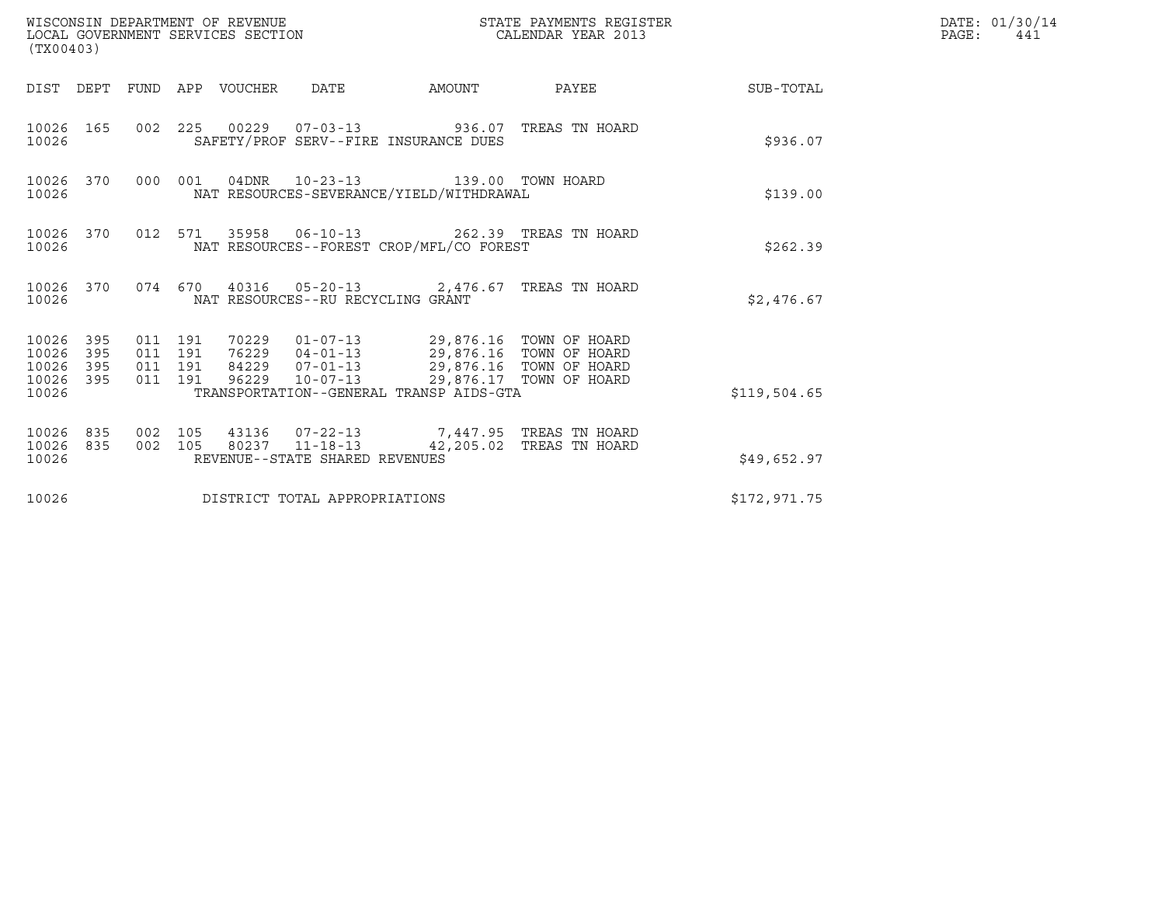| (TX00403)                                |                  |                    |                    |                                 | WISCONSIN DEPARTMENT OF REVENUE<br>LOCAL GOVERNMENT SERVICES SECTION |                                                                                                                                                                                                                                         | STATE PAYMENTS REGISTER<br>CALENDAR YEAR 2013 |              | DATE: 01/30/14<br>$\mathtt{PAGE}$ :<br>441 |
|------------------------------------------|------------------|--------------------|--------------------|---------------------------------|----------------------------------------------------------------------|-----------------------------------------------------------------------------------------------------------------------------------------------------------------------------------------------------------------------------------------|-----------------------------------------------|--------------|--------------------------------------------|
|                                          |                  |                    |                    | DIST DEPT FUND APP VOUCHER DATE |                                                                      |                                                                                                                                                                                                                                         | AMOUNT PAYEE SUB-TOTAL                        |              |                                            |
| 10026                                    | 10026 165        |                    |                    |                                 |                                                                      | 002 225 00229 07-03-13 936.07 TREAS TN HOARD<br>SAFETY/PROF SERV--FIRE INSURANCE DUES                                                                                                                                                   |                                               | \$936.07     |                                            |
| 10026                                    | 10026 370        |                    |                    |                                 |                                                                      | 000 001 04DNR 10-23-13 139.00 TOWN HOARD<br>NAT RESOURCES-SEVERANCE/YIELD/WITHDRAWAL                                                                                                                                                    |                                               | \$139.00     |                                            |
| 10026                                    | 10026 370        |                    |                    |                                 |                                                                      | 012 571 35958 06-10-13 262.39 TREAS TN HOARD<br>NAT RESOURCES--FOREST CROP/MFL/CO FOREST                                                                                                                                                |                                               | \$262.39     |                                            |
| 10026                                    |                  |                    |                    |                                 | NAT RESOURCES--RU RECYCLING GRANT                                    | 10026 370 074 670 40316 05-20-13 2,476.67 TREAS TN HOARD                                                                                                                                                                                |                                               | \$2,476.67   |                                            |
| 10026 395<br>10026<br>10026 395<br>10026 | 395<br>10026 395 | 011 191<br>011 191 | 011 191<br>011 191 |                                 |                                                                      | 70229   01-07-13   29,876.16   TOWN OF HOARD<br>76229   04-01-13   29,876.16   TOWN OF HOARD<br>84229   07-01-13   29,876.16   TOWN OF HOARD<br>96229   10-07-13   29,876.17   TOWN OF HOARD<br>TRANSPORTATION--GENERAL TRANSP AIDS-GTA |                                               | \$119,504.65 |                                            |
| 10026<br>10026                           | 835<br>10026 835 | 002 105<br>002 105 |                    |                                 | REVENUE--STATE SHARED REVENUES                                       | 43136 07-22-13 7,447.95 TREAS TN HOARD<br>80237   11-18-13   42,205.02   TREAS TN HOARD                                                                                                                                                 |                                               | \$49,652.97  |                                            |
| 10026                                    |                  |                    |                    |                                 | DISTRICT TOTAL APPROPRIATIONS                                        |                                                                                                                                                                                                                                         |                                               | \$172,971.75 |                                            |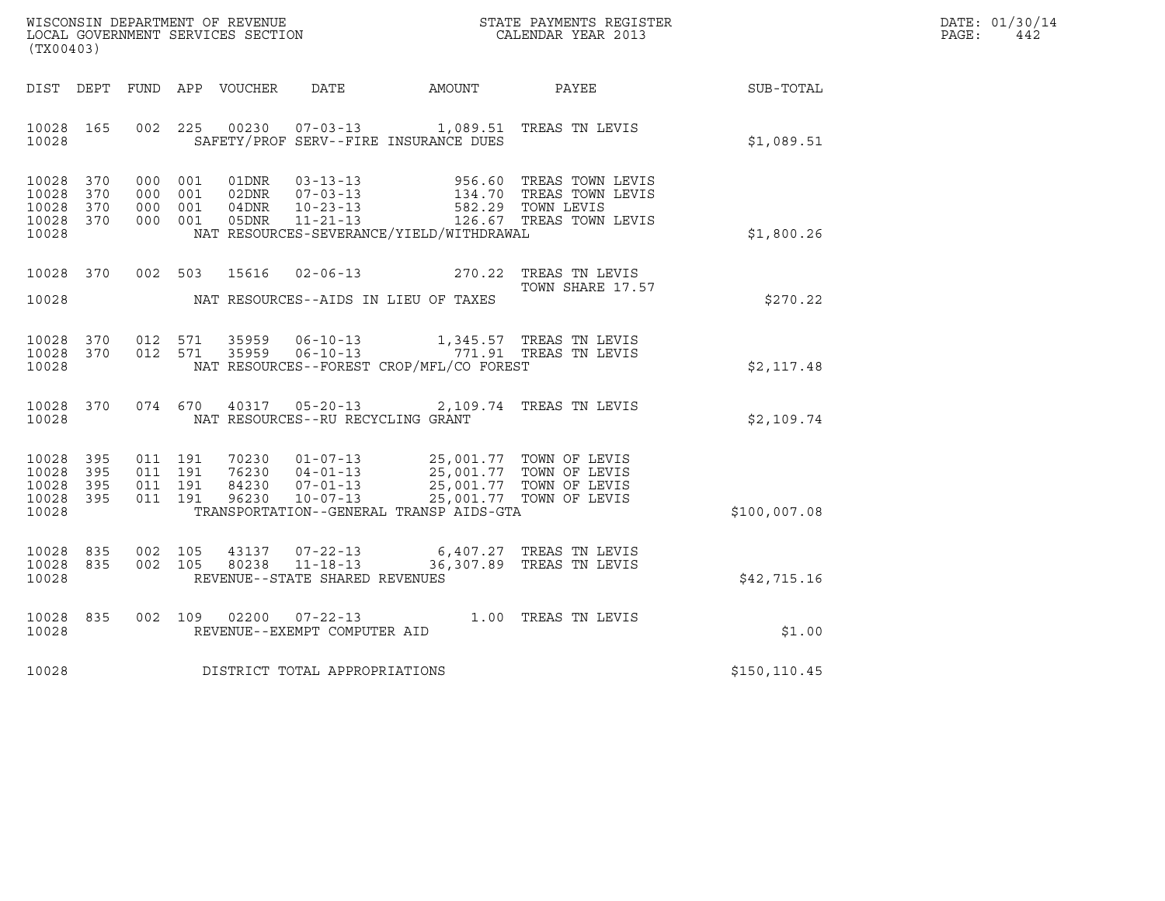| WISCONSIN DEPARTMENT OF REVENUE   | STATE PAYMENTS REGISTER | DATE: 01/30/14 |
|-----------------------------------|-------------------------|----------------|
| LOCAL GOVERNMENT SERVICES SECTION | CALENDAR YEAR 2013      | PAGE :<br>442  |

| WISCONSIN DEPARTMENT OF REVENUE<br>(TX00403)                                                      | LOCAL GOVERNMENT SERVICES SECTION                                                                                                                                                   | STATE PAYMENTS REGISTER<br>CALENDAR YEAR 2013                                                            |               |
|---------------------------------------------------------------------------------------------------|-------------------------------------------------------------------------------------------------------------------------------------------------------------------------------------|----------------------------------------------------------------------------------------------------------|---------------|
| <b>FUND</b><br>DIST<br>DEPT                                                                       | APP<br>VOUCHER<br>DATE                                                                                                                                                              | AMOUNT<br>PAYEE                                                                                          | SUB-TOTAL     |
| 10028<br>165<br>002<br>10028                                                                      | 225<br>00230<br>SAFETY/PROF SERV--FIRE INSURANCE DUES                                                                                                                               | 07-03-13 1,089.51 TREAS TN LEVIS                                                                         | \$1,089.51    |
| 10028<br>370<br>000<br>10028<br>370<br>000<br>10028<br>370<br>000<br>370<br>000<br>10028<br>10028 | 001<br>01DNR<br>$03 - 13 - 13$<br>$07 - 03 - 13$<br>001<br>02DNR<br>$04$ DNR<br>$10 - 23 - 13$<br>001<br>$11 - 21 - 13$<br>001<br>05DNR<br>NAT RESOURCES-SEVERANCE/YIELD/WITHDRAWAL | 956.60 TREAS TOWN LEVIS<br>TREAS TOWN LEVIS<br>134.70<br>582.29 TOWN LEVIS<br>126.67 TREAS TOWN LEVIS    | \$1,800.26    |
| 10028<br>370<br>002<br>10028                                                                      | 503<br>15616<br>$02 - 06 - 13$<br>NAT RESOURCES--AIDS IN LIEU OF TAXES                                                                                                              | 270.22<br>TREAS TN LEVIS<br>TOWN SHARE 17.57                                                             | \$270.22      |
| 10028<br>370<br>012<br>10028<br>370<br>012<br>10028                                               | 571<br>35959<br>$06 - 10 - 13$<br>571<br>35959<br>NAT RESOURCES--FOREST CROP/MFL/CO FOREST                                                                                          | 1,345.57 TREAS TN LEVIS<br>06-10-13 771.91 TREAS TN LEVIS                                                | \$2,117.48    |
| 10028<br>370<br>10028                                                                             | $05 - 20 - 13$<br>074 670<br>40317<br>NAT RESOURCES--RU RECYCLING GRANT                                                                                                             | 2,109.74 TREAS TN LEVIS                                                                                  | \$2,109.74    |
| 011<br>10028<br>395<br>011<br>10028<br>395<br>10028<br>011<br>395<br>10028<br>395<br>011<br>10028 | 191<br>70230<br>$01 - 07 - 13$<br>191<br>76230<br>$04 - 01 - 13$<br>191<br>84230<br>$07 - 01 - 13$<br>191<br>96230<br>$10 - 07 - 13$<br>TRANSPORTATION--GENERAL TRANSP AIDS-GTA     | 25,001.77 TOWN OF LEVIS<br>25,001.77 TOWN OF LEVIS<br>25,001.77 TOWN OF LEVIS<br>25,001.77 TOWN OF LEVIS | \$100,007.08  |
| 835<br>002<br>10028<br>10028<br>835<br>002<br>10028                                               | 105<br>43137<br>$07 - 22 - 13$<br>$11 - 18 - 13$<br>105<br>80238<br>REVENUE--STATE SHARED REVENUES                                                                                  | TREAS TN LEVIS<br>6,407.27<br>36,307.89<br>TREAS TN LEVIS                                                | \$42,715.16   |
| 10028<br>835<br>002<br>10028                                                                      | 109<br>02200<br>$07 - 22 - 13$<br>REVENUE--EXEMPT COMPUTER AID                                                                                                                      | 1.00 TREAS TN LEVIS                                                                                      | \$1.00        |
| 10028                                                                                             | DISTRICT TOTAL APPROPRIATIONS                                                                                                                                                       |                                                                                                          | \$150, 110.45 |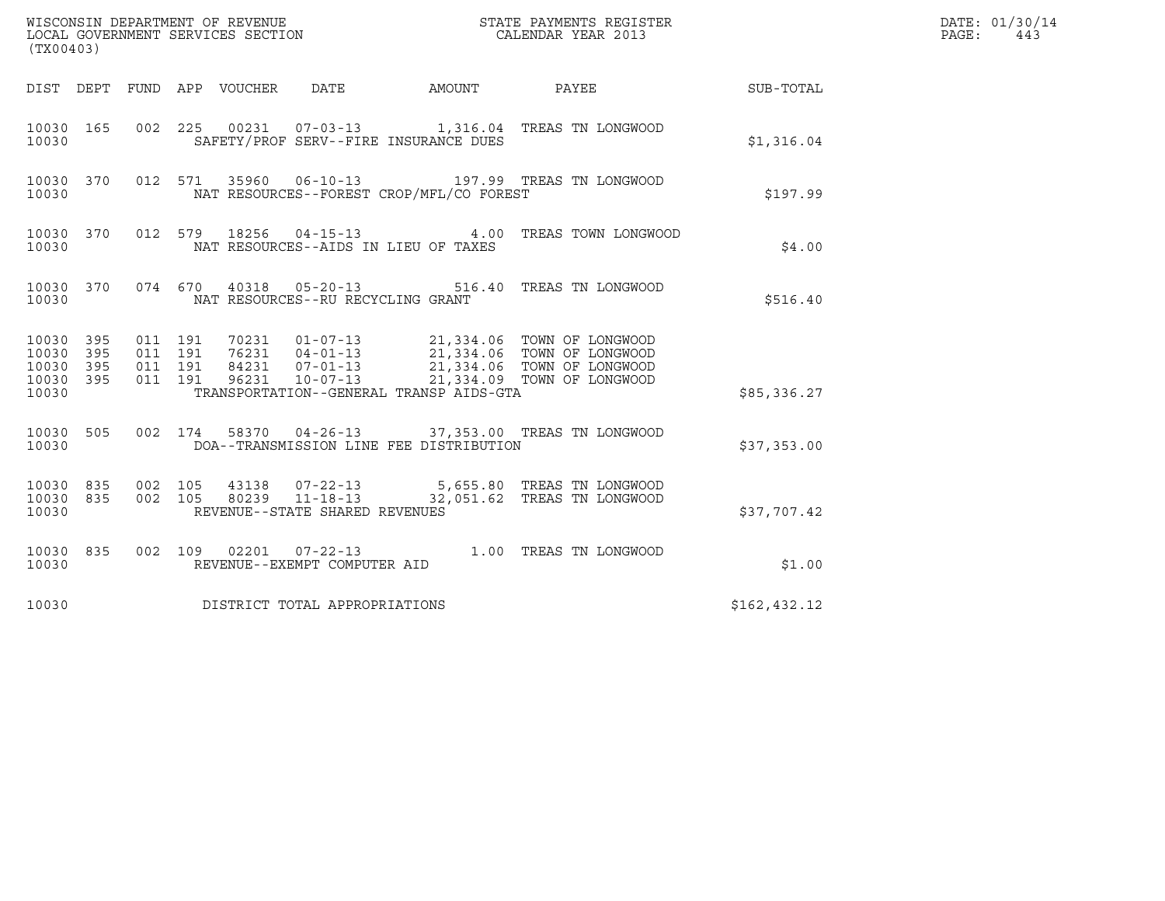| (TX00403)                                         |            |                               |         |                            | WISCONSIN DEPARTMENT OF REVENUE<br>LOCAL GOVERNMENT SERVICES SECTION |                                          | STATE PAYMENTS REGISTER<br>CALENDAR YEAR 2013                                                                                                                                                                                                                                                                                     |                 | DATE: 01/30/14<br>PAGE:<br>443 |
|---------------------------------------------------|------------|-------------------------------|---------|----------------------------|----------------------------------------------------------------------|------------------------------------------|-----------------------------------------------------------------------------------------------------------------------------------------------------------------------------------------------------------------------------------------------------------------------------------------------------------------------------------|-----------------|--------------------------------|
|                                                   |            |                               |         | DIST DEPT FUND APP VOUCHER | DATE                                                                 | AMOUNT                                   |                                                                                                                                                                                                                                                                                                                                   | PAYEE SUB-TOTAL |                                |
| 10030 165<br>10030                                |            | 002 225                       |         |                            |                                                                      | SAFETY/PROF SERV--FIRE INSURANCE DUES    | 00231  07-03-13  1,316.04 TREAS TN LONGWOOD                                                                                                                                                                                                                                                                                       | \$1,316.04      |                                |
| 10030 370<br>10030                                |            |                               | 012 571 |                            | 35960 06-10-13                                                       | NAT RESOURCES--FOREST CROP/MFL/CO FOREST | 197.99 TREAS TN LONGWOOD                                                                                                                                                                                                                                                                                                          | \$197.99        |                                |
| 10030 370<br>10030                                |            |                               | 012 579 | 18256                      | $04 - 15 - 13$                                                       | NAT RESOURCES--AIDS IN LIEU OF TAXES     | 4.00 TREAS TOWN LONGWOOD                                                                                                                                                                                                                                                                                                          | \$4.00          |                                |
| 10030 370<br>10030                                |            |                               |         |                            | NAT RESOURCES--RU RECYCLING GRANT                                    |                                          | 074 670 40318 05-20-13 516.40 TREAS TN LONGWOOD                                                                                                                                                                                                                                                                                   | \$516.40        |                                |
| 10030 395<br>10030<br>10030<br>10030 395<br>10030 | 395<br>395 | 011 191<br>011 191<br>011 191 | 011 191 |                            |                                                                      | TRANSPORTATION--GENERAL TRANSP AIDS-GTA  | $\begin{array}{cccc} 70231 & 01\hbox{-}07\hbox{-}13 & 21,334.06 & \text{TOWN OF LONGWOOD} \\ 76231 & 04\hbox{-}01\hbox{-}13 & 21,334.06 & \text{TOWN OF LONGWOOD} \\ 84231 & 07\hbox{-}01\hbox{-}13 & 21,334.06 & \text{TOWN OF LONGWOOD} \\ 96231 & 10\hbox{-}07\hbox{-}13 & 21,334.09 & \text{TOWN OF LONGWOOD} \\ \end{array}$ | \$85,336.27     |                                |
| 10030 505<br>10030                                |            |                               | 002 174 |                            |                                                                      | DOA--TRANSMISSION LINE FEE DISTRIBUTION  | 58370  04-26-13  37,353.00  TREAS TN LONGWOOD                                                                                                                                                                                                                                                                                     | \$37,353.00     |                                |
| 10030 835<br>10030 835<br>10030                   |            | 002 105<br>002 105            |         |                            | REVENUE--STATE SHARED REVENUES                                       |                                          | 43138  07-22-13  5,655.80  TREAS TN LONGWOOD<br>80239 11-18-13 32,051.62 TREAS TN LONGWOOD                                                                                                                                                                                                                                        | \$37,707.42     |                                |
| 10030 835<br>10030                                |            |                               |         |                            | REVENUE--EXEMPT COMPUTER AID                                         |                                          | 002 109 02201 07-22-13 1.00 TREAS TN LONGWOOD                                                                                                                                                                                                                                                                                     | \$1.00          |                                |
| 10030                                             |            |                               |         |                            | DISTRICT TOTAL APPROPRIATIONS                                        |                                          |                                                                                                                                                                                                                                                                                                                                   | \$162, 432.12   |                                |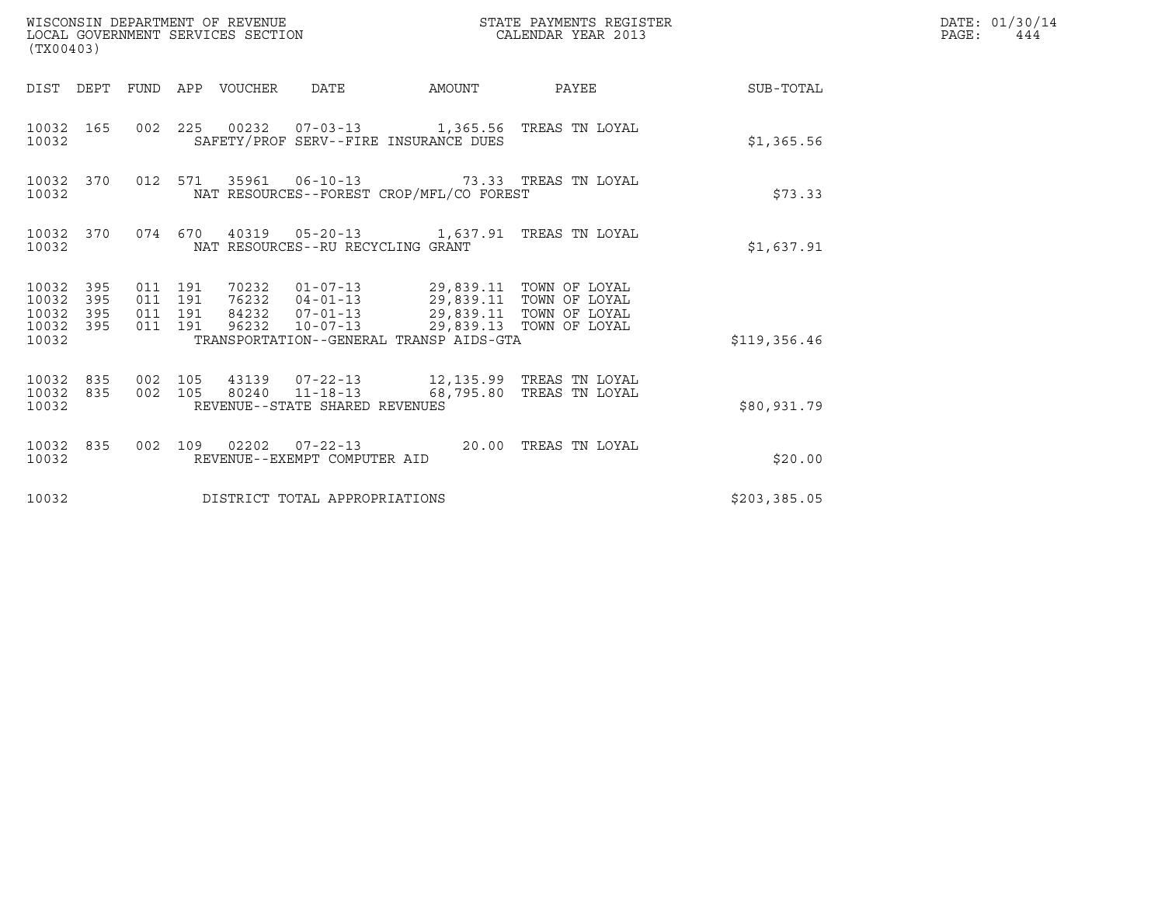| (TX00403)                                                    | WISCONSIN DEPARTMENT OF REVENUE<br>LOCAL GOVERNMENT SERVICES SECTION                                                                                                       | STATE PAYMENTS REGISTER<br>CALENDAR YEAR 2013 | DATE: 01/30/14<br>PAGE:<br>444 |
|--------------------------------------------------------------|----------------------------------------------------------------------------------------------------------------------------------------------------------------------------|-----------------------------------------------|--------------------------------|
|                                                              | DIST DEPT FUND APP VOUCHER DATE                                                                                                                                            | AMOUNT PAYEE SUB-TOTAL                        |                                |
| 10032 165<br>10032                                           | 002 225 00232 07-03-13 1,365.56 TREAS TN LOYAL<br>SAFETY/PROF SERV--FIRE INSURANCE DUES                                                                                    | \$1,365.56                                    |                                |
| 10032 370<br>10032                                           | 012 571 35961 06-10-13 73.33 TREAS TN LOYAL<br>NAT RESOURCES--FOREST CROP/MFL/CO FOREST                                                                                    | \$73.33                                       |                                |
| 10032                                                        | 10032 370 074 670 40319 05-20-13 1,637.91 TREAS TN LOYAL<br>NAT RESOURCES--RU RECYCLING GRANT                                                                              | \$1,637.91                                    |                                |
| 10032 395<br>10032<br>395<br>10032 395<br>10032 395<br>10032 | 011 191<br>011 191<br>84232  07-01-13  29,839.11  TOWN OF LOYAL<br>011 191<br>96232 10-07-13 29,839.13 TOWN OF LOYAL<br>011 191<br>TRANSPORTATION--GENERAL TRANSP AIDS-GTA | \$119,356.46                                  |                                |
| 10032 835<br>10032 835<br>10032                              | 43139  07-22-13  12,135.99  TREAS TN LOYAL<br>002 105<br>002 105 80240 11-18-13 68,795.80 TREAS TN LOYAL<br>REVENUE--STATE SHARED REVENUES                                 | \$80,931.79                                   |                                |
| 10032 835<br>10032                                           | 002 109 02202 07-22-13 20.00 TREAS TN LOYAL<br>REVENUE--EXEMPT COMPUTER AID                                                                                                | \$20.00                                       |                                |
| 10032                                                        | DISTRICT TOTAL APPROPRIATIONS                                                                                                                                              | \$203, 385.05                                 |                                |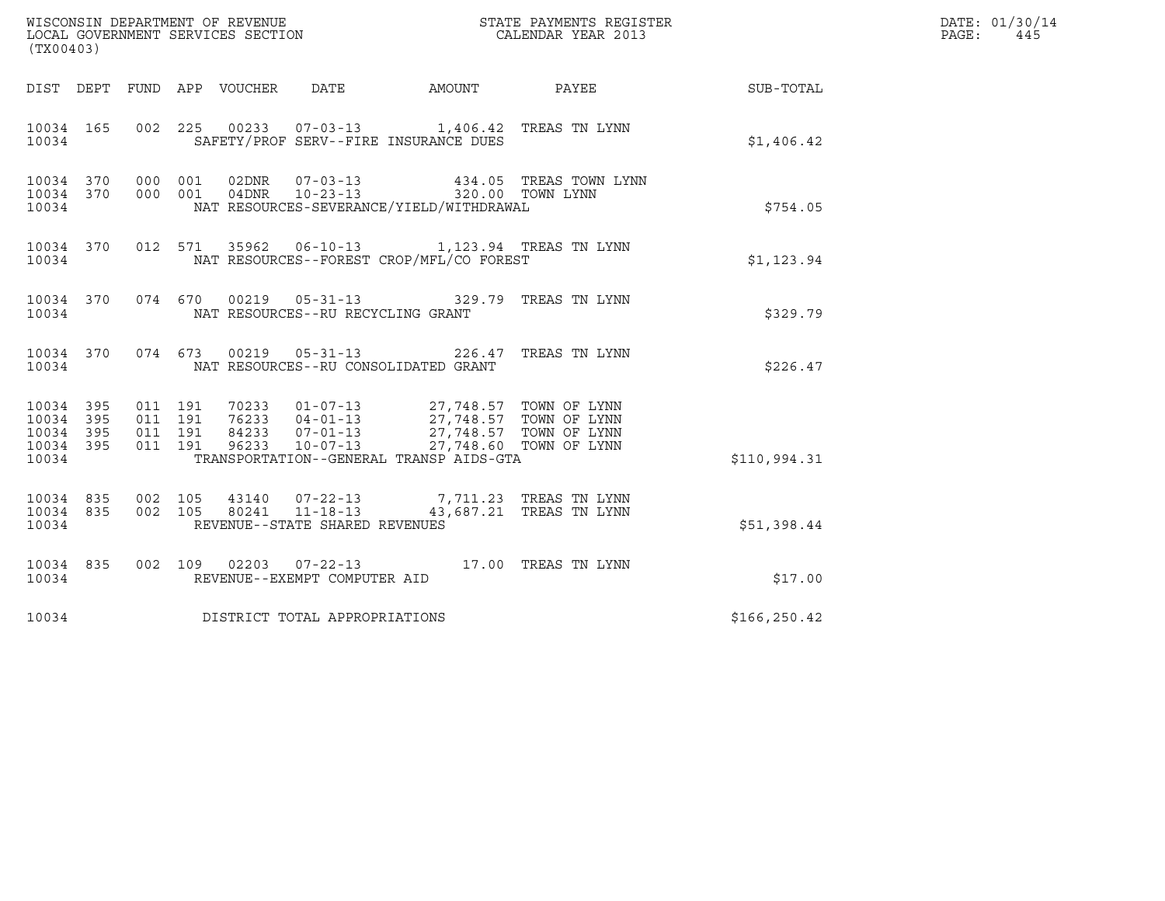| (TX00403)                                                 |                                          | $\tt WISCONSIM DEPARTMENT OF REVENUE$ $\tt WISCONMIN SERS THE RAYMENT S REGISTERLOCAL GOVERNMENT SERVICES SECTION CALENDAR YEAR 2013$                                                                                                                                        |               | DATE: 01/30/14<br>PAGE:<br>445 |
|-----------------------------------------------------------|------------------------------------------|------------------------------------------------------------------------------------------------------------------------------------------------------------------------------------------------------------------------------------------------------------------------------|---------------|--------------------------------|
|                                                           |                                          |                                                                                                                                                                                                                                                                              | SUB-TOTAL     |                                |
| 10034 165<br>10034                                        |                                          | 002 225 00233 07-03-13 1,406.42 TREAS TN LYNN<br>SAFETY/PROF SERV--FIRE INSURANCE DUES                                                                                                                                                                                       | \$1,406.42    |                                |
| 10034 370 000 001<br>10034 370<br>10034                   |                                          | 000 001 02DNR 07-03-13 434.05 TREAS TOWN 4000 001 04DNR 10-23-13 320.00 TOWN LYNN<br>434.05 TREAS TOWN LYNN<br>NAT RESOURCES-SEVERANCE/YIELD/WITHDRAWAL                                                                                                                      | \$754.05      |                                |
| 10034                                                     |                                          | 10034 370 012 571 35962 06-10-13 1,123.94 TREAS TN LYNN<br>NAT RESOURCES--FOREST CROP/MFL/CO FOREST                                                                                                                                                                          | \$1,123.94    |                                |
| 10034                                                     |                                          | 10034 370 074 670 00219 05-31-13 329.79 TREAS TN LYNN<br>NAT RESOURCES--RU RECYCLING GRANT                                                                                                                                                                                   | \$329.79      |                                |
| 10034                                                     |                                          | 10034 370 074 673 00219 05-31-13 226.47 TREAS TN LYNN<br>NAT RESOURCES--RU CONSOLIDATED GRANT                                                                                                                                                                                | \$226.47      |                                |
| 10034 395<br>10034 395<br>10034 395<br>10034 395<br>10034 | 011 191<br>011 191<br>011 191<br>011 191 | $\begin{tabular}{cccc} 70233 & 01-07-13 & 27,748.57 & TOWN OF LYNN \\ 76233 & 04-01-13 & 27,748.57 & TOWN OF LYNN \\ 84233 & 07-01-13 & 27,748.57 & TOWN OF LYNN \\ 96233 & 10-07-13 & 27,748.60 & TOWN OF LYNN \\ \end{tabular}$<br>TRANSPORTATION--GENERAL TRANSP AIDS-GTA | \$110,994.31  |                                |
| 10034 835<br>10034 835<br>10034                           |                                          | $\begin{array}{cccc} 002 & 105 & 43140 & 07-22-13 & 7,711.23 & \text{TREAS TN LYNN} \\ 002 & 105 & 80241 & 11-18-13 & 43,687.21 & \text{TREAS TN LYNN} \end{array}$<br>REVENUE--STATE SHARED REVENUES                                                                        | \$51,398.44   |                                |
| 10034 835<br>10034                                        |                                          | 002 109 02203 07-22-13 17.00 TREAS TN LYNN<br>REVENUE--EXEMPT COMPUTER AID                                                                                                                                                                                                   | \$17.00       |                                |
| 10034                                                     |                                          | DISTRICT TOTAL APPROPRIATIONS                                                                                                                                                                                                                                                | \$166, 250.42 |                                |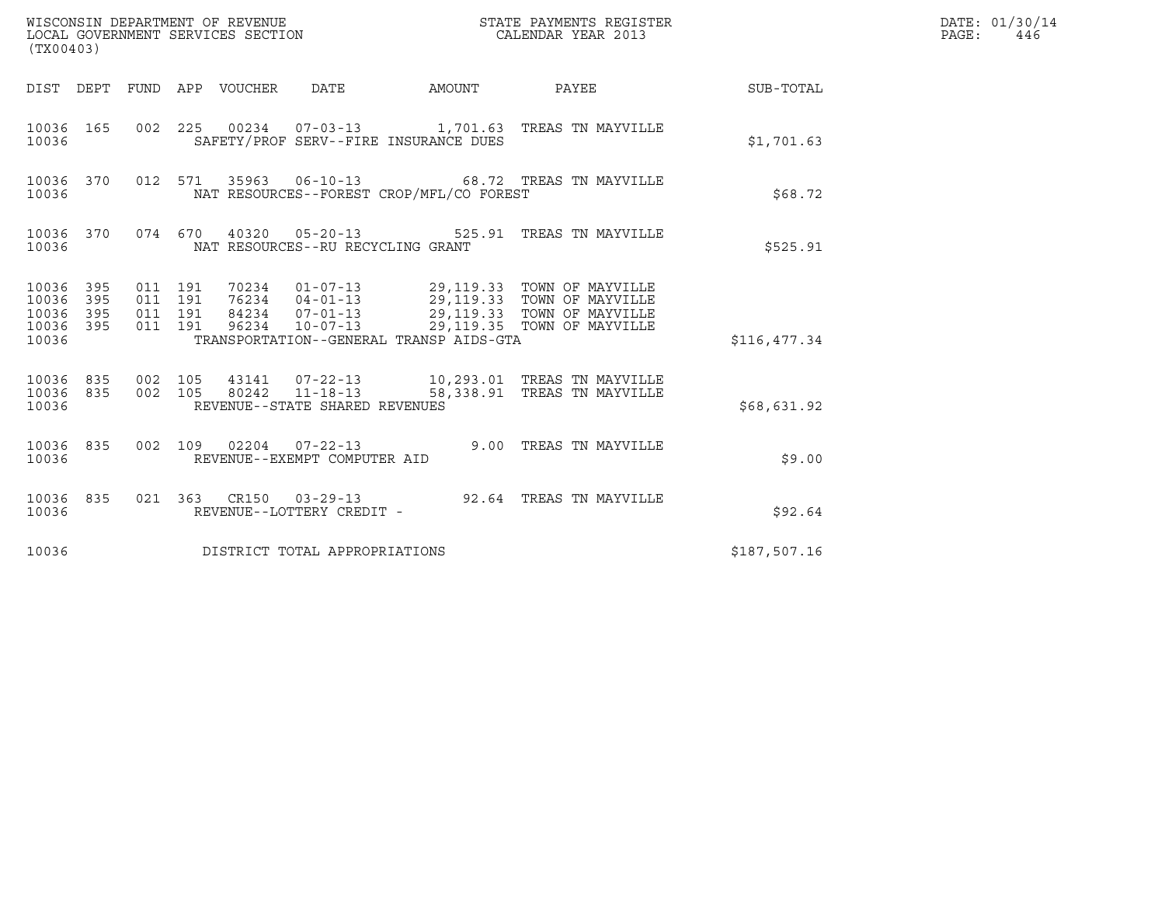| (TX00403)                                         |            |                                          |                                 |                                   |                                          | ${\tt WISCONSIM\ DEPARTMENT\ OF\ REVENUE}\qquad \qquad {\tt STATE\ PAYMENTS\ REGISTER\ LOCAL\ GOVERNMENT\ SERVICES\ SECTION\qquad \qquad {\tt CALENDAR\ YEAR\ 2013}}$                     |              | DATE: 01/30/14<br>$\mathtt{PAGE}$ :<br>446 |
|---------------------------------------------------|------------|------------------------------------------|---------------------------------|-----------------------------------|------------------------------------------|-------------------------------------------------------------------------------------------------------------------------------------------------------------------------------------------|--------------|--------------------------------------------|
|                                                   |            |                                          | DIST DEPT FUND APP VOUCHER DATE |                                   | AMOUNT                                   | PAYEE                                                                                                                                                                                     | SUB-TOTAL    |                                            |
| 10036 165<br>10036                                |            |                                          |                                 |                                   | SAFETY/PROF SERV--FIRE INSURANCE DUES    | 002  225  00234  07-03-13  1,701.63  TREAS TN MAYVILLE                                                                                                                                    | \$1,701.63   |                                            |
| 10036 370<br>10036                                |            |                                          |                                 |                                   | NAT RESOURCES--FOREST CROP/MFL/CO FOREST | 012 571 35963 06-10-13 68.72 TREAS TN MAYVILLE                                                                                                                                            | \$68.72      |                                            |
| 10036                                             | 10036 370  |                                          |                                 | NAT RESOURCES--RU RECYCLING GRANT |                                          | 074 670 40320 05-20-13 525.91 TREAS TN MAYVILLE                                                                                                                                           | \$525.91     |                                            |
| 10036 395<br>10036<br>10036<br>10036 395<br>10036 | 395<br>395 | 011 191<br>011 191<br>011 191<br>011 191 |                                 |                                   | TRANSPORTATION--GENERAL TRANSP AIDS-GTA  | 70234  01-07-13  29,119.33  TOWN OF MAYVILLE<br>76234  04-01-13  29,119.33  TOWN OF MAYVILLE<br>84234  07-01-13  29,119.33  TOWN OF MAYVILLE<br>96234 10-07-13 29,119.35 TOWN OF MAYVILLE | \$116,477.34 |                                            |
| 10036                                             | 10036 835  | 10036 835 002 105                        |                                 | REVENUE--STATE SHARED REVENUES    |                                          | $\begin{array}{cccc} 002 & 105 & 43141 & 07-22-13 & 10,293.01 & \text{TREAS TN MAYVILLE} \\ 002 & 105 & 80242 & 11-18-13 & 58,338.91 & \text{TREAS TN MAYVILLE} \end{array}$              | \$68,631.92  |                                            |
| 10036 835<br>10036                                |            |                                          |                                 | REVENUE--EXEMPT COMPUTER AID      |                                          | 002 109 02204 07-22-13 9.00 TREAS TN MAYVILLE                                                                                                                                             | \$9.00       |                                            |
| 10036 835<br>10036                                |            |                                          |                                 | REVENUE--LOTTERY CREDIT -         |                                          | 021  363  CR150  03-29-13  92.64  TREAS TN MAYVILLE                                                                                                                                       | \$92.64      |                                            |
| 10036                                             |            |                                          |                                 | DISTRICT TOTAL APPROPRIATIONS     |                                          |                                                                                                                                                                                           | \$187,507.16 |                                            |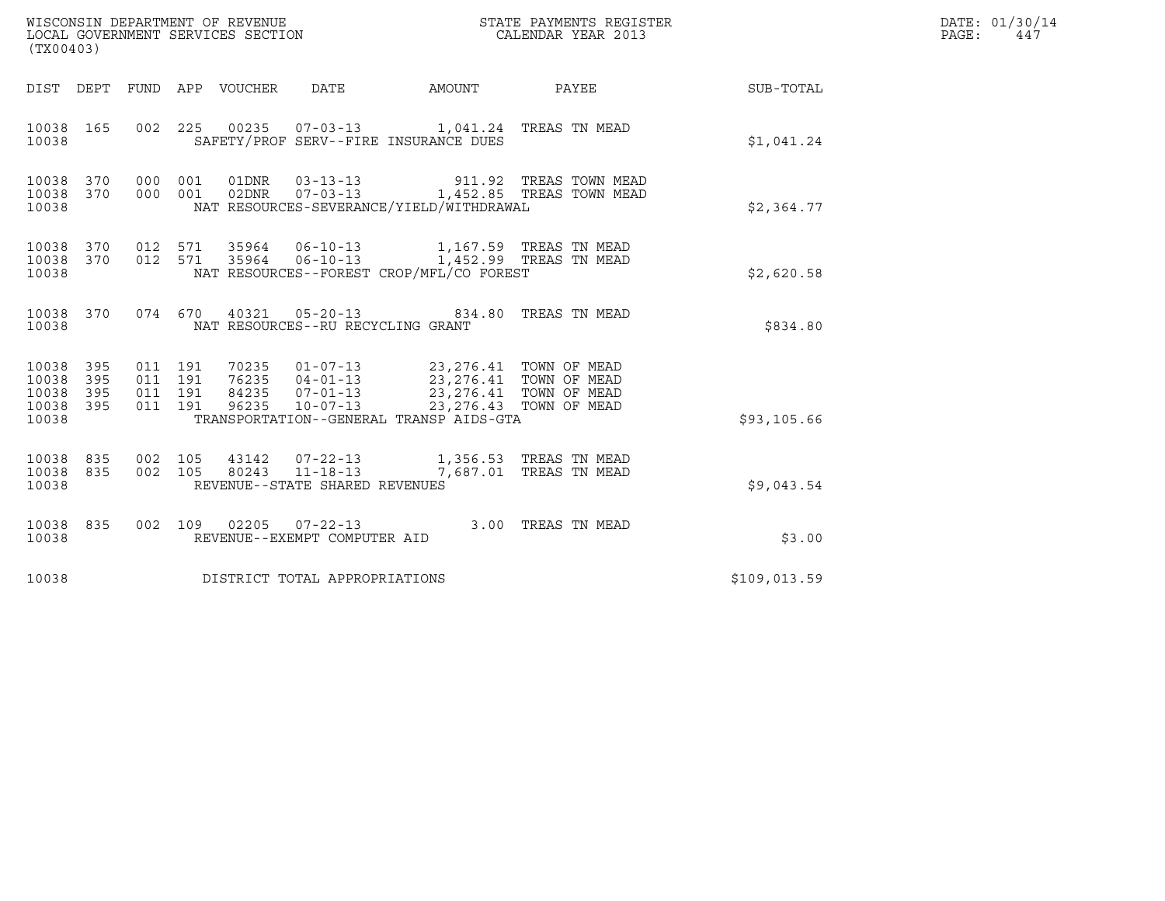| (TX00403)                                 |                          |                                          |         |                                 | WISCONSIN DEPARTMENT OF REVENUE<br>LOCAL GOVERNMENT SERVICES SECTION |                                                                                                                                                | STATE PAYMENTS REGISTER<br>CALENDAR YEAR 2013 |  | DATE: 01/30/14<br>PAGE: 447 |  |
|-------------------------------------------|--------------------------|------------------------------------------|---------|---------------------------------|----------------------------------------------------------------------|------------------------------------------------------------------------------------------------------------------------------------------------|-----------------------------------------------|--|-----------------------------|--|
|                                           |                          |                                          |         | DIST DEPT FUND APP VOUCHER DATE |                                                                      |                                                                                                                                                |                                               |  | AMOUNT PAYEE SUB-TOTAL      |  |
| 10038 165<br>10038                        |                          |                                          |         |                                 |                                                                      | 002 225 00235 07-03-13 1,041.24 TREAS TN MEAD<br>SAFETY/PROF SERV--FIRE INSURANCE DUES                                                         |                                               |  | \$1,041.24                  |  |
| 10038<br>10038<br>10038                   | 370<br>370               | 000<br>000 001                           | 001     |                                 |                                                                      | 01DNR  03-13-13  911.92 TREAS TOWN MEAD<br>02DNR  07-03-13  1,452.85 TREAS TOWN MEAD<br>NAT RESOURCES-SEVERANCE/YIELD/WITHDRAWAL               |                                               |  | \$2,364.77                  |  |
| 10038<br>10038 370<br>10038               |                          |                                          |         |                                 |                                                                      | 370 012 571 35964 06-10-13 1,167.59 TREAS TN MEAD<br>012 571 35964 06-10-13 1,452.99 TREAS TN MEAD<br>NAT RESOURCES--FOREST CROP/MFL/CO FOREST |                                               |  | \$2,620.58                  |  |
| 10038 370<br>10038                        |                          |                                          |         |                                 | NAT RESOURCES--RU RECYCLING GRANT                                    | 074 670 40321 05-20-13 834.80 TREAS TN MEAD                                                                                                    |                                               |  | \$834.80                    |  |
| 10038<br>10038<br>10038<br>10038<br>10038 | 395<br>395<br>395<br>395 | 011 191<br>011 191<br>011 191<br>011 191 |         |                                 |                                                                      | TRANSPORTATION--GENERAL TRANSP AIDS-GTA                                                                                                        |                                               |  | \$93,105.66                 |  |
| 10038<br>10038<br>10038                   | 835<br>835               | 002 105                                  | 002 105 |                                 | REVENUE--STATE SHARED REVENUES                                       | 43142  07-22-13  1,356.53  TREAS TN MEAD<br>80243  11-18-13  7,687.01 TREAS TN MEAD                                                            |                                               |  | \$9,043.54                  |  |
| 10038<br>10038                            | 835                      |                                          |         |                                 | 002 109 02205 07-22-13<br>REVENUE--EXEMPT COMPUTER AID               |                                                                                                                                                | 3.00 TREAS TN MEAD                            |  | \$3.00                      |  |
| 10038                                     |                          |                                          |         |                                 | DISTRICT TOTAL APPROPRIATIONS                                        |                                                                                                                                                |                                               |  | \$109,013.59                |  |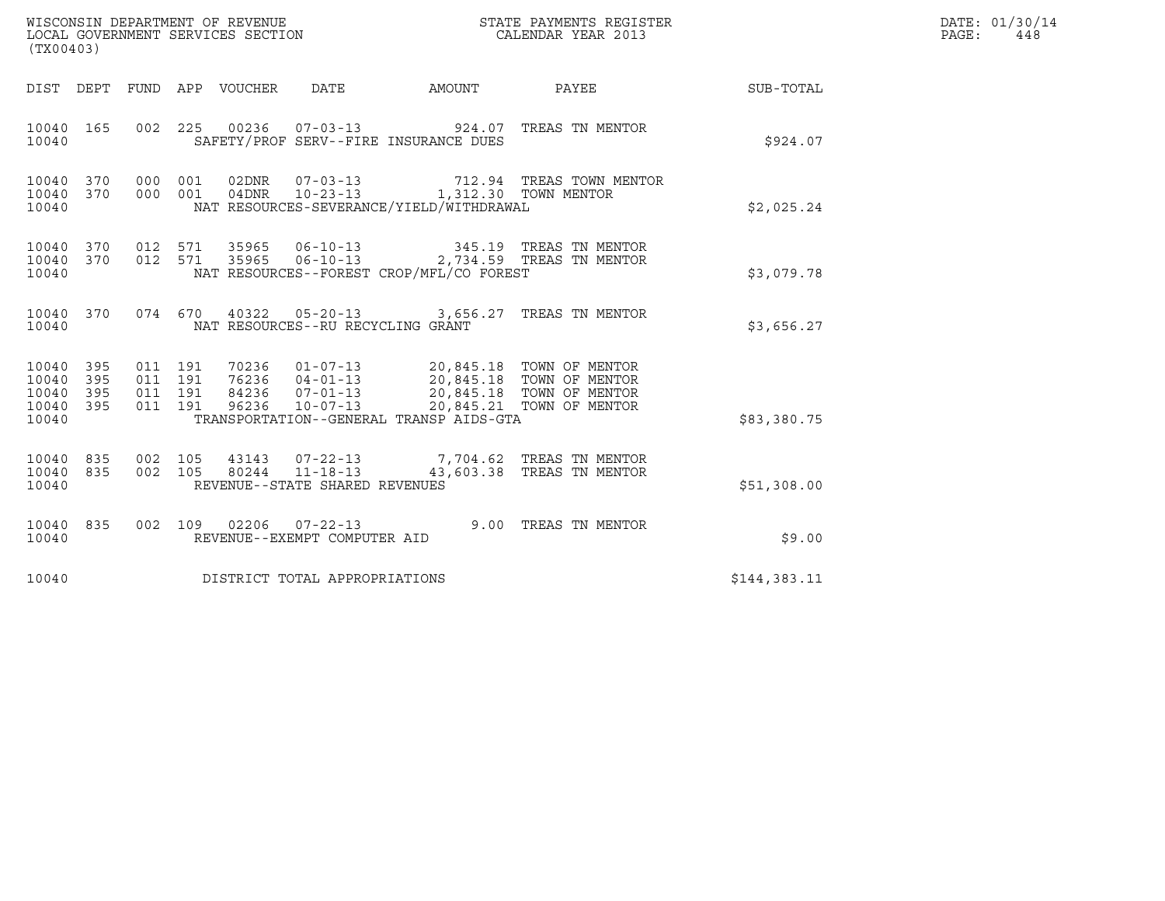| (TX00403)                                 |                          |                                          |     | WISCONSIN DEPARTMENT OF REVENUE<br>LOCAL GOVERNMENT SERVICES SECTION |                                                        | STATE PAYMENTS REGISTER<br>CALENDAR YEAR 2013                                      |                                                                                        | DATE: 01/30/14<br>PAGE:<br>448 |  |
|-------------------------------------------|--------------------------|------------------------------------------|-----|----------------------------------------------------------------------|--------------------------------------------------------|------------------------------------------------------------------------------------|----------------------------------------------------------------------------------------|--------------------------------|--|
|                                           |                          |                                          |     | DIST DEPT FUND APP VOUCHER DATE                                      |                                                        | AMOUNT                                                                             | PAYEE                                                                                  | <b>SUB-TOTAL</b>               |  |
| 10040 165<br>10040                        |                          |                                          |     |                                                                      |                                                        | SAFETY/PROF SERV--FIRE INSURANCE DUES                                              | 002  225  00236  07-03-13  924.07  TREAS TN MENTOR                                     | \$924.07                       |  |
| 10040<br>10040<br>10040                   | 370<br>370               | 000<br>000 001                           | 001 |                                                                      |                                                        | 04DNR  10-23-13  1,312.30  TOWN MENTOR<br>NAT RESOURCES-SEVERANCE/YIELD/WITHDRAWAL | 02DNR  07-03-13  712.94 TREAS TOWN MENTOR                                              | \$2,025.24                     |  |
| 10040<br>10040<br>10040                   | 370                      | 370 012 571<br>012 571                   |     |                                                                      |                                                        | NAT RESOURCES--FOREST CROP/MFL/CO FOREST                                           | 35965  06-10-13  345.19  TREAS TN MENTOR<br>35965  06-10-13  2,734.59  TREAS TN MENTOR | \$3,079.78                     |  |
| 10040 370<br>10040                        |                          |                                          |     |                                                                      | NAT RESOURCES--RU RECYCLING GRANT                      |                                                                                    | 074 670 40322 05-20-13 3,656.27 TREAS TN MENTOR                                        | \$3,656.27                     |  |
| 10040<br>10040<br>10040<br>10040<br>10040 | 395<br>395<br>395<br>395 | 011 191<br>011 191<br>011 191<br>011 191 |     |                                                                      |                                                        | TRANSPORTATION--GENERAL TRANSP AIDS-GTA                                            |                                                                                        | \$83,380.75                    |  |
| 10040<br>10040<br>10040                   | 835<br>835               | 002 105<br>002 105                       |     |                                                                      | 80244 11-18-13<br>REVENUE--STATE SHARED REVENUES       |                                                                                    | 43143  07-22-13  7,704.62  TREAS TN MENTOR<br>43,603.38 TREAS TN MENTOR                | \$51,308.00                    |  |
| 10040 835<br>10040                        |                          |                                          |     |                                                                      | 002 109 02206 07-22-13<br>REVENUE--EXEMPT COMPUTER AID |                                                                                    | 9.00 TREAS TN MENTOR                                                                   | \$9.00                         |  |
| 10040                                     |                          |                                          |     |                                                                      | DISTRICT TOTAL APPROPRIATIONS                          |                                                                                    |                                                                                        | \$144,383.11                   |  |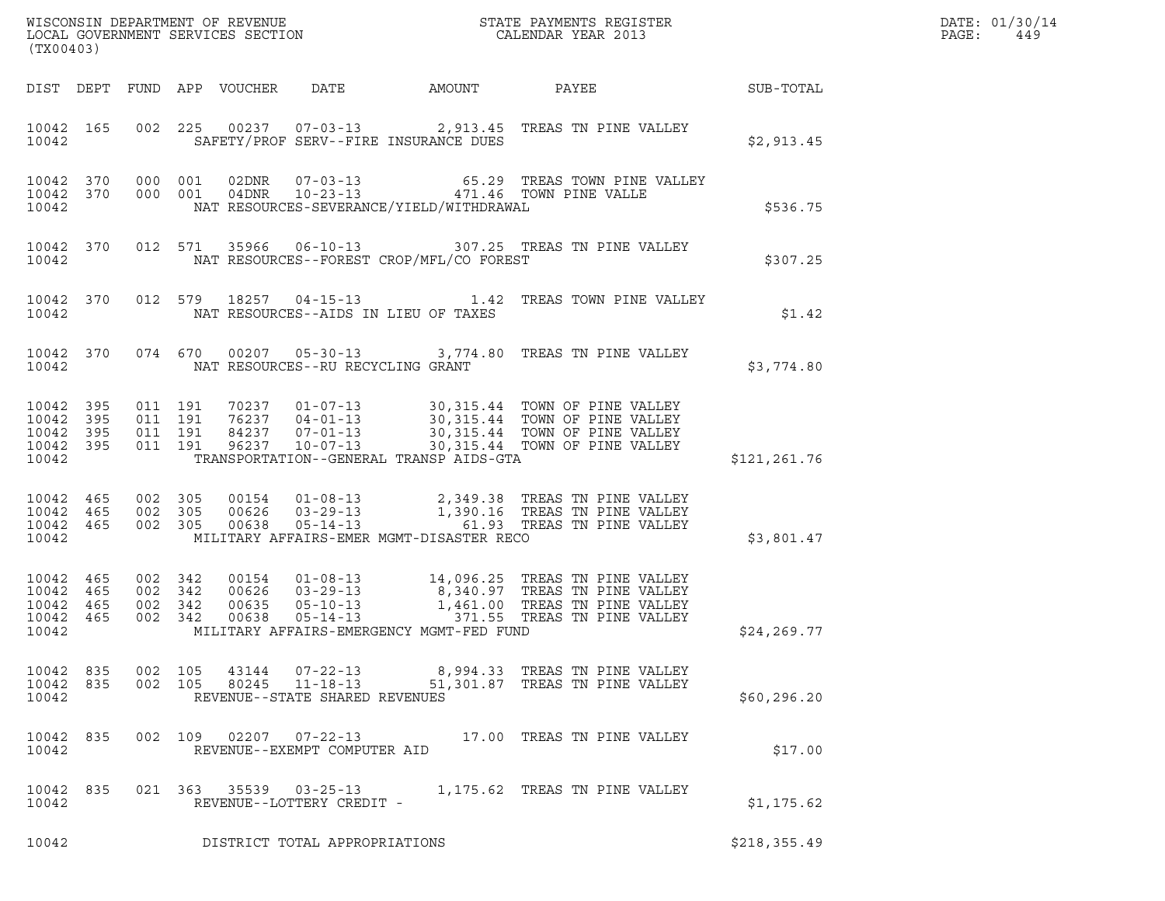| (TX00403)                                                 |     |                                          |                               |       |                                                  |                                              |                                                                                                                                                                                                          |               | DATE: 01/30/14<br>PAGE:<br>449 |
|-----------------------------------------------------------|-----|------------------------------------------|-------------------------------|-------|--------------------------------------------------|----------------------------------------------|----------------------------------------------------------------------------------------------------------------------------------------------------------------------------------------------------------|---------------|--------------------------------|
|                                                           |     |                                          |                               |       |                                                  | DIST DEPT FUND APP VOUCHER DATE AMOUNT PAYEE | <b>SUB-TOTAL</b>                                                                                                                                                                                         |               |                                |
| 10042 165<br>10042                                        |     |                                          |                               |       |                                                  | SAFETY/PROF SERV--FIRE INSURANCE DUES        | 002 225 00237 07-03-13 2,913.45 TREAS TN PINE VALLEY                                                                                                                                                     | \$2,913.45    |                                |
| 10042                                                     |     | 10042 370 000 001<br>10042 370 000 001   |                               |       |                                                  | NAT RESOURCES-SEVERANCE/YIELD/WITHDRAWAL     |                                                                                                                                                                                                          | \$536.75      |                                |
| 10042 370<br>10042                                        |     |                                          |                               |       |                                                  | NAT RESOURCES--FOREST CROP/MFL/CO FOREST     | 012 571 35966 06-10-13 307.25 TREAS TN PINE VALLEY                                                                                                                                                       | \$307.25      |                                |
| 10042 370<br>10042                                        |     |                                          |                               |       |                                                  | NAT RESOURCES--AIDS IN LIEU OF TAXES         | 012 579 18257 04-15-13 1.42 TREAS TOWN PINE VALLEY                                                                                                                                                       | \$1.42        |                                |
| 10042                                                     |     |                                          |                               |       |                                                  | NAT RESOURCES--RU RECYCLING GRANT            | 10042 370 074 670 00207 05-30-13 3,774.80 TREAS TN PINE VALLEY                                                                                                                                           | \$3,774.80    |                                |
| 10042 395<br>10042 395<br>10042 395<br>10042 395<br>10042 |     | 011 191                                  | 011 191<br>011 191<br>011 191 |       |                                                  | TRANSPORTATION--GENERAL TRANSP AIDS-GTA      | 70237  01-07-13  30,315.44  TOWN OF PINE VALLEY<br>76237  04-01-13  30,315.44  TOWN OF PINE VALLEY<br>84237  07-01-13  30,315.44  TOWN OF PINE VALLEY<br>96237  10-07-13  30,315.44  TOWN OF PINE VALLEY | \$121,261.76  |                                |
| 10042 465<br>10042 465<br>10042                           |     | 002 305<br>002 305<br>10042 465 002 305  |                               |       |                                                  | MILITARY AFFAIRS-EMER MGMT-DISASTER RECO     |                                                                                                                                                                                                          | \$3,801.47    |                                |
| 10042 465<br>10042<br>10042 465<br>10042 465<br>10042     | 465 | 002 342<br>002 342<br>002 342<br>002 342 |                               |       |                                                  | MILITARY AFFAIRS-EMERGENCY MGMT-FED FUND     |                                                                                                                                                                                                          | \$24, 269.77  |                                |
| 10042<br>10042 835<br>10042                               | 835 | 002 105<br>002 105                       |                               | 80245 | $11 - 18 - 13$<br>REVENUE--STATE SHARED REVENUES |                                              | 43144  07-22-13  8,994.33  TREAS TN PINE VALLEY<br>51,301.87 TREAS TN PINE VALLEY                                                                                                                        | \$60, 296.20  |                                |
| 10042 835<br>10042                                        |     |                                          |                               |       | REVENUE--EXEMPT COMPUTER AID                     |                                              | 002 109 02207 07-22-13 17.00 TREAS TN PINE VALLEY                                                                                                                                                        | \$17.00       |                                |
| 10042 835<br>10042                                        |     |                                          |                               |       | REVENUE--LOTTERY CREDIT -                        |                                              | 021  363  35539  03-25-13  1,175.62  TREAS TN PINE VALLEY                                                                                                                                                | \$1,175.62    |                                |
| 10042                                                     |     |                                          |                               |       | DISTRICT TOTAL APPROPRIATIONS                    |                                              |                                                                                                                                                                                                          | \$218, 355.49 |                                |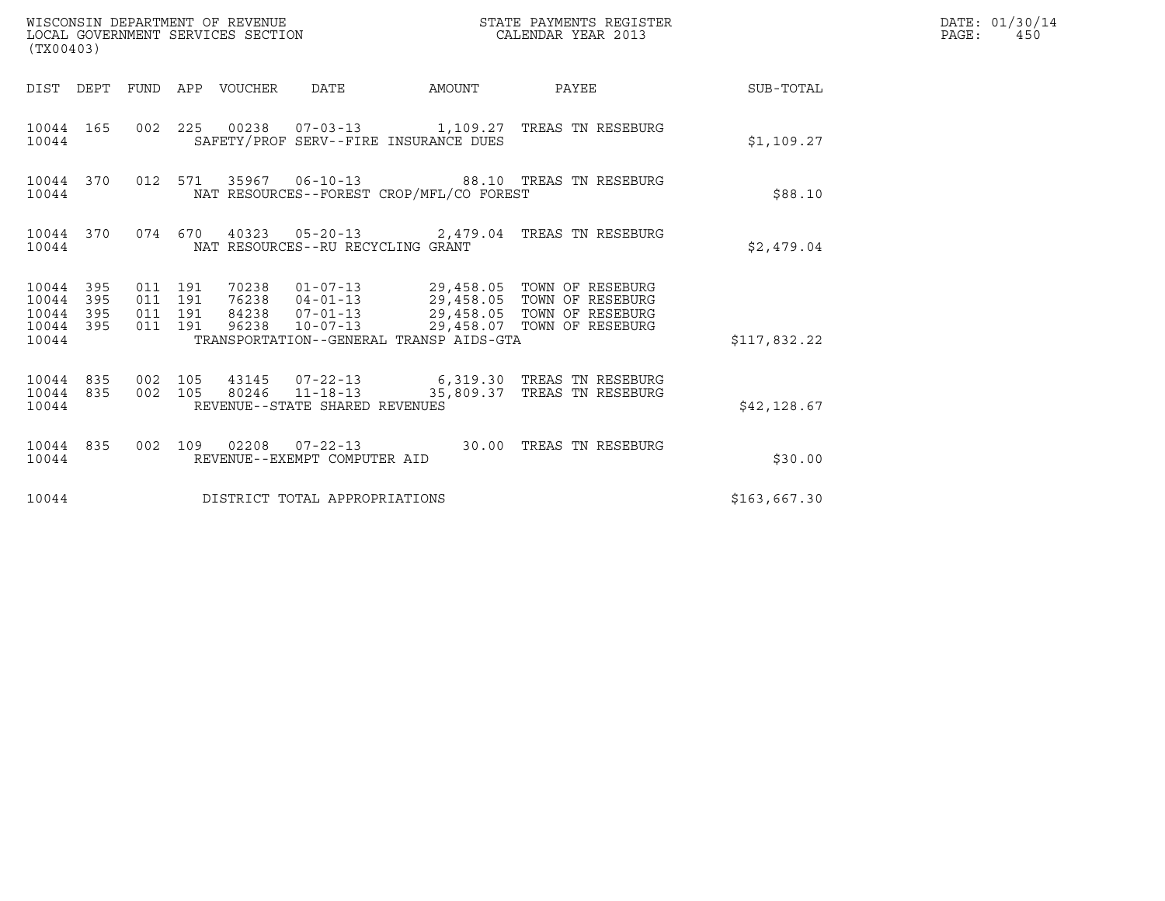| (TX00403)                                |                  |                               |         |                                 | WISCONSIN DEPARTMENT OF REVENUE<br>LOCAL GOVERNMENT SERVICES SECTION |                                          | STATE PAYMENTS REGISTER<br>CALENDAR YEAR 2013                                                                                                                                                         |              | DATE: 01/30/14<br>PAGE:<br>450 |
|------------------------------------------|------------------|-------------------------------|---------|---------------------------------|----------------------------------------------------------------------|------------------------------------------|-------------------------------------------------------------------------------------------------------------------------------------------------------------------------------------------------------|--------------|--------------------------------|
|                                          |                  |                               |         | DIST DEPT FUND APP VOUCHER DATE |                                                                      |                                          | AMOUNT PAYEE SUB-TOTAL                                                                                                                                                                                |              |                                |
| 10044                                    | 10044 165        |                               |         |                                 |                                                                      | SAFETY/PROF SERV--FIRE INSURANCE DUES    | 002 225 00238 07-03-13 1,109.27 TREAS TN RESEBURG                                                                                                                                                     | \$1,109.27   |                                |
| 10044                                    | 10044 370        |                               |         |                                 |                                                                      | NAT RESOURCES--FOREST CROP/MFL/CO FOREST | 012 571 35967 06-10-13 88.10 TREAS TN RESEBURG                                                                                                                                                        | \$88.10      |                                |
| 10044                                    |                  |                               |         |                                 | NAT RESOURCES--RU RECYCLING GRANT                                    |                                          | 10044 370 074 670 40323 05-20-13 2,479.04 TREAS TN RESEBURG                                                                                                                                           | \$2.479.04   |                                |
| 10044 395<br>10044<br>10044 395<br>10044 | 395<br>10044 395 | 011 191<br>011 191<br>011 191 | 011 191 |                                 |                                                                      | TRANSPORTATION--GENERAL TRANSP AIDS-GTA  | 70238   01-07-13   29,458.05   TOWN OF RESEBURG<br>76238   04-01-13   29,458.05   TOWN OF RESEBURG<br>84238   07-01-13   29,458.05   TOWN OF RESEBURG<br>96238  10-07-13  29,458.07  TOWN OF RESEBURG | \$117,832.22 |                                |
| 10044                                    | 10044 835        |                               |         |                                 | REVENUE--STATE SHARED REVENUES                                       |                                          | 10044 835 002 105 43145 07-22-13 6,319.30 TREAS TN RESEBURG<br>002 105 80246 11-18-13 35,809.37 TREAS TN RESEBURG                                                                                     | \$42,128.67  |                                |
| 10044                                    |                  |                               |         |                                 | REVENUE--EXEMPT COMPUTER AID                                         |                                          | 10044 835 002 109 02208 07-22-13 30.00 TREAS TN RESEBURG                                                                                                                                              | \$30.00      |                                |
| 10044                                    |                  |                               |         |                                 | DISTRICT TOTAL APPROPRIATIONS                                        |                                          |                                                                                                                                                                                                       | \$163,667.30 |                                |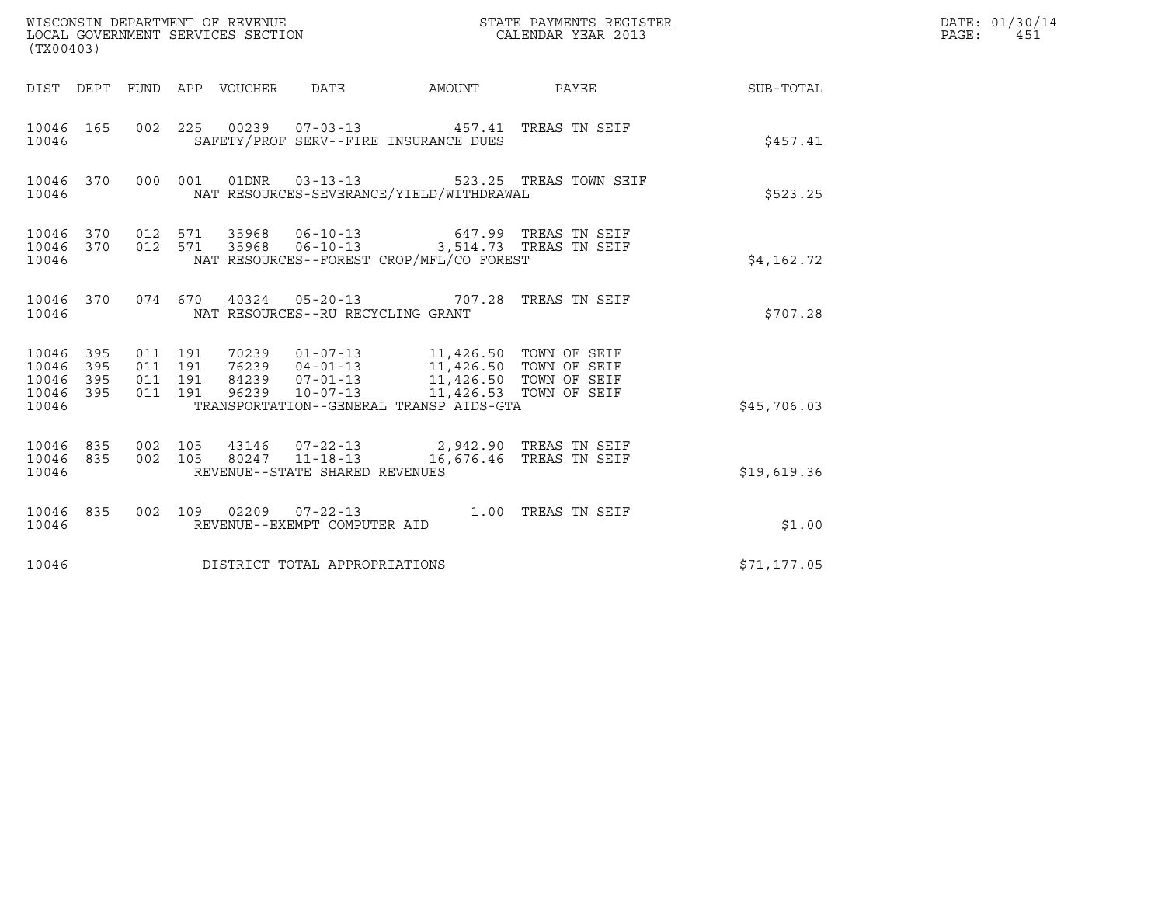| (TX00403)                                                 |                                          |       | WISCONSIN DEPARTMENT OF REVENUE<br>LOCAL GOVERNMENT SERVICES SECTION |                                                                                                                                                                                                                            | STATE PAYMENTS REGISTER<br>CALENDAR YEAR 2013             |              | DATE: 01/30/14<br>PAGE: 451 |
|-----------------------------------------------------------|------------------------------------------|-------|----------------------------------------------------------------------|----------------------------------------------------------------------------------------------------------------------------------------------------------------------------------------------------------------------------|-----------------------------------------------------------|--------------|-----------------------------|
|                                                           |                                          |       |                                                                      |                                                                                                                                                                                                                            | DIST DEPT FUND APP VOUCHER DATE AMOUNT PAYEE TO SUB-TOTAL |              |                             |
| 10046 165<br>10046                                        |                                          |       |                                                                      | 002 225 00239 07-03-13 457.41 TREAS TN SEIF<br>SAFETY/PROF SERV--FIRE INSURANCE DUES                                                                                                                                       |                                                           | \$457.41     |                             |
| 10046                                                     |                                          |       |                                                                      | NAT RESOURCES-SEVERANCE/YIELD/WITHDRAWAL                                                                                                                                                                                   | 10046 370 000 001 01DNR 03-13-13 523.25 TREAS TOWN SEIF   | \$523.25     |                             |
| 10046                                                     |                                          |       |                                                                      | $10046 \quad 370 \qquad 012 \quad 571 \qquad 35968 \qquad 06-10-13 \qquad \qquad 647.99 \quad \text{TREAS TN SEIF}$<br>10046 370 012 571 35968 06-10-13 3,514.73 TREAS TN SEIF<br>NAT RESOURCES--FOREST CROP/MFL/CO FOREST |                                                           | \$4,162.72   |                             |
| 10046                                                     |                                          |       | NAT RESOURCES--RU RECYCLING GRANT                                    | 10046 370 074 670 40324 05-20-13 707.28 TREAS TN SEIF                                                                                                                                                                      |                                                           | \$707.28     |                             |
| 10046 395<br>10046 395<br>10046 395<br>10046 395<br>10046 | 011 191<br>011 191<br>011 191<br>011 191 | 96239 | $10 - 07 - 13$                                                       | 70239  01-07-13  11,426.50  TOWN OF SEIF<br>76239  04-01-13  11,426.50  TOWN OF SEIF<br>84239  07-01-13  11,426.50  TOWN OF SEIF<br>TRANSPORTATION--GENERAL TRANSP AIDS-GTA                                                | 11,426.53 TOWN OF SEIF                                    | \$45,706.03  |                             |
| 10046 835 002 105<br>10046 835<br>10046                   | 002 105                                  |       | 80247 11-18-13<br>REVENUE--STATE SHARED REVENUES                     | 43146  07-22-13  2,942.90 TREAS TN SEIF                                                                                                                                                                                    | 16,676.46 TREAS TN SEIF                                   | \$19,619.36  |                             |
| 10046 835<br>10046                                        |                                          |       | REVENUE--EXEMPT COMPUTER AID                                         | 002 109 02209 07-22-13 1.00 TREAS TN SEIF                                                                                                                                                                                  |                                                           | \$1.00       |                             |
| 10046                                                     |                                          |       | DISTRICT TOTAL APPROPRIATIONS                                        |                                                                                                                                                                                                                            |                                                           | \$71, 177.05 |                             |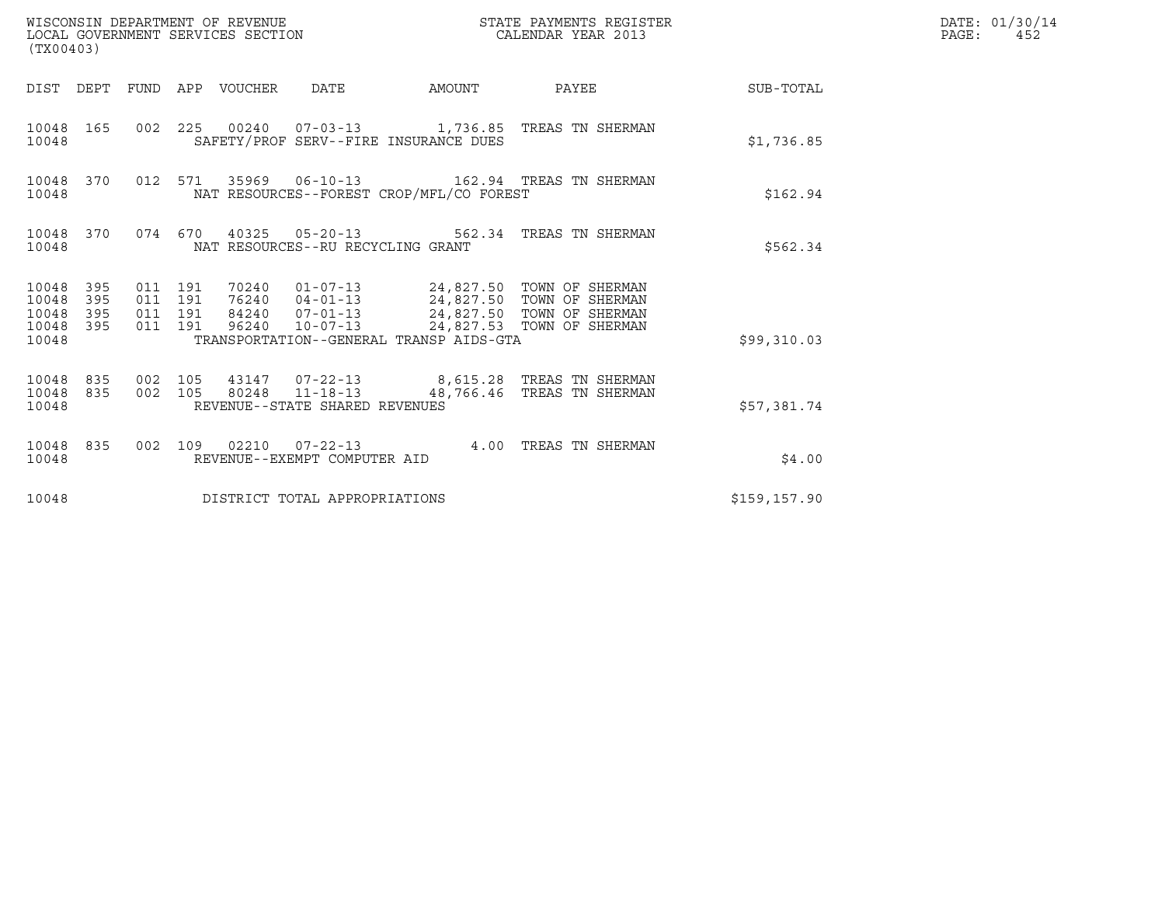| (TX00403)                                                       | WISCONSIN DEPARTMENT OF REVENUE<br>LOCAL GOVERNMENT SERVICES SECTION                                                                                                                                                                                                                  |              | STATE PAYMENTS REGISTER<br>CALENDAR YEAR 2013 |                  | DATE: 01/30/14<br>PAGE:<br>452 |
|-----------------------------------------------------------------|---------------------------------------------------------------------------------------------------------------------------------------------------------------------------------------------------------------------------------------------------------------------------------------|--------------|-----------------------------------------------|------------------|--------------------------------|
|                                                                 | DIST DEPT FUND APP VOUCHER DATE                                                                                                                                                                                                                                                       | AMOUNT PAYEE |                                               | <b>SUB-TOTAL</b> |                                |
| 10048 165<br>10048                                              | 002 225 00240 07-03-13 1,736.85 TREAS TN SHERMAN<br>SAFETY/PROF SERV--FIRE INSURANCE DUES                                                                                                                                                                                             |              |                                               | \$1,736.85       |                                |
| 10048 370<br>10048                                              | 012 571 35969 06-10-13 162.94 TREAS TN SHERMAN<br>NAT RESOURCES--FOREST CROP/MFL/CO FOREST                                                                                                                                                                                            |              |                                               | \$162.94         |                                |
| 10048                                                           | 10048 370 074 670 40325 05-20-13 562.34 TREAS TN SHERMAN<br>NAT RESOURCES--RU RECYCLING GRANT                                                                                                                                                                                         |              |                                               | \$562.34         |                                |
| 10048 395<br>10048<br>395<br>10048<br>395<br>10048 395<br>10048 | 70240   01-07-13   24,827.50   TOWN OF SHERMAN<br>76240   04-01-13   24,827.50   TOWN OF SHERMAN<br>011 191<br>011 191<br>84240  07-01-13  24,827.50  TOWN OF SHERMAN<br>011 191<br>96240  10-07-13  24,827.53  TOWN OF SHERMAN<br>011 191<br>TRANSPORTATION--GENERAL TRANSP AIDS-GTA |              |                                               | \$99,310.03      |                                |
| 10048 835 002 105<br>10048 835<br>10048                         | 43147  07-22-13  8,615.28  TREAS TN SHERMAN<br>002 105 80248 11-18-13<br>REVENUE--STATE SHARED REVENUES                                                                                                                                                                               |              | 48,766.46 TREAS TN SHERMAN                    | \$57,381.74      |                                |
| 10048 835<br>10048                                              | 002 109 02210 07-22-13 4.00 TREAS TN SHERMAN<br>REVENUE--EXEMPT COMPUTER AID                                                                                                                                                                                                          |              |                                               | \$4.00           |                                |
| 10048                                                           | DISTRICT TOTAL APPROPRIATIONS                                                                                                                                                                                                                                                         |              |                                               | \$159, 157.90    |                                |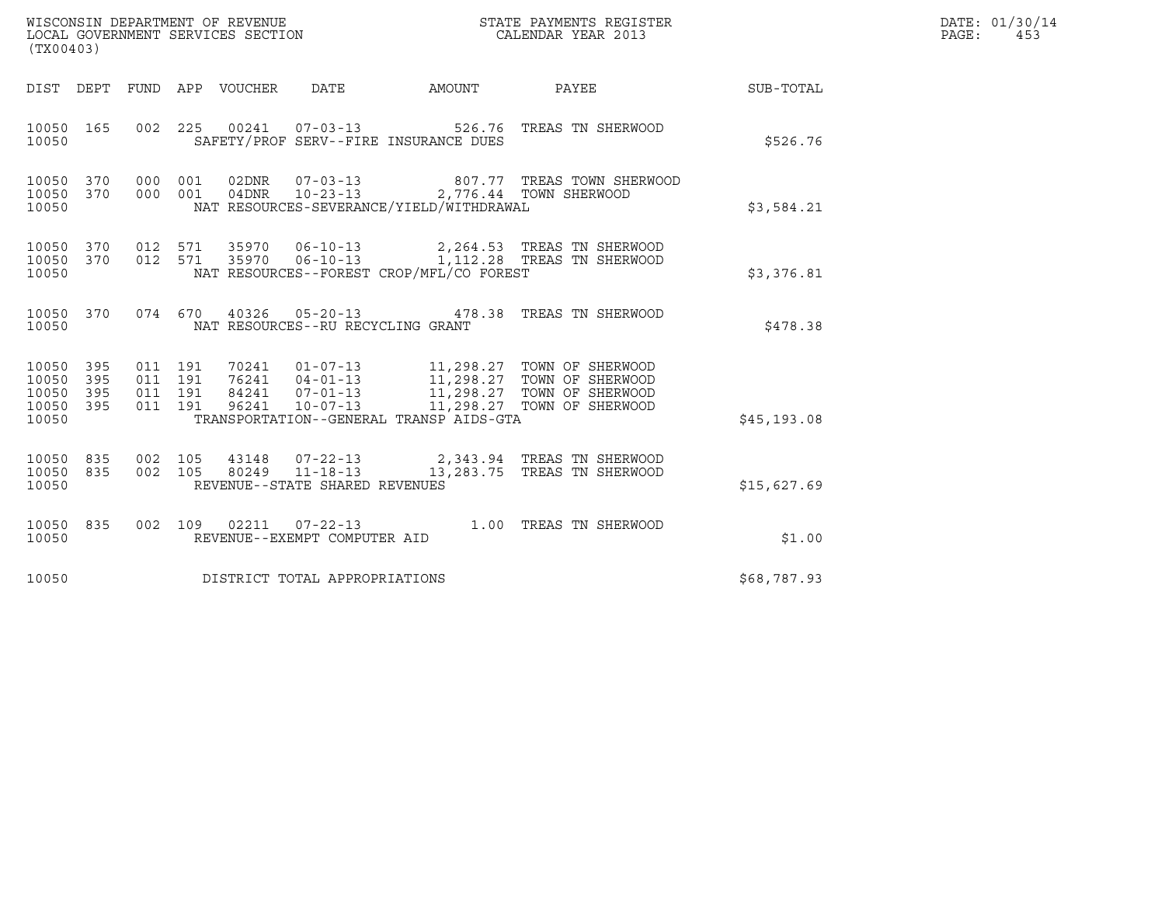|                                               | WISCONSIN DEPARTMENT OF REVENUE<br>LOCAL GOVERNMENT SERVICES SECTION<br>(TX00403) |  |  |                                 |                                   |                                                                                           | STATE PAYMENTS REGISTER<br>CALENDAR YEAR 2013                                                                                                                                                                                                                                                                               |             | DATE: 01/30/14<br>PAGE: 453 |
|-----------------------------------------------|-----------------------------------------------------------------------------------|--|--|---------------------------------|-----------------------------------|-------------------------------------------------------------------------------------------|-----------------------------------------------------------------------------------------------------------------------------------------------------------------------------------------------------------------------------------------------------------------------------------------------------------------------------|-------------|-----------------------------|
|                                               |                                                                                   |  |  | DIST DEPT FUND APP VOUCHER DATE |                                   | AMOUNT                                                                                    | <b>PAYEE</b>                                                                                                                                                                                                                                                                                                                | SUB-TOTAL   |                             |
| 10050 165<br>10050                            |                                                                                   |  |  |                                 |                                   | SAFETY/PROF SERV--FIRE INSURANCE DUES                                                     | 002  225  00241  07-03-13  526.76  TREAS TN SHERWOOD                                                                                                                                                                                                                                                                        | \$526.76    |                             |
| 10050 370<br>10050<br>10050                   | 370                                                                               |  |  |                                 |                                   | 000 001 04DNR 10-23-13 2,776.44 TOWN SHERWOOD<br>NAT RESOURCES-SEVERANCE/YIELD/WITHDRAWAL | 000 001 02DNR 07-03-13 807.77 TREAS TOWN SHERWOOD                                                                                                                                                                                                                                                                           | \$3,584.21  |                             |
| 10050<br>10050                                | 370                                                                               |  |  |                                 |                                   | NAT RESOURCES--FOREST CROP/MFL/CO FOREST                                                  | 10050 370 012 571 35970 06-10-13 2,264.53 TREAS TN SHERWOOD<br>012 571 35970 06-10-13 1,112.28 TREAS TN SHERWOOD                                                                                                                                                                                                            | \$3,376.81  |                             |
| 10050                                         |                                                                                   |  |  |                                 | NAT RESOURCES--RU RECYCLING GRANT |                                                                                           | 10050 370 074 670 40326 05-20-13 478.38 TREAS TN SHERWOOD                                                                                                                                                                                                                                                                   | \$478.38    |                             |
| 10050 395<br>10050<br>10050<br>10050<br>10050 | 395<br>395<br>395                                                                 |  |  |                                 |                                   | TRANSPORTATION--GENERAL TRANSP AIDS-GTA                                                   | $\begin{array}{cccccc} 011 & 191 & 70241 & 01-07-13 & 11,298.27 & \text{TOWN OF SHERWOOD} \\ 011 & 191 & 76241 & 04-01-13 & 11,298.27 & \text{TOWN OF SHERWOOD} \\ 011 & 191 & 84241 & 07-01-13 & 11,298.27 & \text{TOWN OF SHERWOOD} \\ 011 & 191 & 96241 & 10-07-13 & 11,298.27 & \text{TOWN OF SHERWOOD} \\ \end{array}$ | \$45,193.08 |                             |
| 10050 835<br>10050 835<br>10050               |                                                                                   |  |  |                                 | REVENUE--STATE SHARED REVENUES    |                                                                                           | 002 105 43148 07-22-13 2,343.94 TREAS TN SHERWOOD<br>002 105 80249 11-18-13 13,283.75 TREAS TN SHERWOOD                                                                                                                                                                                                                     | \$15,627.69 |                             |
| 10050                                         | 10050 835                                                                         |  |  |                                 | REVENUE--EXEMPT COMPUTER AID      |                                                                                           | 002 109 02211 07-22-13 1.00 TREAS TN SHERWOOD                                                                                                                                                                                                                                                                               | \$1.00      |                             |
| 10050                                         |                                                                                   |  |  |                                 | DISTRICT TOTAL APPROPRIATIONS     |                                                                                           |                                                                                                                                                                                                                                                                                                                             | \$68,787.93 |                             |
|                                               |                                                                                   |  |  |                                 |                                   |                                                                                           |                                                                                                                                                                                                                                                                                                                             |             |                             |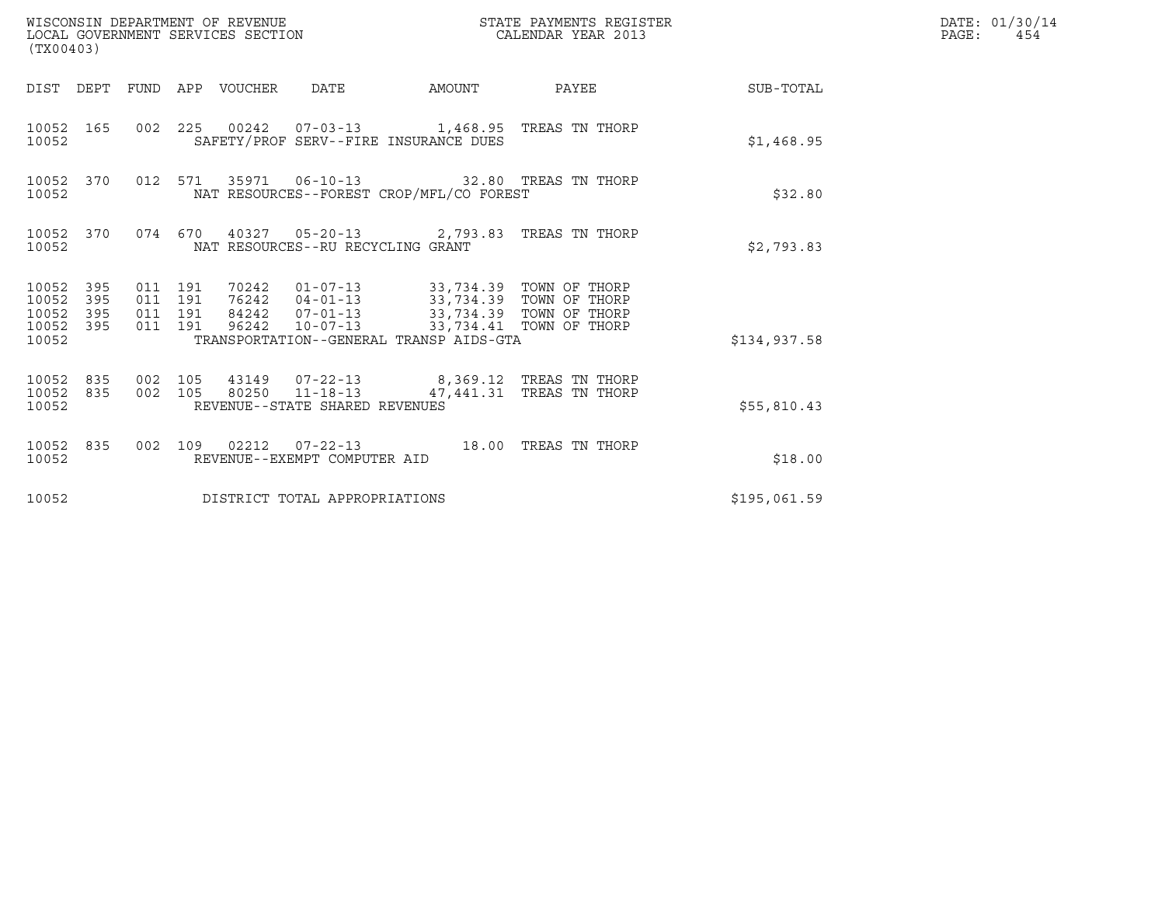| WISCONSIN DEPARTMENT OF REVENUE<br>LOCAL GOVERNMENT SERVICES SECTION<br>(TX00403) |            |                                          |  |                                 |                                                          |                                                                                                                                                                                                                                     | STATE PAYMENTS REGISTER<br>CALENDAR YEAR 2013 |                        | DATE: 01/30/14<br>$\mathtt{PAGE}$ :<br>454 |
|-----------------------------------------------------------------------------------|------------|------------------------------------------|--|---------------------------------|----------------------------------------------------------|-------------------------------------------------------------------------------------------------------------------------------------------------------------------------------------------------------------------------------------|-----------------------------------------------|------------------------|--------------------------------------------|
|                                                                                   |            |                                          |  | DIST DEPT FUND APP VOUCHER DATE |                                                          |                                                                                                                                                                                                                                     |                                               | AMOUNT PAYEE SUB-TOTAL |                                            |
| 10052 165<br>10052                                                                |            |                                          |  |                                 |                                                          | 002 225 00242 07-03-13 1,468.95 TREAS TN THORP<br>SAFETY/PROF SERV--FIRE INSURANCE DUES                                                                                                                                             |                                               | \$1,468.95             |                                            |
| 10052 370<br>10052                                                                |            |                                          |  |                                 |                                                          | 012 571 35971 06-10-13 32.80 TREAS TN THORP<br>NAT RESOURCES--FOREST CROP/MFL/CO FOREST                                                                                                                                             |                                               | \$32.80                |                                            |
| 10052 370<br>10052                                                                |            |                                          |  |                                 | NAT RESOURCES--RU RECYCLING GRANT                        | 074  670  40327  05-20-13  2,793.83  TREAS TN THORP                                                                                                                                                                                 |                                               | \$2,793.83             |                                            |
| 10052 395<br>10052<br>10052<br>10052 395<br>10052                                 | 395<br>395 | 011 191<br>011 191<br>011 191<br>011 191 |  |                                 |                                                          | 70242   01-07-13   33,734.39   TOWN OF THORP<br>76242   04-01-13   33,734.39   TOWN OF THORP<br>84242  07-01-13  33, 734.39  TOWN OF THORP<br>96242  10-07-13  33, 734.41  TOWN OF THORP<br>TRANSPORTATION--GENERAL TRANSP AIDS-GTA |                                               | \$134,937.58           |                                            |
| 10052 835<br>10052 835<br>10052                                                   |            | 002 105                                  |  |                                 | 002 105 80250 11-18-13<br>REVENUE--STATE SHARED REVENUES | 43149  07-22-13  8,369.12  TREAS TN THORP                                                                                                                                                                                           | 47,441.31 TREAS TN THORP                      | \$55,810.43            |                                            |
| 10052 835<br>10052                                                                |            |                                          |  |                                 | REVENUE--EXEMPT COMPUTER AID                             | 002 109 02212 07-22-13 18.00 TREAS TN THORP                                                                                                                                                                                         |                                               | \$18.00                |                                            |
| 10052                                                                             |            |                                          |  |                                 | DISTRICT TOTAL APPROPRIATIONS                            |                                                                                                                                                                                                                                     |                                               | \$195,061.59           |                                            |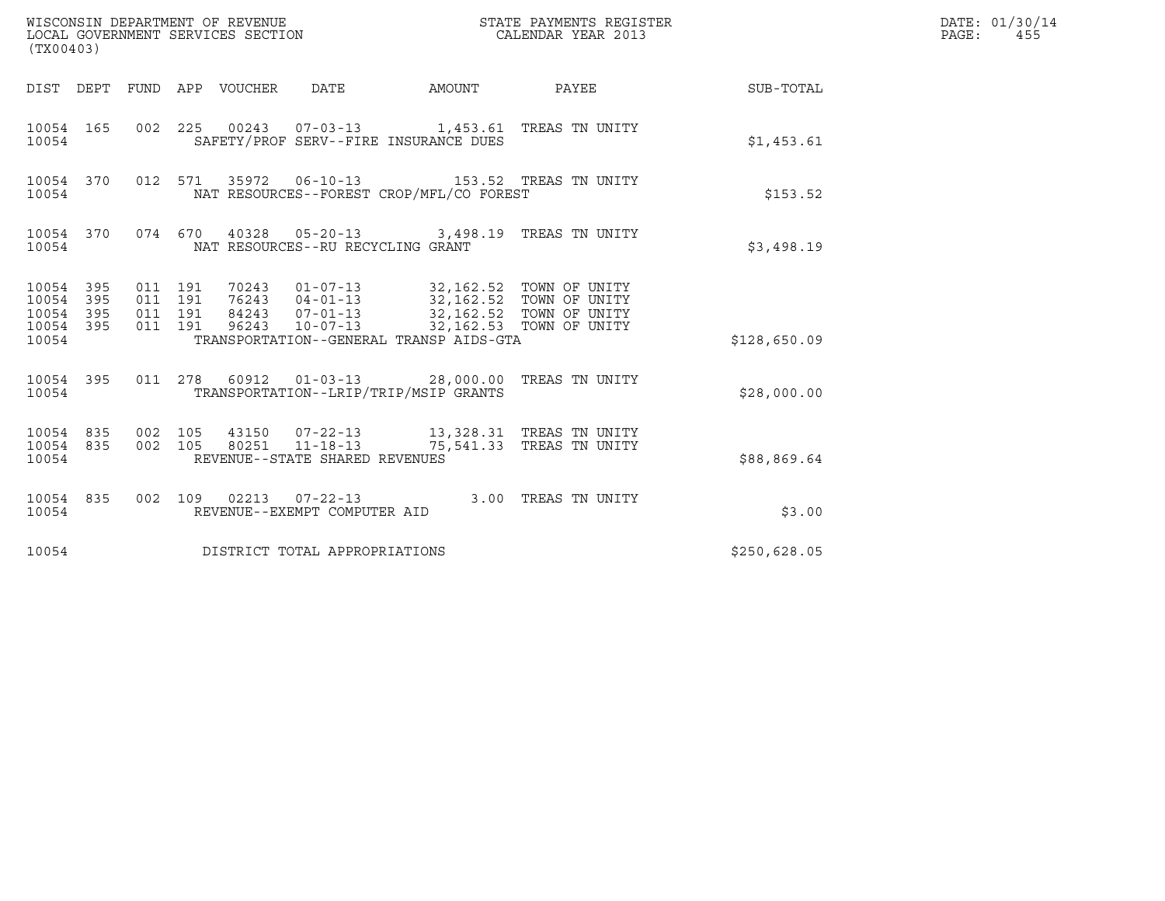| WISCONSIN DEPARTMENT OF REVENUE<br>LOCAL GOVERNMENT SERVICES SECTION<br>(TX00403) |           |                    |                    |                                 |                                                        |                                                                                                                                                                                                                                   | STATE PAYMENTS REGISTER<br>CALENDAR YEAR 2013 |              | DATE: 01/30/14<br>$\mathtt{PAGE}$ :<br>455 |
|-----------------------------------------------------------------------------------|-----------|--------------------|--------------------|---------------------------------|--------------------------------------------------------|-----------------------------------------------------------------------------------------------------------------------------------------------------------------------------------------------------------------------------------|-----------------------------------------------|--------------|--------------------------------------------|
|                                                                                   |           |                    |                    | DIST DEPT FUND APP VOUCHER DATE |                                                        | AMOUNT                                                                                                                                                                                                                            | PAYEE                                         | SUB-TOTAL    |                                            |
| 10054 165<br>10054                                                                |           |                    |                    |                                 |                                                        | 002 225 00243 07-03-13 1,453.61 TREAS TN UNITY<br>SAFETY/PROF SERV--FIRE INSURANCE DUES                                                                                                                                           |                                               | \$1,453.61   |                                            |
| 10054                                                                             | 10054 370 |                    |                    |                                 | 012 571 35972 06-10-13                                 | NAT RESOURCES--FOREST CROP/MFL/CO FOREST                                                                                                                                                                                          | 153.52 TREAS TN UNITY                         | \$153.52     |                                            |
| 10054                                                                             | 10054 370 |                    |                    |                                 | NAT RESOURCES--RU RECYCLING GRANT                      | 074 670 40328 05-20-13 3,498.19 TREAS TN UNITY                                                                                                                                                                                    |                                               | \$3,498.19   |                                            |
| 10054 395<br>10054 395<br>10054<br>10054 395<br>10054                             | 395       | 011 191<br>011 191 | 011 191<br>011 191 |                                 |                                                        | 70243   01-07-13   32,162.52   TOWN OF UNITY<br>76243   04-01-13   32,162.52   TOWN OF UNITY<br>84243  07-01-13  32,162.52  TOWN OF UNITY<br>96243  10-07-13  32,162.53  TOWN OF UNITY<br>TRANSPORTATION--GENERAL TRANSP AIDS-GTA |                                               | \$128,650.09 |                                            |
| 10054                                                                             | 10054 395 |                    |                    |                                 |                                                        | 011 278 60912 01-03-13 28,000.00 TREAS TN UNITY<br>TRANSPORTATION--LRIP/TRIP/MSIP GRANTS                                                                                                                                          |                                               | \$28,000.00  |                                            |
| 10054 835<br>10054 835<br>10054                                                   |           | 002 105<br>002 105 |                    |                                 | 80251 11-18-13<br>REVENUE--STATE SHARED REVENUES       | 43150  07-22-13  13,328.31  TREAS TN UNITY                                                                                                                                                                                        | 75,541.33 TREAS TN UNITY                      | \$88,869.64  |                                            |
| 10054 835<br>10054                                                                |           |                    |                    |                                 | 002 109 02213 07-22-13<br>REVENUE--EXEMPT COMPUTER AID |                                                                                                                                                                                                                                   | 3.00 TREAS TN UNITY                           | \$3.00       |                                            |
| 10054                                                                             |           |                    |                    |                                 | DISTRICT TOTAL APPROPRIATIONS                          |                                                                                                                                                                                                                                   |                                               | \$250,628.05 |                                            |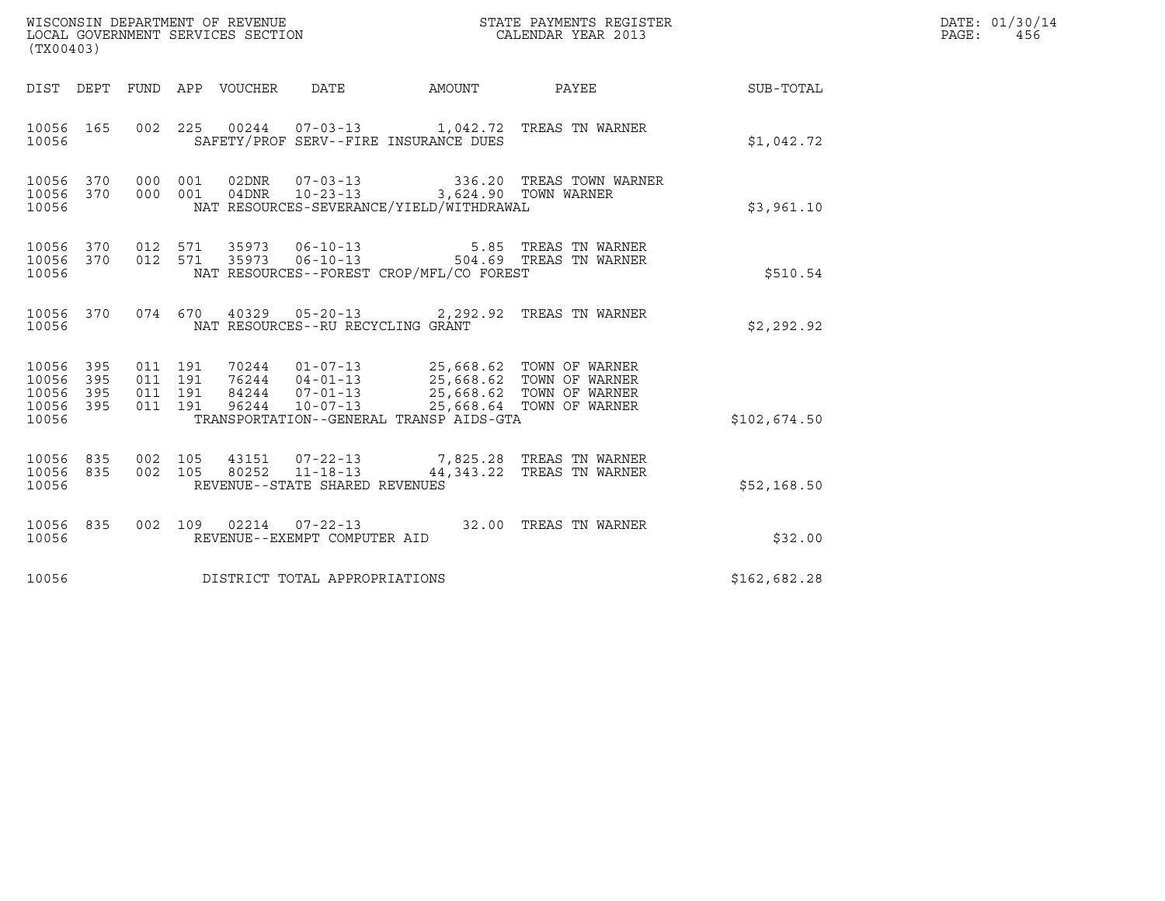| WISCONSIN DEPARTMENT OF REVENUE<br>LOCAL GOVERNMENT SERVICES SECTION<br>(TX00403) |                   |                               |         |                                 |                                                          |                                                                                                                                                                                                                     | STATE PAYMENTS REGISTER<br>CALENDAR YEAR 2013                                                        |              | DATE: 01/30/14<br>PAGE: 456 |
|-----------------------------------------------------------------------------------|-------------------|-------------------------------|---------|---------------------------------|----------------------------------------------------------|---------------------------------------------------------------------------------------------------------------------------------------------------------------------------------------------------------------------|------------------------------------------------------------------------------------------------------|--------------|-----------------------------|
|                                                                                   |                   |                               |         | DIST DEPT FUND APP VOUCHER DATE |                                                          |                                                                                                                                                                                                                     | AMOUNT PAYEE SUB-TOTAL                                                                               |              |                             |
| 10056 165<br>10056                                                                |                   |                               |         |                                 |                                                          | SAFETY/PROF SERV--FIRE INSURANCE DUES                                                                                                                                                                               | 002  225  00244  07-03-13  1,042.72  TREAS TN WARNER                                                 | \$1,042.72   |                             |
| 10056<br>10056 370<br>10056                                                       |                   | 370 000 001                   | 000 001 |                                 |                                                          | 04DNR  10-23-13  3,624.90 TOWN WARNER<br>NAT RESOURCES-SEVERANCE/YIELD/WITHDRAWAL                                                                                                                                   |                                                                                                      | \$3,961.10   |                             |
| 10056<br>10056 370<br>10056                                                       |                   |                               |         |                                 |                                                          | NAT RESOURCES--FOREST CROP/MFL/CO FOREST                                                                                                                                                                            | 370 012 571 35973 06-10-13 5.85 TREAS TN WARNER<br>370 012 571 35973 06-10-13 504.69 TREAS TN WARNER | \$510.54     |                             |
| 10056 370<br>10056                                                                |                   |                               |         |                                 | NAT RESOURCES--RU RECYCLING GRANT                        |                                                                                                                                                                                                                     | 074 670 40329 05-20-13 2,292.92 TREAS TN WARNER                                                      | \$2,292.92   |                             |
| 10056 395<br>10056<br>10056<br>10056<br>10056                                     | 395<br>395<br>395 | 011 191<br>011 191<br>011 191 | 011 191 |                                 |                                                          | 70244 01-07-13 25,668.62 TOWN OF WARNER<br>76244 04-01-13 25,668.62 TOWN OF WARNER<br>84244 07-01-13 25,668.62 TOWN OF WARNER<br>96244 10-07-13 25,668.64 TOWN OF WARNER<br>TRANSPORTATION--GENERAL TRANSP AIDS-GTA |                                                                                                      | \$102,674.50 |                             |
| 10056<br>10056 835<br>10056                                                       | 835               | 002 105                       |         |                                 | 002 105 80252 11-18-13<br>REVENUE--STATE SHARED REVENUES |                                                                                                                                                                                                                     | 43151 07-22-13 7,825.28 TREAS TN WARNER<br>44,343.22 TREAS TN WARNER                                 | \$52,168.50  |                             |
| 10056 835<br>10056                                                                |                   |                               |         |                                 | REVENUE--EXEMPT COMPUTER AID                             |                                                                                                                                                                                                                     | 002 109 02214 07-22-13 32.00 TREAS TN WARNER                                                         | \$32.00      |                             |
| 10056                                                                             |                   |                               |         |                                 | DISTRICT TOTAL APPROPRIATIONS                            |                                                                                                                                                                                                                     |                                                                                                      | \$162,682.28 |                             |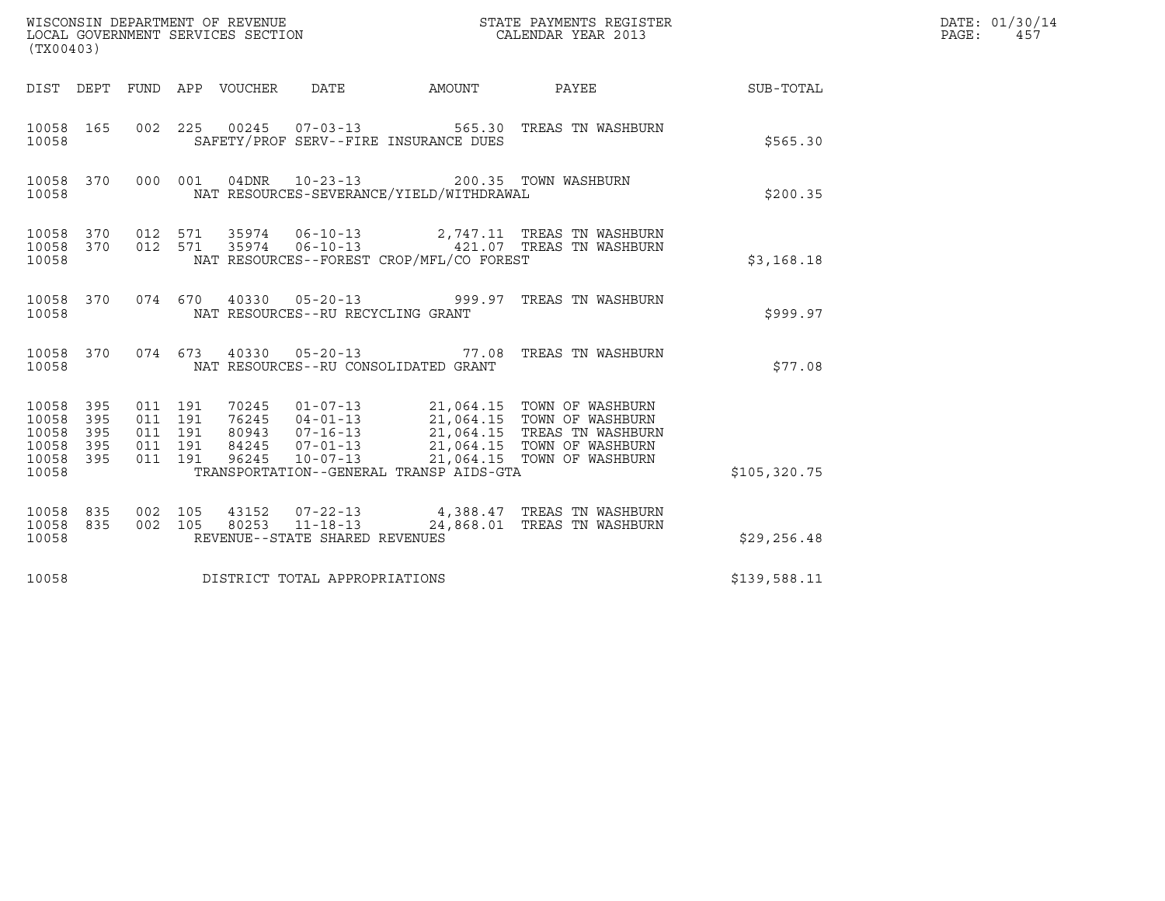| WISCONSIN DEPARTMENT OF REVENUE<br>LOCAL GOVERNMENT SERVICES SECTION | STATE PAYMENTS REGISTER<br>CALENDAR YEAR 2013 | DATE: 01/30/14<br>PAGE:<br>457 |
|----------------------------------------------------------------------|-----------------------------------------------|--------------------------------|

|                                                            | (TX00403)         |                                                     |  |                                 |                                   |                                                                                    |                                                                                                                                                                                                                                            | DATE: 01/30/14<br>PAGE:<br>457 |  |
|------------------------------------------------------------|-------------------|-----------------------------------------------------|--|---------------------------------|-----------------------------------|------------------------------------------------------------------------------------|--------------------------------------------------------------------------------------------------------------------------------------------------------------------------------------------------------------------------------------------|--------------------------------|--|
|                                                            |                   |                                                     |  | DIST DEPT FUND APP VOUCHER DATE |                                   | AMOUNT                                                                             | PAYEE                                                                                                                                                                                                                                      | SUB-TOTAL                      |  |
| 10058 165<br>10058                                         |                   |                                                     |  |                                 |                                   | SAFETY/PROF SERV--FIRE INSURANCE DUES                                              | 002  225  00245  07-03-13  565.30  TREAS TN WASHBURN                                                                                                                                                                                       | \$565.30                       |  |
| 10058                                                      |                   | 10058 370 000 001                                   |  |                                 |                                   | 04DNR  10-23-13  200.35  TOWN WASHBURN<br>NAT RESOURCES-SEVERANCE/YIELD/WITHDRAWAL |                                                                                                                                                                                                                                            | \$200.35                       |  |
| 10058                                                      |                   |                                                     |  |                                 |                                   | NAT RESOURCES--FOREST CROP/MFL/CO FOREST                                           | $\begin{array}{cccccc} 10058 & 370 & 012 & 571 & 35974 & 06-10-13 & & 2,747.11 & \text{TREAS TN WASHBURN} \\ 10058 & 370 & 012 & 571 & 35974 & 06-10-13 & & 421.07 & \text{TREAS TN WASHBURN} \end{array}$                                 | \$3,168.18                     |  |
| 10058                                                      |                   |                                                     |  |                                 | NAT RESOURCES--RU RECYCLING GRANT |                                                                                    | 10058 370 074 670 40330 05-20-13 999.97 TREAS TN WASHBURN                                                                                                                                                                                  | \$999.97                       |  |
| 10058 370<br>10058                                         |                   |                                                     |  |                                 |                                   | NAT RESOURCES--RU CONSOLIDATED GRANT                                               | 074 673 40330 05-20-13 77.08 TREAS TN WASHBURN                                                                                                                                                                                             | \$77.08                        |  |
| 10058 395<br>10058<br>10058<br>10058<br>10058 395<br>10058 | 395<br>395<br>395 | 011 191<br>011 191<br>011 191<br>011 191<br>011 191 |  |                                 |                                   | TRANSPORTATION--GENERAL TRANSP AIDS-GTA                                            | 70245  01-07-13  21,064.15  TOWN OF WASHBURN<br>76245  04-01-13  21,064.15  TOWN OF WASHBURN<br>80943  07-16-13  21,064.15  TREAS  TN WASHBURN<br>84245  07-01-13  21,064.15  TOWN OF WASHBURN<br>96245  10-07-13  21,064.15  TOWN OF WASH | \$105,320.75                   |  |
| 10058 835<br>10058 835<br>10058                            |                   |                                                     |  |                                 | REVENUE--STATE SHARED REVENUES    |                                                                                    | $0.02$ 105 43152 07-22-13 4,388.47 TREAS TN WASHBURN $0.02$ 105 80253 11-18-13 24,868.01 TREAS TN WASHBURN                                                                                                                                 | \$29,256.48                    |  |
| 10058                                                      |                   |                                                     |  |                                 | DISTRICT TOTAL APPROPRIATIONS     |                                                                                    |                                                                                                                                                                                                                                            | \$139,588.11                   |  |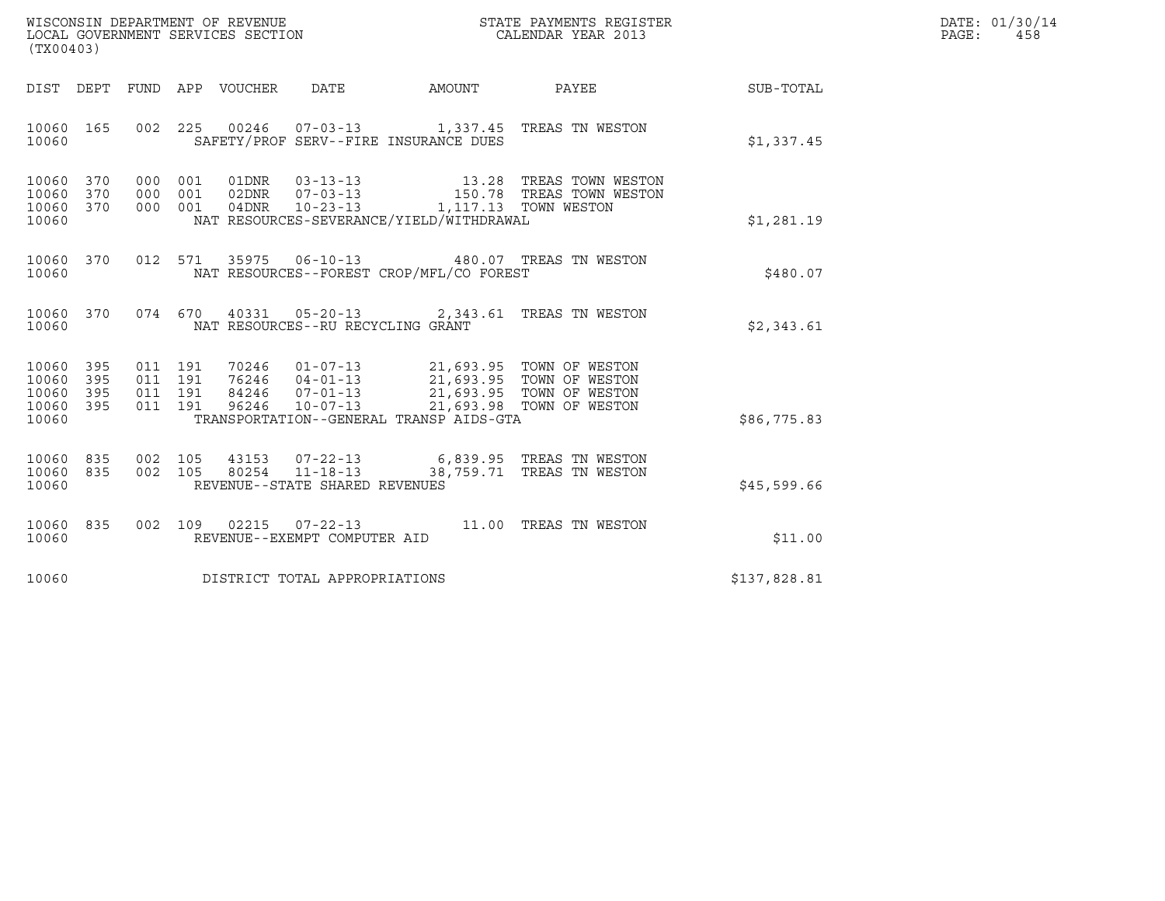| WISCONSIN DEPARTMENT OF REVENUE   | STATE PAYMENTS REGISTER | DATE: 01/30/14 |
|-----------------------------------|-------------------------|----------------|
| LOCAL GOVERNMENT SERVICES SECTION | CALENDAR YEAR 2013      | PAGE:<br>458   |

| (TX00403)                                                       |               |                                                                                                                                                                                                                                                                                                                                                                |              | DATE: 01/30/14<br>PAGE:<br>458 |
|-----------------------------------------------------------------|---------------|----------------------------------------------------------------------------------------------------------------------------------------------------------------------------------------------------------------------------------------------------------------------------------------------------------------------------------------------------------------|--------------|--------------------------------|
|                                                                 |               | DIST DEPT FUND APP VOUCHER DATE AMOUNT PAYEE SUB-TOTAL                                                                                                                                                                                                                                                                                                         |              |                                |
| 10060 165<br>10060                                              |               | 002 225 00246 07-03-13 1,337.45 TREAS TN WESTON<br>SAFETY/PROF SERV--FIRE INSURANCE DUES                                                                                                                                                                                                                                                                       | \$1,337.45   |                                |
| 10060 370<br>10060<br>370<br>10060 370<br>10060                 |               | NAT RESOURCES-SEVERANCE/YIELD/WITHDRAWAL                                                                                                                                                                                                                                                                                                                       | \$1,281.19   |                                |
| 10060 370<br>10060                                              |               | 012 571 35975 06-10-13 480.07 TREAS TN WESTON<br>NAT RESOURCES--FOREST CROP/MFL/CO FOREST                                                                                                                                                                                                                                                                      | \$480.07     |                                |
| 10060                                                           |               | 10060 370 074 670 40331 05-20-13 2,343.61 TREAS TN WESTON<br>NAT RESOURCES--RU RECYCLING GRANT                                                                                                                                                                                                                                                                 | \$2,343.61   |                                |
| 10060 395<br>10060<br>395<br>10060<br>395<br>10060 395<br>10060 |               | $\begin{array}{cccccc} 011 & 191 & 70246 & 01-07-13 & 21,693.95 & \text{TOWN OF WESTON} \\ 011 & 191 & 76246 & 04-01-13 & 21,693.95 & \text{TOWN OF WESTON} \\ 011 & 191 & 84246 & 07-01-13 & 21,693.95 & \text{TOWN OF WESTON} \\ 011 & 191 & 96246 & 10-07-13 & 21,693.98 & \text{TOWN OF WESTON} \\ \end{array}$<br>TRANSPORTATION--GENERAL TRANSP AIDS-GTA | \$86,775.83  |                                |
| 10060 835<br>10060 835<br>10060                                 |               | 002 105 43153 07-22-13 6,839.95 TREAS TN WESTON 002 105 80254 11-18-13 38,759.71 TREAS TN WESTON<br>REVENUE--STATE SHARED REVENUES                                                                                                                                                                                                                             | \$45,599.66  |                                |
| 10060 835<br>10060                                              | 002 109 02215 | 07-22-13 11.00 TREAS TN WESTON<br>REVENUE--EXEMPT COMPUTER AID                                                                                                                                                                                                                                                                                                 | \$11.00      |                                |
| 10060                                                           |               | DISTRICT TOTAL APPROPRIATIONS                                                                                                                                                                                                                                                                                                                                  | \$137,828.81 |                                |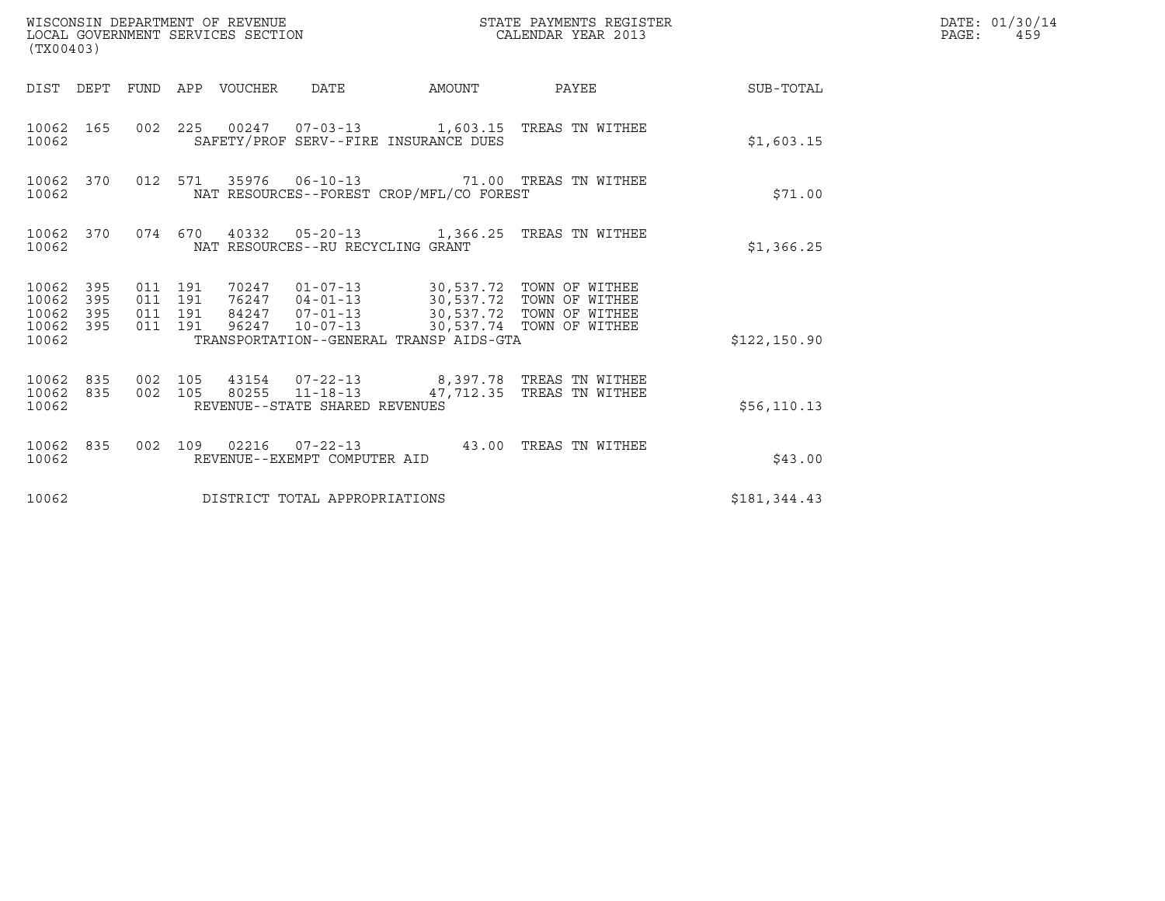| WISCONSIN DEPARTMENT OF REVENUE<br>LOCAL GOVERNMENT SERVICES SECTION<br>(TX00403) |     |                                          |  |                                 |                                                          |                                          | STATE PAYMENTS REGISTER<br>CALENDAR YEAR 2013                                                                                                                                                 |                        | DATE: 01/30/14<br>$\mathtt{PAGE:}$<br>459 |
|-----------------------------------------------------------------------------------|-----|------------------------------------------|--|---------------------------------|----------------------------------------------------------|------------------------------------------|-----------------------------------------------------------------------------------------------------------------------------------------------------------------------------------------------|------------------------|-------------------------------------------|
|                                                                                   |     |                                          |  | DIST DEPT FUND APP VOUCHER DATE |                                                          |                                          |                                                                                                                                                                                               | AMOUNT PAYEE SUB-TOTAL |                                           |
| 10062 165<br>10062                                                                |     |                                          |  |                                 |                                                          | SAFETY/PROF SERV--FIRE INSURANCE DUES    | 002 225 00247 07-03-13 1,603.15 TREAS TN WITHEE                                                                                                                                               | \$1,603.15             |                                           |
| 10062 370<br>10062                                                                |     |                                          |  |                                 |                                                          | NAT RESOURCES--FOREST CROP/MFL/CO FOREST | 012 571 35976 06-10-13 71.00 TREAS TN WITHEE                                                                                                                                                  | \$71.00                |                                           |
| 10062 370<br>10062                                                                |     |                                          |  |                                 | NAT RESOURCES--RU RECYCLING GRANT                        |                                          | 074 670 40332 05-20-13 1,366.25 TREAS TN WITHEE                                                                                                                                               | \$1,366.25             |                                           |
| 10062 395<br>10062<br>10062 395<br>10062 395<br>10062                             | 395 | 011 191<br>011 191<br>011 191<br>011 191 |  |                                 |                                                          | TRANSPORTATION--GENERAL TRANSP AIDS-GTA  | 70247   01-07-13   30,537.72   TOWN OF WITHEE<br>76247   04-01-13   30,537.72   TOWN OF WITHEE<br>84247   07-01-13   30,537.72   TOWN OF WITHEE<br>96247  10-07-13  30,537.74  TOWN OF WITHEE | \$122,150.90           |                                           |
| 10062 835 002 105<br>10062 835<br>10062                                           |     |                                          |  |                                 | 002 105 80255 11-18-13<br>REVENUE--STATE SHARED REVENUES |                                          | 43154  07-22-13  8,397.78  TREAS TN WITHEE<br>47,712.35 TREAS TN WITHEE                                                                                                                       | \$56, 110.13           |                                           |
| 10062 835<br>10062                                                                |     |                                          |  |                                 | REVENUE--EXEMPT COMPUTER AID                             |                                          | 002 109 02216 07-22-13 43.00 TREAS TN WITHEE                                                                                                                                                  | \$43.00                |                                           |
| 10062                                                                             |     |                                          |  |                                 | DISTRICT TOTAL APPROPRIATIONS                            |                                          |                                                                                                                                                                                               | \$181,344.43           |                                           |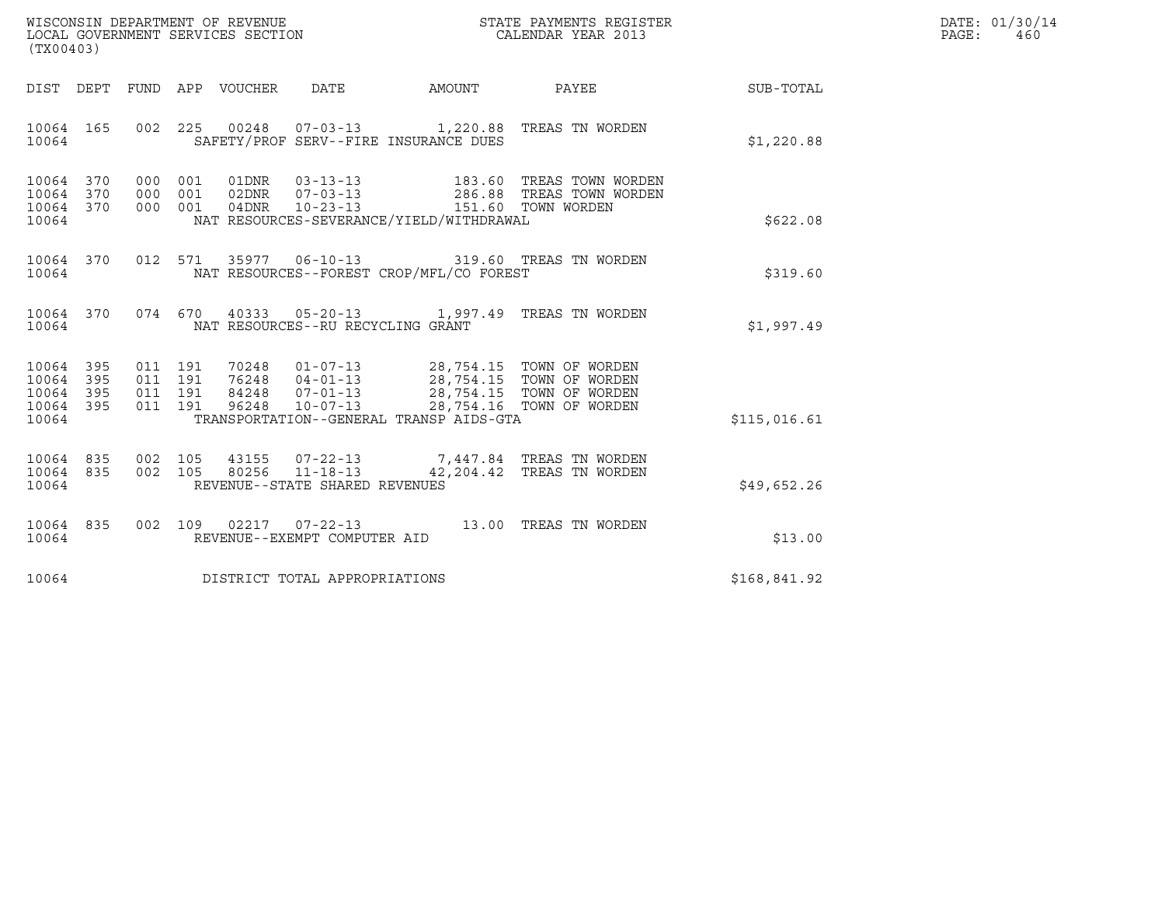| WISCONSIN DEPARTMENT OF REVENUE   | STATE PAYMENTS REGISTER | DATE: 01/30/14 |
|-----------------------------------|-------------------------|----------------|
| LOCAL GOVERNMENT SERVICES SECTION | CALENDAR YEAR 2013      | PAGE :<br>460  |

| (TX00403)                                                 |                                                                                                                                                                                                                                                                                                                                                                |  |  |              | DATE: 01/30/14<br>PAGE:<br>460 |
|-----------------------------------------------------------|----------------------------------------------------------------------------------------------------------------------------------------------------------------------------------------------------------------------------------------------------------------------------------------------------------------------------------------------------------------|--|--|--------------|--------------------------------|
|                                                           | DIST DEPT FUND APP VOUCHER DATE AMOUNT PAYEE                                                                                                                                                                                                                                                                                                                   |  |  | SUB-TOTAL    |                                |
| 10064                                                     | 10064 165 002 225 00248 07-03-13 1,220.88 TREAS TN WORDEN<br>SAFETY/PROF SERV--FIRE INSURANCE DUES                                                                                                                                                                                                                                                             |  |  | \$1,220.88   |                                |
| 10064 370<br>10064 370<br>10064 370<br>10064              | 000 001 01DNR 03-13-13 183.60 TREAS TOWN WORDEN<br>000 001 02DNR 07-03-13 286.88 TREAS TOWN WORDEN<br>000 001 04DNR 10-23-13 151.60 TOWN WORDEN<br>NAT RESOURCES-SEVERANCE/YIELD/WITHDRAWAL                                                                                                                                                                    |  |  | \$622.08     |                                |
| 10064                                                     | 10064 370 012 571 35977 06-10-13 319.60 TREAS TN WORDEN<br>NAT RESOURCES--FOREST CROP/MFL/CO FOREST                                                                                                                                                                                                                                                            |  |  | \$319.60     |                                |
| 10064                                                     | 10064 370 074 670 40333 05-20-13 1,997.49 TREAS TN WORDEN<br>NAT RESOURCES--RU RECYCLING GRANT                                                                                                                                                                                                                                                                 |  |  | \$1,997.49   |                                |
| 10064 395<br>10064 395<br>10064 395<br>10064 395<br>10064 | $\begin{array}{cccccc} 011 & 191 & 70248 & 01-07-13 & 28,754.15 & \text{TOWN OF WORDEN} \\ 011 & 191 & 76248 & 04-01-13 & 28,754.15 & \text{TOWN OF WORDEN} \\ 011 & 191 & 84248 & 07-01-13 & 28,754.15 & \text{TOWN OF WORDEN} \\ 011 & 191 & 96248 & 10-07-13 & 28,754.16 & \text{TOWN OF WORDEN} \\ \end{array}$<br>TRANSPORTATION--GENERAL TRANSP AIDS-GTA |  |  | \$115,016.61 |                                |
| 10064 835<br>10064 835<br>10064                           | 002 105 43155 07-22-13 7,447.84 TREAS TN WORDEN<br>002 105 80256 11-18-13 42,204.42 TREAS TN WORDEN<br>REVENUE--STATE SHARED REVENUES                                                                                                                                                                                                                          |  |  | \$49,652.26  |                                |
| 10064 835<br>10064                                        | 002 109 02217 07-22-13 13.00 TREAS TN WORDEN<br>REVENUE--EXEMPT COMPUTER AID                                                                                                                                                                                                                                                                                   |  |  | \$13.00      |                                |
|                                                           | 10064 DISTRICT TOTAL APPROPRIATIONS                                                                                                                                                                                                                                                                                                                            |  |  | \$168,841.92 |                                |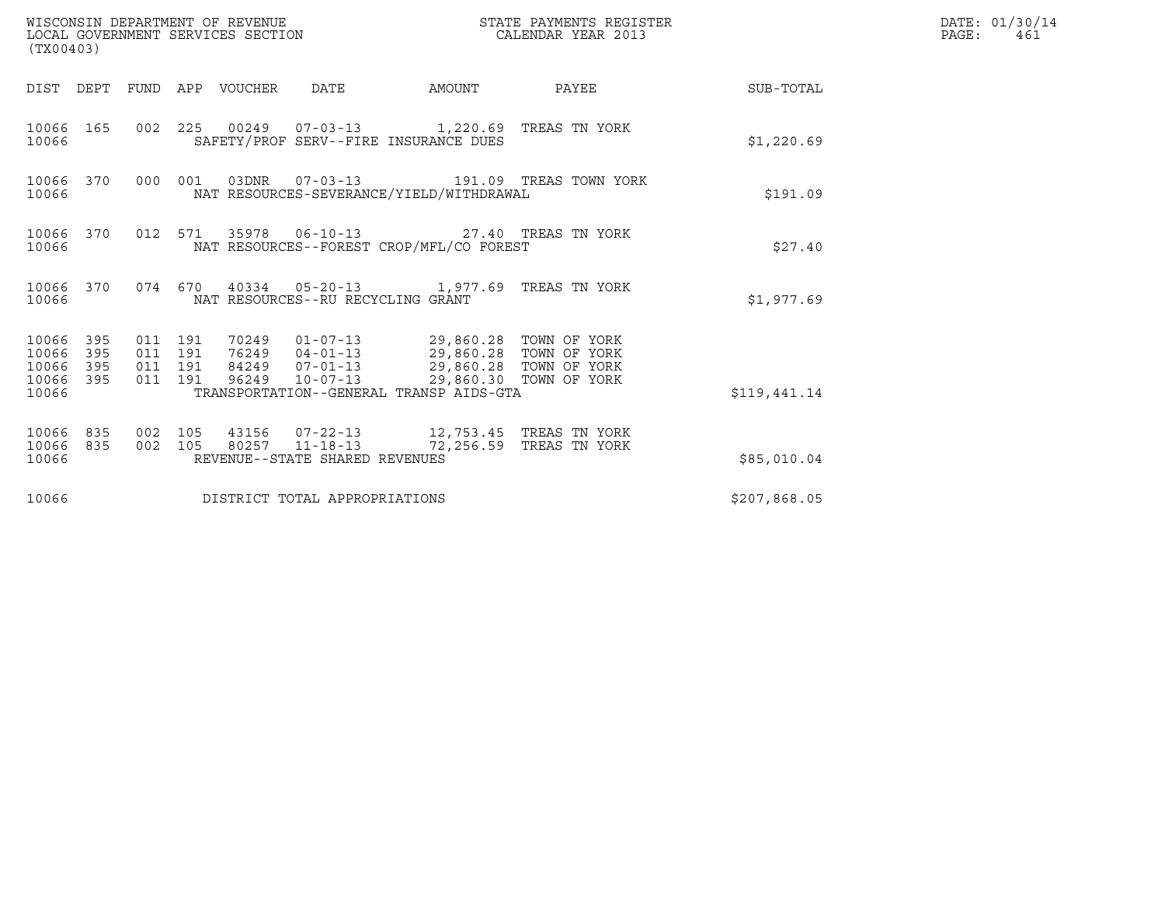| WISCONSIN DEPARTMENT OF REVENUE<br>LOCAL GOVERNMENT SERVICES SECTION<br>(TX00403) |           |         |                               |  |                                |                                                                                                  | STATE PAYMENTS REGISTER<br>CALENDAR YEAR 2013   |                 | DATE: 01/30/14<br>$\mathtt{PAGE}$ :<br>461 |
|-----------------------------------------------------------------------------------|-----------|---------|-------------------------------|--|--------------------------------|--------------------------------------------------------------------------------------------------|-------------------------------------------------|-----------------|--------------------------------------------|
|                                                                                   |           |         |                               |  |                                | DIST DEPT FUND APP VOUCHER DATE AMOUNT                                                           |                                                 | PAYEE SUB-TOTAL |                                            |
| 10066                                                                             |           |         |                               |  |                                | 10066 165 002 225 00249 07-03-13 1,220.69 TREAS TN YORK<br>SAFETY/PROF SERV--FIRE INSURANCE DUES |                                                 | \$1,220.69      |                                            |
| 10066                                                                             | 10066 370 |         |                               |  |                                | NAT RESOURCES-SEVERANCE/YIELD/WITHDRAWAL                                                         | 000 001 03DNR  07-03-13  191.09 TREAS TOWN YORK | \$191.09        |                                            |
| 10066                                                                             |           |         |                               |  |                                | 10066 370 012 571 35978 06-10-13 27.40 TREAS TN YORK<br>NAT RESOURCES--FOREST CROP/MFL/CO FOREST |                                                 | \$27.40         |                                            |
| 10066                                                                             |           |         |                               |  |                                | 10066 370 074 670 40334 05-20-13 1,977.69 TREAS TN YORK<br>NAT RESOURCES--RU RECYCLING GRANT     |                                                 | \$1,977.69      |                                            |
| 10066 395<br>10066 395<br>10066 395<br>10066 395<br>10066                         |           | 011 191 | 011 191<br>011 191<br>011 191 |  |                                | TRANSPORTATION--GENERAL TRANSP AIDS-GTA                                                          |                                                 | \$119,441.14    |                                            |
| 10066 835<br>10066                                                                | 10066 835 | 002 105 | 002 105                       |  | REVENUE--STATE SHARED REVENUES | 80257 11-18-13 72,256.59 TREAS TN YORK                                                           |                                                 | \$85,010.04     |                                            |
| 10066                                                                             |           |         |                               |  | DISTRICT TOTAL APPROPRIATIONS  | \$207,868.05                                                                                     |                                                 |                 |                                            |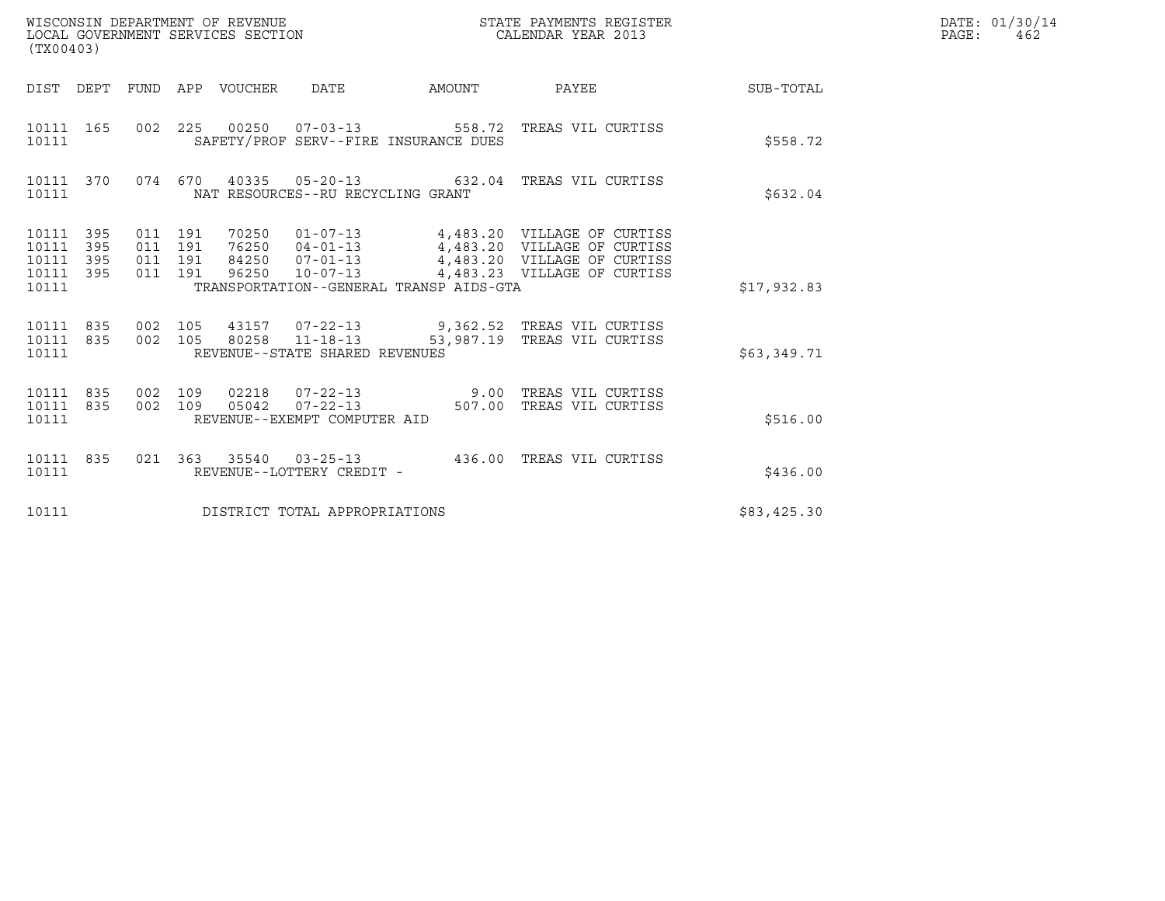| (TX00403)                                                       |                                          |                                 | WISCONSIN DEPARTMENT OF REVENUE<br>LOCAL GOVERNMENT SERVICES SECTION | STATE PAYMENTS REGISTER<br>CALENDAR YEAR 2013                                                                                                                                              |             | DATE: 01/30/14<br>$\mathtt{PAGE:}$<br>462 |
|-----------------------------------------------------------------|------------------------------------------|---------------------------------|----------------------------------------------------------------------|--------------------------------------------------------------------------------------------------------------------------------------------------------------------------------------------|-------------|-------------------------------------------|
|                                                                 |                                          | DIST DEPT FUND APP VOUCHER DATE |                                                                      | AMOUNT PAYEE SUB-TOTAL                                                                                                                                                                     |             |                                           |
| 10111 165<br>10111                                              |                                          |                                 | SAFETY/PROF SERV--FIRE INSURANCE DUES                                | 002  225  00250  07-03-13  558.72  TREAS VIL CURTISS                                                                                                                                       | \$558.72    |                                           |
| 10111                                                           |                                          |                                 | NAT RESOURCES--RU RECYCLING GRANT                                    | 10111 370 074 670 40335 05-20-13 632.04 TREAS VIL CURTISS                                                                                                                                  | \$632.04    |                                           |
| 10111 395<br>10111<br>395<br>10111<br>395<br>10111 395<br>10111 | 011 191<br>011 191<br>011 191<br>011 191 |                                 | TRANSPORTATION--GENERAL TRANSP AIDS-GTA                              | 70250  01-07-13  4,483.20  VILLAGE OF CURTISS<br>76250 04-01-13 4,483.20 VILLAGE OF CURTISS<br>84250 07-01-13 4,483.20 VILLAGE OF CURTISS<br>96250  10-07-13  4,483.23  VILLAGE OF CURTISS | \$17,932.83 |                                           |
| 10111 835<br>10111 835<br>10111                                 | 002 105                                  | 002 105                         | REVENUE--STATE SHARED REVENUES                                       |                                                                                                                                                                                            | \$63,349.71 |                                           |
| 10111 835<br>10111 835<br>10111                                 | 002 109                                  | 002 109                         | REVENUE--EXEMPT COMPUTER AID                                         |                                                                                                                                                                                            | \$516.00    |                                           |
| 10111 835<br>10111                                              |                                          |                                 | REVENUE--LOTTERY CREDIT -                                            | 021 363 35540 03-25-13 436.00 TREAS VIL CURTISS                                                                                                                                            | \$436.00    |                                           |
| 10111                                                           |                                          |                                 | DISTRICT TOTAL APPROPRIATIONS                                        |                                                                                                                                                                                            | \$83,425.30 |                                           |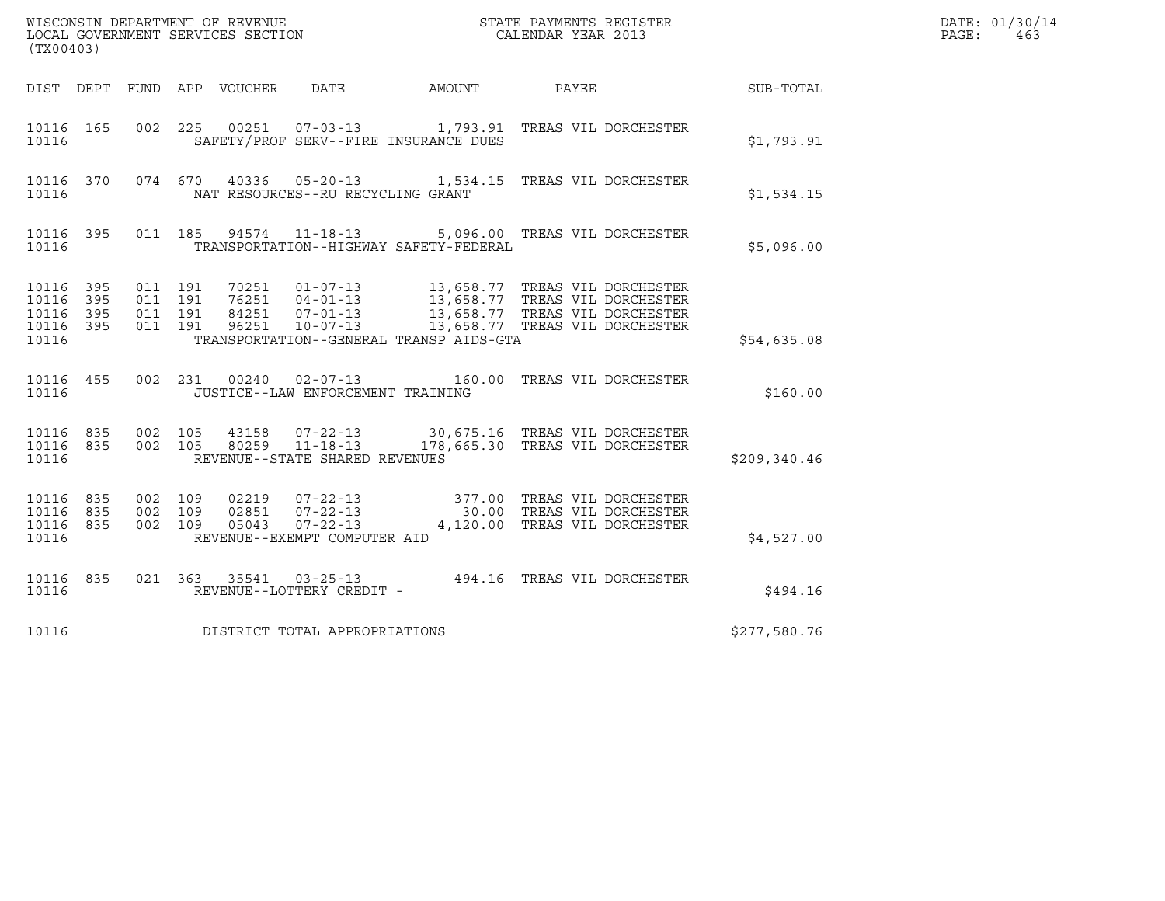| (TX00403)                                                 |                               |                    |                                   |                                         |                                                                                                                                                                                                                                  |               | DATE: 01/30/14<br>PAGE:<br>463 |
|-----------------------------------------------------------|-------------------------------|--------------------|-----------------------------------|-----------------------------------------|----------------------------------------------------------------------------------------------------------------------------------------------------------------------------------------------------------------------------------|---------------|--------------------------------|
|                                                           |                               |                    |                                   |                                         |                                                                                                                                                                                                                                  |               |                                |
| 10116                                                     |                               |                    |                                   | SAFETY/PROF SERV--FIRE INSURANCE DUES   | 10116  165  002  225  00251  07-03-13   1,793.91  TREAS VIL DORCHESTER                                                                                                                                                           | \$1,793.91    |                                |
| 10116                                                     |                               |                    | NAT RESOURCES--RU RECYCLING GRANT |                                         | 10116 370 074 670 40336 05-20-13 1,534.15 TREAS VIL DORCHESTER                                                                                                                                                                   | \$1,534.15    |                                |
| 10116                                                     |                               |                    |                                   | TRANSPORTATION--HIGHWAY SAFETY-FEDERAL  | 10116 395 011 185 94574 11-18-13 5,096.00 TREAS VIL DORCHESTER                                                                                                                                                                   | \$5,096.00    |                                |
| 10116 395<br>10116 395<br>10116 395<br>10116 395<br>10116 | 011 191<br>011 191            | 011 191<br>011 191 |                                   | TRANSPORTATION--GENERAL TRANSP AIDS-GTA | 70251   01-07-13   13,658.77   TREAS   VIL DORCHESTER<br>76251   04-01-13   13,658.77   TREAS   VIL DORCHESTER<br>84251   07-01-13   13,658.77   TREAS   VIL DORCHESTER<br>96251   10-07-13   13,658.77   TREAS   VIL DORCHESTER | \$54,635.08   |                                |
| 10116                                                     |                               |                    | JUSTICE--LAW ENFORCEMENT TRAINING |                                         | 10116 455 002 231 00240 02-07-13 160.00 TREAS VIL DORCHESTER                                                                                                                                                                     | \$160.00      |                                |
| 10116                                                     |                               |                    | REVENUE--STATE SHARED REVENUES    |                                         | $10116 835 002 105 43158 07-22-13 30,675.16 TREAS VIL DORCHESTER10116 835 002 105 80259 11-18-13 178,665.30 TREAS VIL DORCHESTER$                                                                                                | \$209, 340.46 |                                |
| 10116 835<br>10116 835<br>10116 835<br>10116              | 002 109<br>002 109<br>002 109 |                    | REVENUE--EXEMPT COMPUTER AID      |                                         |                                                                                                                                                                                                                                  | \$4,527.00    |                                |
|                                                           |                               |                    |                                   |                                         | $\begin{tabular}{lllllllll} 10116 & 835 & 021 & 363 & 35541 & 03-25-13 & & 494.16 & \texttt{TREAS VIL DORCHESTER} \\ & & & \texttt{REVENUE--LOTTERY CREDIT} & - & & & \end{tabular}$                                             | \$494.16      |                                |
| 10116                                                     |                               |                    | DISTRICT TOTAL APPROPRIATIONS     |                                         |                                                                                                                                                                                                                                  | \$277,580.76  |                                |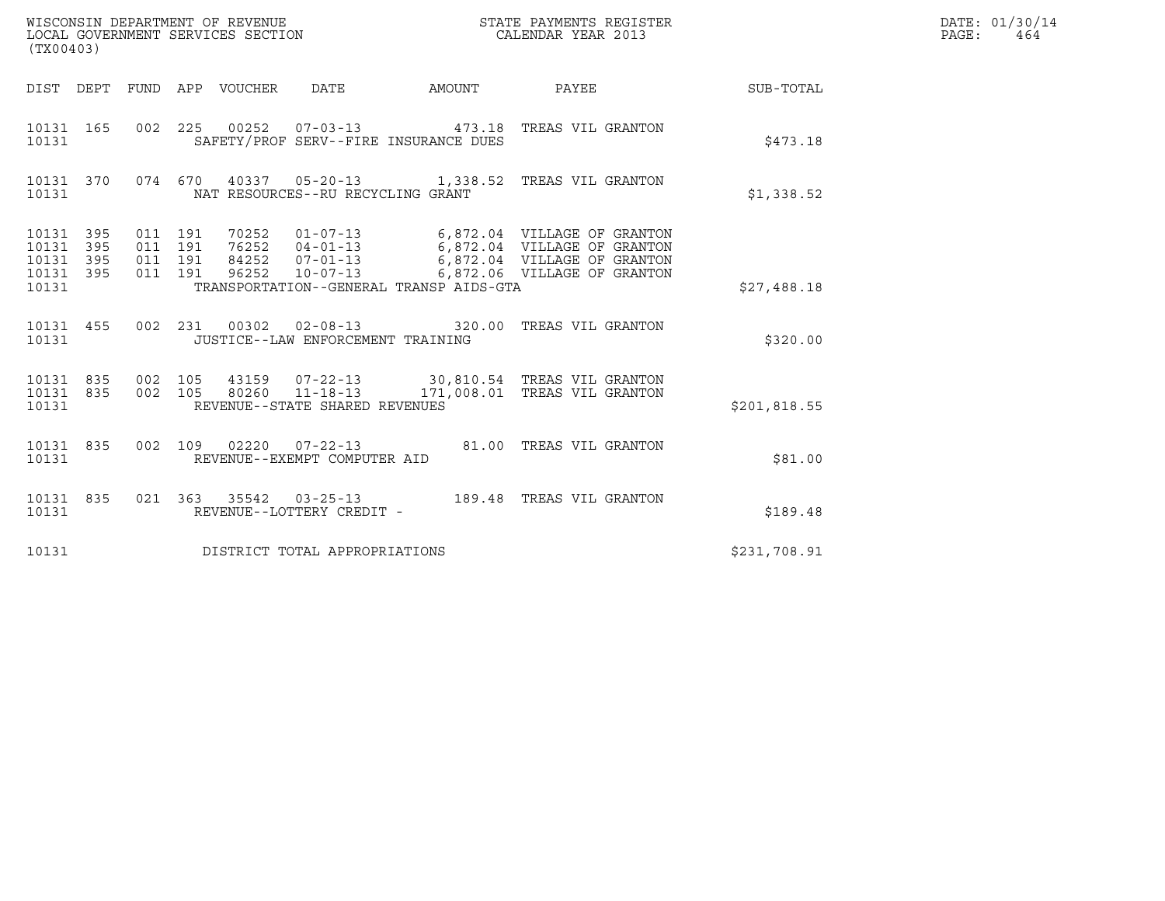| (TX00403)                                 |                          |                    |                    |                                 | WISCONSIN DEPARTMENT OF REVENUE<br>LOCAL GOVERNMENT SERVICES SECTION |                                         | STATE PAYMENTS REGISTER<br>CALENDAR YEAR 2013                                                                                                                                              |               | DATE: 01/30/14<br>PAGE: 464 |
|-------------------------------------------|--------------------------|--------------------|--------------------|---------------------------------|----------------------------------------------------------------------|-----------------------------------------|--------------------------------------------------------------------------------------------------------------------------------------------------------------------------------------------|---------------|-----------------------------|
|                                           |                          |                    |                    | DIST DEPT FUND APP VOUCHER DATE |                                                                      | AMOUNT                                  | PAYEE                                                                                                                                                                                      | SUB-TOTAL     |                             |
| 10131 165<br>10131                        |                          |                    |                    |                                 |                                                                      | SAFETY/PROF SERV--FIRE INSURANCE DUES   | 002  225  00252  07-03-13  473.18  TREAS VIL GRANTON                                                                                                                                       | \$473.18      |                             |
| 10131 370<br>10131                        |                          |                    |                    |                                 | NAT RESOURCES--RU RECYCLING GRANT                                    |                                         | 074 670 40337 05-20-13 1,338.52 TREAS VIL GRANTON                                                                                                                                          | \$1,338.52    |                             |
| 10131<br>10131<br>10131<br>10131<br>10131 | 395<br>395<br>395<br>395 | 011 191<br>011 191 | 011 191<br>011 191 | 96252                           |                                                                      | TRANSPORTATION--GENERAL TRANSP AIDS-GTA | 70252  01-07-13   6,872.04  VILLAGE OF GRANTON<br>76252  04-01-13   6,872.04  VILLAGE OF GRANTON<br>84252  07-01-13   6,872.04  VILLAGE OF GRANTON<br>10-07-13 6,872.06 VILLAGE OF GRANTON | \$27,488.18   |                             |
| 10131 455<br>10131                        |                          |                    |                    |                                 | JUSTICE--LAW ENFORCEMENT TRAINING                                    |                                         | 002 231 00302 02-08-13 320.00 TREAS VIL GRANTON                                                                                                                                            | \$320.00      |                             |
| 10131 835<br>10131                        |                          |                    | 002 105            |                                 | REVENUE--STATE SHARED REVENUES                                       |                                         | 10131 835 002 105 43159 07-22-13 30,810.54 TREAS VIL GRANTON<br>80260  11-18-13  171,008.01 TREAS VIL GRANTON                                                                              | \$201, 818.55 |                             |
| 10131 835<br>10131                        |                          |                    |                    |                                 | REVENUE--EXEMPT COMPUTER AID                                         |                                         | 002 109 02220 07-22-13 81.00 TREAS VIL GRANTON                                                                                                                                             | \$81.00       |                             |
| 10131 835<br>10131                        |                          |                    |                    |                                 | REVENUE--LOTTERY CREDIT -                                            |                                         |                                                                                                                                                                                            | \$189.48      |                             |
| 10131                                     |                          |                    |                    |                                 | DISTRICT TOTAL APPROPRIATIONS                                        |                                         |                                                                                                                                                                                            | \$231,708.91  |                             |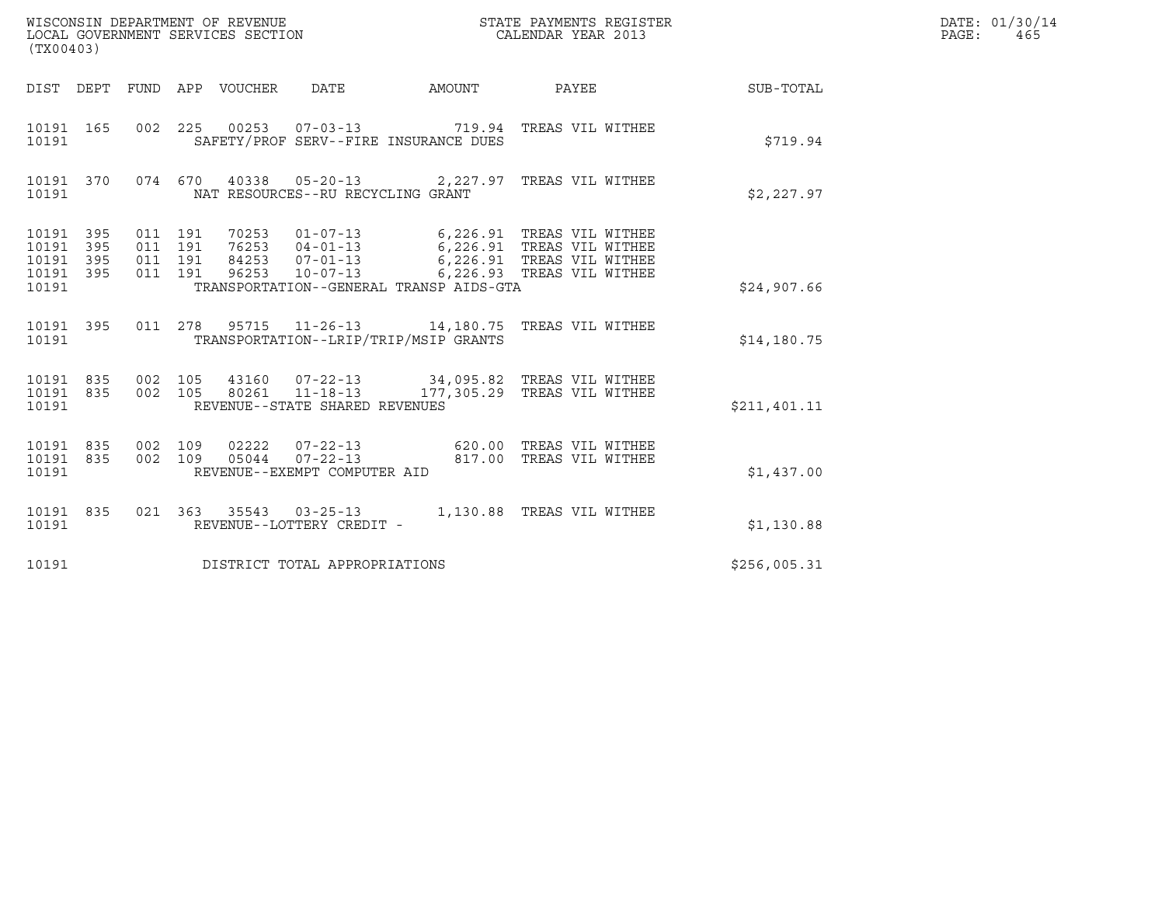| WISCONSIN DEPARTMENT OF REVENUE<br>LOCAL GOVERNMENT SERVICES SECTION<br>(TX00403)                                                                                                                                            |        | STATE PAYMENTS REGISTER<br>CALENDAR YEAR 2013                                                                               |              | DATE: 01/30/14<br>$\mathtt{PAGE}$ :<br>465 |
|------------------------------------------------------------------------------------------------------------------------------------------------------------------------------------------------------------------------------|--------|-----------------------------------------------------------------------------------------------------------------------------|--------------|--------------------------------------------|
| DIST DEPT FUND APP VOUCHER DATE                                                                                                                                                                                              | AMOUNT | PAYEE                                                                                                                       | SUB-TOTAL    |                                            |
| 002 225 00253 07-03-13 719.94 TREAS VIL WITHEE<br>10191 165<br>SAFETY/PROF SERV--FIRE INSURANCE DUES<br>10191                                                                                                                |        |                                                                                                                             | \$719.94     |                                            |
| 10191 370<br>074 670 40338 05-20-13 2,227.97 TREAS VIL WITHEE<br>NAT RESOURCES--RU RECYCLING GRANT<br>10191                                                                                                                  |        |                                                                                                                             | \$2,227.97   |                                            |
| 10191 395<br>011 191<br>70253<br>011 191<br>76253 04-01-13<br>10191<br>395<br>395<br>011 191<br>84253 07-01-13<br>10191<br>$96253$ $10-07-13$<br>011 191<br>10191<br>395<br>10191<br>TRANSPORTATION--GENERAL TRANSP AIDS-GTA |        | 01-07-13 6,226.91 TREAS VIL WITHEE<br>$6,226.91$ TREAS VIL WITHEE<br>6,226.91 TREAS VIL WITHEE<br>6,226.93 TREAS VIL WITHEE | \$24,907.66  |                                            |
| 10191 395<br>011  278  95715  11-26-13  14,180.75  TREAS VIL WITHEE<br>TRANSPORTATION--LRIP/TRIP/MSIP GRANTS<br>10191                                                                                                        |        |                                                                                                                             | \$14,180.75  |                                            |
| 10191 835<br>002 105<br>43160  07-22-13  34,095.82  TREAS VIL WITHEE<br>002 105<br>$11 - 18 - 13$<br>10191 835<br>80261<br>10191<br>REVENUE--STATE SHARED REVENUES                                                           |        | 177,305.29 TREAS VIL WITHEE                                                                                                 | \$211,401.11 |                                            |
| 10191 835<br>002 109<br>02222<br>$07 - 22 - 13$<br>$07 - 22 - 13$<br>002 109<br>05044<br>835<br>10191<br>10191<br>REVENUE--EXEMPT COMPUTER AID                                                                               |        | 620.00 TREAS VIL WITHEE<br>817.00 TREAS VIL WITHEE                                                                          | \$1,437.00   |                                            |
| 021  363  35543  03-25-13  1,130.88  TREAS VIL WITHEE<br>10191 835<br>REVENUE--LOTTERY CREDIT -<br>10191                                                                                                                     |        |                                                                                                                             | \$1,130.88   |                                            |
| 10191<br>DISTRICT TOTAL APPROPRIATIONS                                                                                                                                                                                       |        |                                                                                                                             | \$256,005.31 |                                            |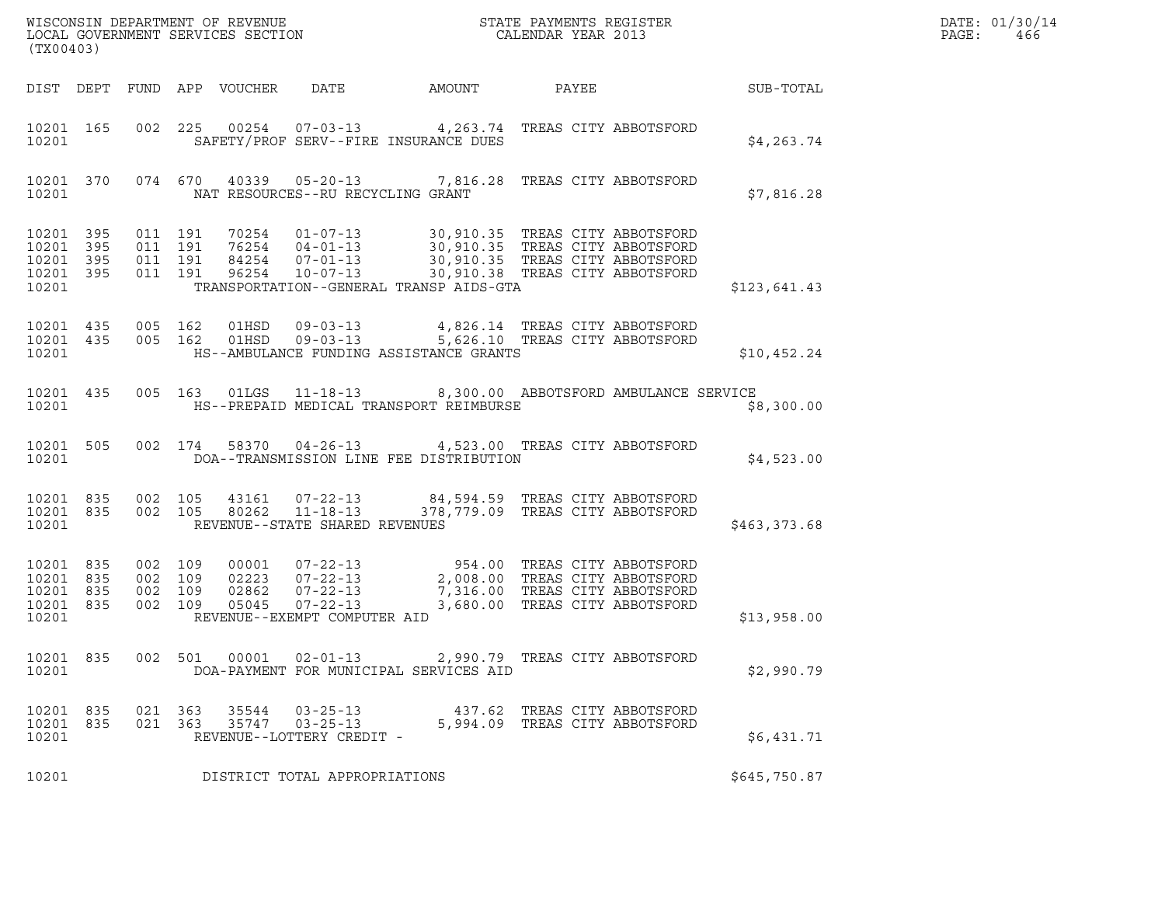| (TX00403)                                                 |                        |                                          |                    |                                 | $\tt WISCONSIM DEPARTMENT OF REVENUE$ $\tt WISCONSIMENT$ SERVICES SECTION $\tt CALENDAR$ YEAR 2013                                                                                                                             |        |                                                                |              | DATE: 01/30/14<br>PAGE:<br>466 |
|-----------------------------------------------------------|------------------------|------------------------------------------|--------------------|---------------------------------|--------------------------------------------------------------------------------------------------------------------------------------------------------------------------------------------------------------------------------|--------|----------------------------------------------------------------|--------------|--------------------------------|
|                                                           |                        |                                          |                    | DIST DEPT FUND APP VOUCHER DATE |                                                                                                                                                                                                                                | AMOUNT | PAYEE                                                          | SUB-TOTAL    |                                |
| 10201                                                     | 10201 165              |                                          |                    |                                 | 002  225  00254  07-03-13  4,263.74  TREAS CITY ABBOTSFORD<br>SAFETY/PROF SERV--FIRE INSURANCE DUES                                                                                                                            |        |                                                                | \$4,263.74   |                                |
| 10201                                                     |                        |                                          |                    |                                 | 10201 370 074 670 40339 05-20-13 7,816.28 TREAS CITY ABBOTSFORD<br>NAT RESOURCES--RU RECYCLING GRANT                                                                                                                           |        |                                                                | \$7,816.28   |                                |
| 10201 395<br>10201<br>10201 395<br>10201 395<br>10201     | 395                    | 011 191<br>011 191                       | 011 191<br>011 191 |                                 | TRANSPORTATION--GENERAL TRANSP AIDS-GTA                                                                                                                                                                                        |        |                                                                | \$123,641.43 |                                |
| 10201                                                     | 10201 435<br>10201 435 |                                          |                    |                                 | 005 162 01HSD 09-03-13 4,826.14 TREAS CITY ABBOTSFORD<br>005 162 01HSD 09-03-13 5,626.10 TREAS CITY ABBOTSFORD<br>HS--AMBULANCE FUNDING ASSISTANCE GRANTS                                                                      |        |                                                                | \$10,452.24  |                                |
| 10201                                                     |                        |                                          |                    |                                 | 10201 435 005 163 01LGS 11-18-13 8,300.00 ABBOTSFORD AMBULANCE SERVICE<br>HS--PREPAID MEDICAL TRANSPORT REIMBURSE                                                                                                              |        |                                                                | \$8,300.00   |                                |
| 10201                                                     |                        |                                          |                    |                                 | 10201 505 002 174 58370 04-26-13 4,523.00 TREAS CITY ABBOTSFORD<br>DOA--TRANSMISSION LINE FEE DISTRIBUTION                                                                                                                     |        |                                                                | \$4,523.00   |                                |
| 10201 835<br>10201                                        |                        | 10201 835 002 105<br>002 105             |                    |                                 | REVENUE--STATE SHARED REVENUES                                                                                                                                                                                                 |        |                                                                | \$463,373.68 |                                |
| 10201 835<br>10201 835<br>10201 835<br>10201 835<br>10201 |                        | 002 109<br>002 109<br>002 109<br>002 109 |                    |                                 | 00001 07-22-13 954.00 TREAS CITY ABBOTSFORD<br>02223 07-22-13 2,008.00 TREAS CITY ABBOTSFORD<br>02862 07-22-13 7,316.00 TREAS CITY ABBOTSFORD<br>05045 07-22-13 3,680.00 TREAS CITY ABBOTSFORD<br>REVENUE--EXEMPT COMPUTER AID |        |                                                                | \$13,958.00  |                                |
| 10201 835<br>10201                                        |                        |                                          | 002 501            |                                 | 00001  02-01-13<br>DOA-PAYMENT FOR MUNICIPAL SERVICES AID                                                                                                                                                                      |        | 2,990.79   TREAS CITY ABBOTSFORD                               | \$2,990.79   |                                |
| 10201 835<br>10201 835<br>10201                           |                        | 021 363<br>021 363                       |                    |                                 | 35544 03-25-13<br>35747 03-25-13<br>REVENUE--LOTTERY CREDIT -                                                                                                                                                                  |        | 437.62 TREAS CITY ABBOTSFORD<br>5,994.09 TREAS CITY ABBOTSFORD | \$6,431.71   |                                |
| 10201                                                     |                        |                                          |                    |                                 | DISTRICT TOTAL APPROPRIATIONS                                                                                                                                                                                                  |        |                                                                | \$645,750.87 |                                |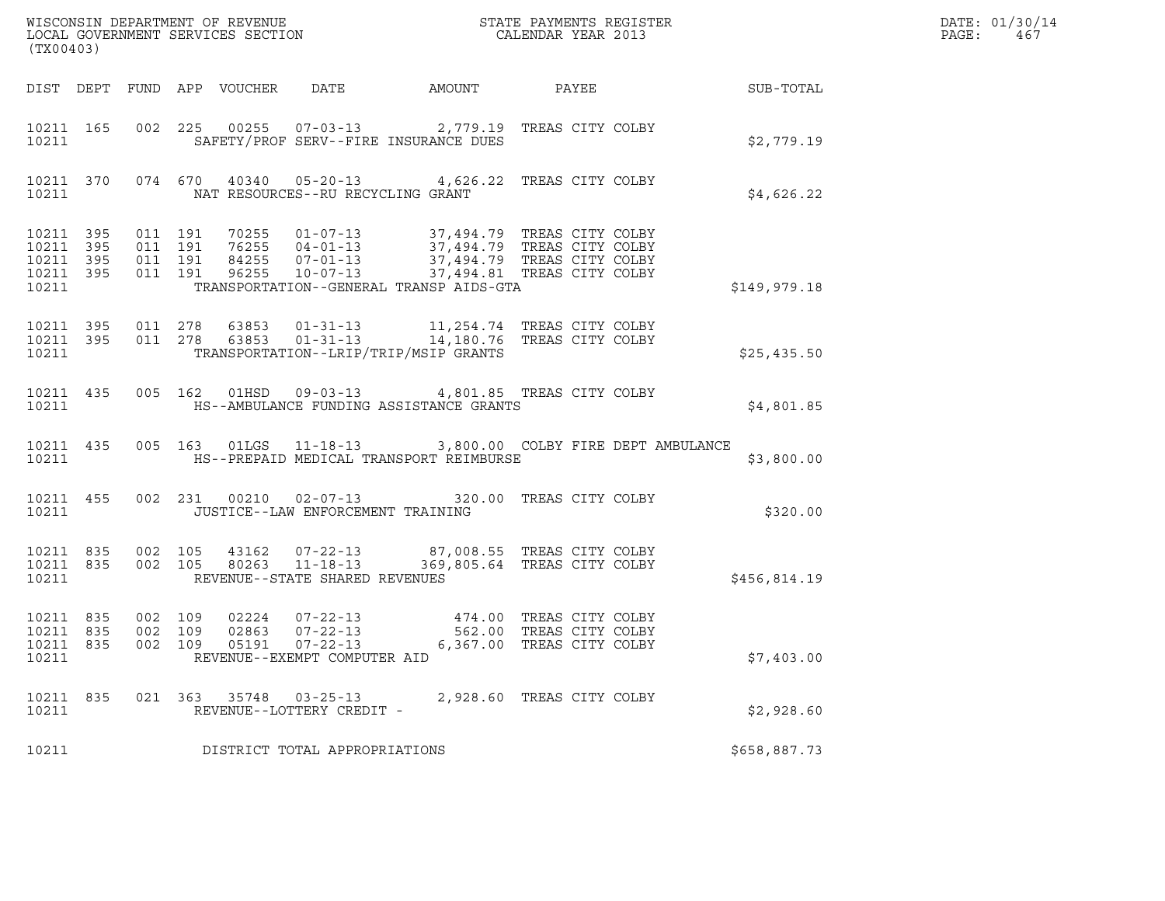| (TX00403)                                                         |                               |  |                                                                                                                                                                                                                                                         |                           |  | DATE: 01/30/14<br>PAGE:<br>467 |  |
|-------------------------------------------------------------------|-------------------------------|--|---------------------------------------------------------------------------------------------------------------------------------------------------------------------------------------------------------------------------------------------------------|---------------------------|--|--------------------------------|--|
|                                                                   |                               |  |                                                                                                                                                                                                                                                         |                           |  |                                |  |
| 10211                                                             |                               |  | 10211 165 002 225 00255 07-03-13 2,779.19 TREAS CITY COLBY<br>SAFETY/PROF SERV--FIRE INSURANCE DUES                                                                                                                                                     |                           |  | \$2,779.19                     |  |
| 10211                                                             |                               |  | 10211 370 074 670 40340 05-20-13 4,626.22 TREAS CITY COLBY<br>NAT RESOURCES--RU RECYCLING GRANT                                                                                                                                                         |                           |  | \$4,626.22                     |  |
| 10211 395 011 191<br>10211 395<br>10211 395<br>10211 395<br>10211 | 011 191<br>011 191<br>011 191 |  | 70255  01-07-13  37,494.79  TREAS CITY COLBY<br>76255  04-01-13  37,494.79  TREAS CITY COLBY<br>84255  07-01-13  37,494.79  TREAS CITY COLBY<br>96255  10-07-13  37,494.81  TREAS CITY COLBY<br>TRANSPORTATION--GENERAL TRANSP AIDS-GTA                 |                           |  | \$149,979.18                   |  |
| 10211 395<br>10211 395<br>10211                                   |                               |  | 011  278  63853  01-31-13   11,254.74  TREAS CITY COLBY<br>011  278  63853  01-31-13   14,180.76  TREAS CITY COLBY<br>TRANSPORTATION--LRIP/TRIP/MSIP GRANTS                                                                                             |                           |  | \$25,435.50                    |  |
|                                                                   |                               |  | 10211 435 005 162 01HSD 09-03-13 4,801.85 TREAS CITY COLBY<br>10211 HS--AMBULANCE FUNDING ASSISTANCE GRANTS                                                                                                                                             |                           |  | \$4,801.85                     |  |
| 10211                                                             |                               |  | 10211 435 005 163 01LGS 11-18-13 3,800.00 COLBY FIRE DEPT AMBULANCE<br>HS--PREPAID MEDICAL TRANSPORT REIMBURSE                                                                                                                                          |                           |  | \$3,800.00                     |  |
| 10211                                                             |                               |  | 10211 455 002 231 00210 02-07-13 320.00 TREAS CITY COLBY<br>JUSTICE--LAW ENFORCEMENT TRAINING                                                                                                                                                           |                           |  | \$320.00                       |  |
|                                                                   |                               |  | $\begin{array}{cccccccc} 10211 & 835 & 002 & 105 & 43162 & 07-22-13 & & 87,008.55 & \text{TREAS CITY COLBY} \\ 10211 & 835 & 002 & 105 & 80263 & 11-18-13 & & 369,805.64 & \text{TREAS CITY COLBY} \end{array}$<br>10211 REVENUE--STATE SHARED REVENUES |                           |  | \$456,814.19                   |  |
| 10211 835<br>10211 835<br>10211 835<br>10211                      | 002 109<br>002 109            |  | 002 109 05191 07-22-13<br>REVENUE--EXEMPT COMPUTER AID                                                                                                                                                                                                  | 6,367.00 TREAS CITY COLBY |  | \$7,403.00                     |  |
| 10211 835<br>10211                                                |                               |  | 021 363 35748 03-25-13<br>REVENUE--LOTTERY CREDIT -                                                                                                                                                                                                     | 2,928.60 TREAS CITY COLBY |  | \$2,928.60                     |  |
| 10211                                                             |                               |  | DISTRICT TOTAL APPROPRIATIONS                                                                                                                                                                                                                           |                           |  | \$658,887.73                   |  |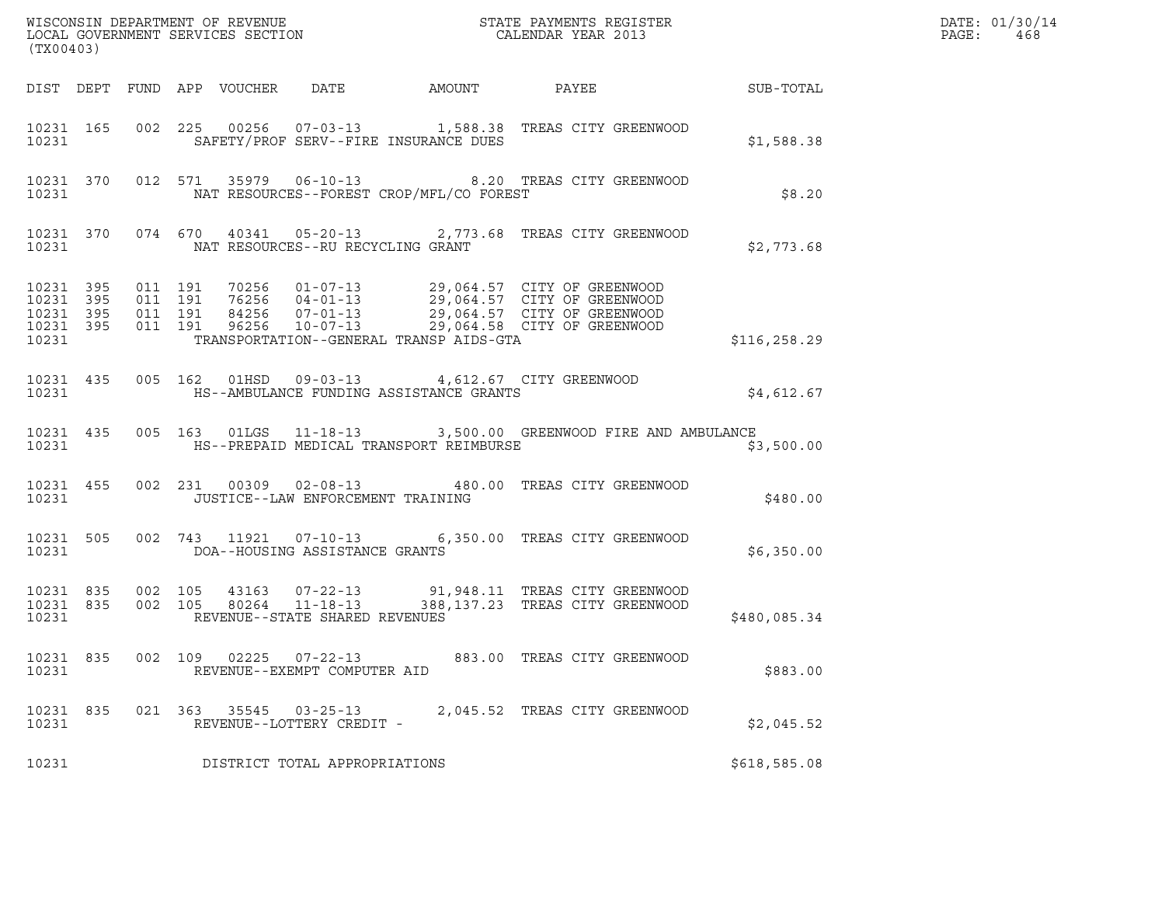| (TX00403)                                    |                                         |         |               |                                                     |                                                                                                     |                                                                                                                                                                                                  |              | DATE: 01/30/14<br>PAGE:<br>468 |
|----------------------------------------------|-----------------------------------------|---------|---------------|-----------------------------------------------------|-----------------------------------------------------------------------------------------------------|--------------------------------------------------------------------------------------------------------------------------------------------------------------------------------------------------|--------------|--------------------------------|
|                                              |                                         |         |               |                                                     |                                                                                                     |                                                                                                                                                                                                  |              |                                |
| 10231                                        |                                         |         |               |                                                     | SAFETY/PROF SERV--FIRE INSURANCE DUES                                                               | 10231 165 002 225 00256 07-03-13 1,588.38 TREAS CITY GREENWOOD                                                                                                                                   | \$1,588.38   |                                |
| 10231                                        |                                         |         |               |                                                     | NAT RESOURCES--FOREST CROP/MFL/CO FOREST                                                            | 10231 370 012 571 35979 06-10-13 8.20 TREAS CITY GREENWOOD                                                                                                                                       | \$8.20       |                                |
| 10231                                        |                                         |         |               | NAT RESOURCES--RU RECYCLING GRANT                   |                                                                                                     | 10231 370 074 670 40341 05-20-13 2,773.68 TREAS CITY GREENWOOD                                                                                                                                   | \$2,773.68   |                                |
| 10231 395<br>10231 395<br>10231 395<br>10231 | 10231 395 011 191<br>011 191<br>011 191 | 011 191 |               |                                                     | TRANSPORTATION--GENERAL TRANSP AIDS-GTA                                                             | 70256  01-07-13  29,064.57  CITY OF GREENWOOD<br>76256  04-01-13  29,064.57  CITY OF GREENWOOD<br>84256  07-01-13  29,064.57  CITY OF GREENWOOD<br>96256  10-07-13  29,064.58  CITY OF GREENWOOD | \$116,258.29 |                                |
| 10231                                        |                                         |         |               |                                                     | 10231 435 005 162 01HSD 09-03-13 4,612.67 CITY GREENWOOD<br>HS--AMBULANCE FUNDING ASSISTANCE GRANTS |                                                                                                                                                                                                  | \$4,612.67   |                                |
| 10231                                        |                                         |         |               |                                                     | HS--PREPAID MEDICAL TRANSPORT REIMBURSE                                                             | 10231 435 005 163 01LGS 11-18-13 3,500.00 GREENWOOD FIRE AND AMBULANCE                                                                                                                           | \$3,500.00   |                                |
| 10231 455<br>10231                           |                                         |         |               | JUSTICE--LAW ENFORCEMENT TRAINING                   |                                                                                                     | 002 231 00309 02-08-13 480.00 TREAS CITY GREENWOOD                                                                                                                                               | \$480.00     |                                |
| 10231 505<br>10231                           |                                         |         |               | DOA--HOUSING ASSISTANCE GRANTS                      |                                                                                                     | 002 743 11921 07-10-13 6,350.00 TREAS CITY GREENWOOD                                                                                                                                             | \$6,350.00   |                                |
| 10231 835<br>10231 835<br>10231              |                                         |         |               | REVENUE--STATE SHARED REVENUES                      |                                                                                                     | 002 105 43163 07-22-13 91,948.11 TREAS CITY GREENWOOD<br>002 105 80264 11-18-13 388,137.23 TREAS CITY GREENWOOD                                                                                  | \$480,085.34 |                                |
| 10231 835<br>10231                           |                                         |         | 002 109 02225 | 07-22-13<br>REVENUE--EXEMPT COMPUTER AID            |                                                                                                     | 883.00 TREAS CITY GREENWOOD                                                                                                                                                                      | \$883.00     |                                |
| 10231 835<br>10231                           |                                         |         |               | 021 363 35545 03-25-13<br>REVENUE--LOTTERY CREDIT - |                                                                                                     | 2,045.52 TREAS CITY GREENWOOD                                                                                                                                                                    | \$2,045.52   |                                |
| 10231                                        |                                         |         |               | DISTRICT TOTAL APPROPRIATIONS                       |                                                                                                     |                                                                                                                                                                                                  | \$618,585.08 |                                |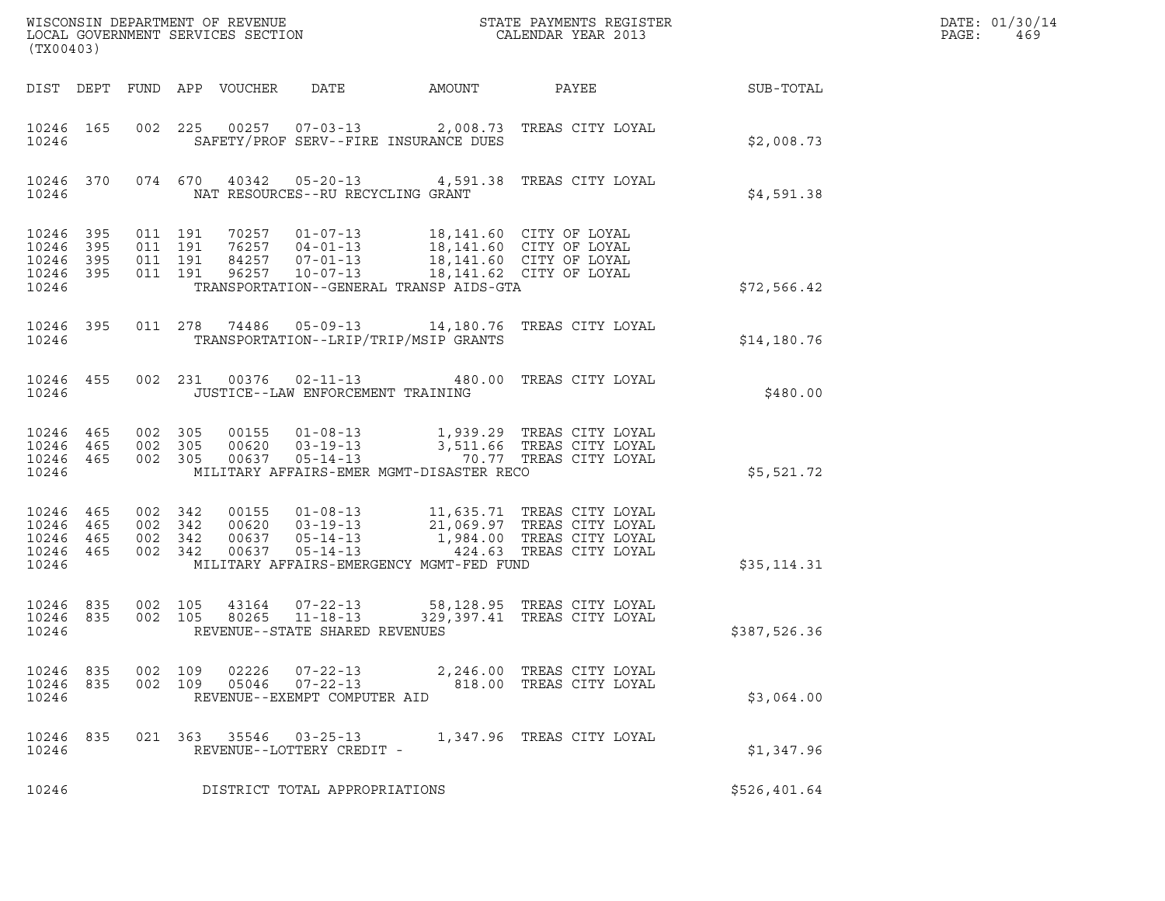| (TX00403)                                                 |     |                                          |                               |                            |                                                     |                                                                                                                                                                                | $\tt WISCONSIM DEPARTMENT OF REVENUE$ $\tt WISCONSIMENT$ SERVICES SECTION $\tt CALENDAR$ YEAR 2013                                                                                           |                  | DATE: 01/30/14<br>PAGE:<br>469 |
|-----------------------------------------------------------|-----|------------------------------------------|-------------------------------|----------------------------|-----------------------------------------------------|--------------------------------------------------------------------------------------------------------------------------------------------------------------------------------|----------------------------------------------------------------------------------------------------------------------------------------------------------------------------------------------|------------------|--------------------------------|
|                                                           |     |                                          |                               | DIST DEPT FUND APP VOUCHER | DATE                                                | AMOUNT                                                                                                                                                                         | PAYEE                                                                                                                                                                                        | <b>SUB-TOTAL</b> |                                |
| 10246 165<br>10246                                        |     |                                          |                               |                            |                                                     | SAFETY/PROF SERV--FIRE INSURANCE DUES                                                                                                                                          | 002 225 00257 07-03-13 2,008.73 TREAS CITY LOYAL                                                                                                                                             | \$2,008.73       |                                |
| 10246 370<br>10246                                        |     |                                          |                               |                            | NAT RESOURCES--RU RECYCLING GRANT                   |                                                                                                                                                                                | 074 670 40342 05-20-13 4,591.38 TREAS CITY LOYAL                                                                                                                                             | \$4,591.38       |                                |
| 10246 395<br>10246<br>10246 395<br>10246 395<br>10246     | 395 | 011 191                                  | 011 191<br>011 191<br>011 191 |                            | $96257$ $10-07-13$                                  | 70257  01-07-13  18,141.60  CITY OF LOYAL<br>76257  04-01-13  18,141.60  CITY OF LOYAL<br>84257  07-01-13  18,141.60  CITY OF LOYAL<br>TRANSPORTATION--GENERAL TRANSP AIDS-GTA | 18,141.62 CITY OF LOYAL                                                                                                                                                                      | \$72,566.42      |                                |
| 10246 395<br>10246                                        |     |                                          |                               |                            |                                                     | TRANSPORTATION--LRIP/TRIP/MSIP GRANTS                                                                                                                                          | 011  278  74486  05-09-13  14,180.76  TREAS CITY LOYAL                                                                                                                                       | \$14,180.76      |                                |
| 10246 455<br>10246                                        |     |                                          |                               |                            | JUSTICE--LAW ENFORCEMENT TRAINING                   |                                                                                                                                                                                | 002 231 00376 02-11-13 480.00 TREAS CITY LOYAL                                                                                                                                               | \$480.00         |                                |
| 10246 465<br>10246 465<br>10246 465<br>10246              |     | 002 305<br>002 305<br>002 305            |                               |                            |                                                     | MILITARY AFFAIRS-EMER MGMT-DISASTER RECO                                                                                                                                       | 00155  01-08-13   1,939.29  TREAS CITY LOYAL<br>00620  03-19-13   3,511.66  TREAS CITY LOYAL<br>00637  05-14-13   70.77  TREAS CITY LOYAL                                                    | \$5,521.72       |                                |
| 10246 465<br>10246 465<br>10246 465<br>10246 465<br>10246 |     | 002 342<br>002 342<br>002 342<br>002 342 |                               |                            |                                                     | MILITARY AFFAIRS-EMERGENCY MGMT-FED FUND                                                                                                                                       | 00155  01-08-13   11,635.71  TREAS CITY LOYAL<br>00620  03-19-13   21,069.97  TREAS CITY LOYAL<br>00637  05-14-13   1,984.00  TREAS CITY LOYAL<br>00637  05-14-13   424.63  TREAS CITY LOYAL | \$35,114.31      |                                |
| 10246 835<br>10246 835<br>10246                           |     | 002 105<br>002 105                       |                               | 80265                      | $11 - 18 - 13$<br>REVENUE--STATE SHARED REVENUES    |                                                                                                                                                                                | 43164  07-22-13  58,128.95  TREAS CITY LOYAL<br>329,397.41 TREAS CITY LOYAL                                                                                                                  | \$387,526.36     |                                |
| 10246 835<br>10246 835<br>10246                           |     | 002 109<br>002 109                       |                               | 02226<br>05046             | $07 - 22 - 13$<br>REVENUE--EXEMPT COMPUTER AID      |                                                                                                                                                                                | 07-22-13 2,246.00 TREAS CITY LOYAL<br>818.00 TREAS CITY LOYAL                                                                                                                                | \$3,064.00       |                                |
| 10246 835<br>10246                                        |     |                                          |                               |                            | 021 363 35546 03-25-13<br>REVENUE--LOTTERY CREDIT - |                                                                                                                                                                                | 1,347.96 TREAS CITY LOYAL                                                                                                                                                                    | \$1,347.96       |                                |
| 10246                                                     |     |                                          |                               |                            | DISTRICT TOTAL APPROPRIATIONS                       |                                                                                                                                                                                |                                                                                                                                                                                              | \$526,401.64     |                                |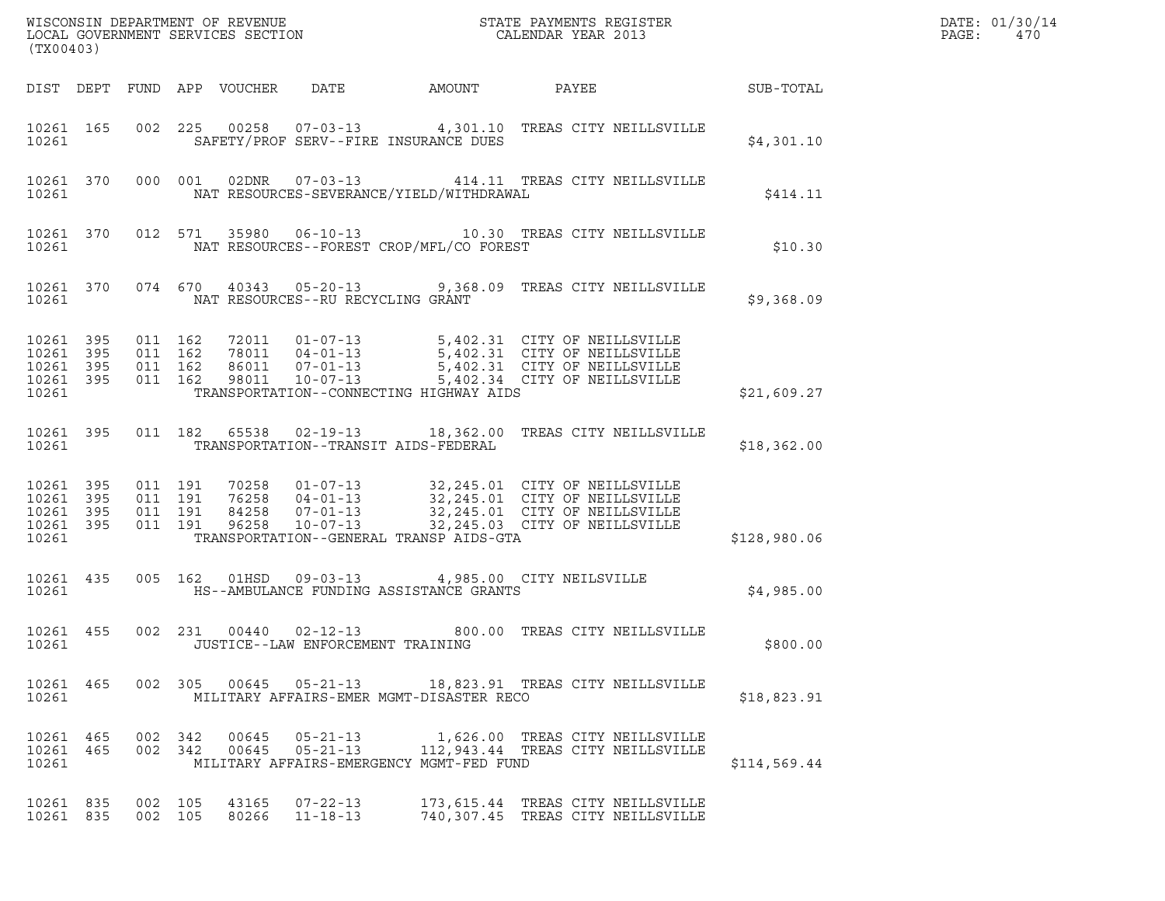| (TX00403)                                                 |           |                    |                               |                            |                                          |        |                                                                                                                                                                                                          |              | DATE: 01/30/14<br>PAGE:<br>470 |
|-----------------------------------------------------------|-----------|--------------------|-------------------------------|----------------------------|------------------------------------------|--------|----------------------------------------------------------------------------------------------------------------------------------------------------------------------------------------------------------|--------------|--------------------------------|
|                                                           |           |                    |                               | DIST DEPT FUND APP VOUCHER | DATE                                     | AMOUNT | PAYEE                                                                                                                                                                                                    | SUB-TOTAL    |                                |
| 10261                                                     | 10261 165 |                    |                               |                            | SAFETY/PROF SERV--FIRE INSURANCE DUES    |        | 002 225 00258 07-03-13 4,301.10 TREAS CITY NEILLSVILLE                                                                                                                                                   | \$4,301.10   |                                |
| 10261                                                     | 10261 370 |                    | 000 001                       |                            | NAT RESOURCES-SEVERANCE/YIELD/WITHDRAWAL |        | 02DNR  07-03-13  414.11 TREAS CITY NEILLSVILLE                                                                                                                                                           | \$414.11     |                                |
| 10261                                                     | 10261 370 |                    |                               |                            | NAT RESOURCES--FOREST CROP/MFL/CO FOREST |        | 012 571 35980 06-10-13 10.30 TREAS CITY NEILLSVILLE                                                                                                                                                      | \$10.30      |                                |
| 10261                                                     |           |                    |                               |                            | NAT RESOURCES--RU RECYCLING GRANT        |        | 10261 370 074 670 40343 05-20-13 9,368.09 TREAS CITY NEILLSVILLE                                                                                                                                         | \$9,368.09   |                                |
| 10261 395<br>10261<br>10261 395<br>10261 395<br>10261     | 395       | 011 162            | 011 162<br>011 162<br>011 162 |                            | TRANSPORTATION--CONNECTING HIGHWAY AIDS  |        | 72011  01-07-13  5,402.31  CITY OF NEILLSVILLE<br>78011  04-01-13  5,402.31  CITY OF NEILLSVILLE<br>86011  07-01-13  5,402.31  CITY OF NEILLSVILLE<br>98011  10-07-13  5,402.34  CITY OF NEILLSVILLE     | \$21,609.27  |                                |
| 10261                                                     | 10261 395 |                    |                               | 011 182 65538              | TRANSPORTATION--TRANSIT AIDS-FEDERAL     |        | 02-19-13 18,362.00 TREAS CITY NEILLSVILLE                                                                                                                                                                | \$18,362.00  |                                |
| 10261 395<br>10261 395<br>10261 395<br>10261 395<br>10261 |           | 011 191<br>011 191 | 011 191<br>011 191            |                            | TRANSPORTATION--GENERAL TRANSP AIDS-GTA  |        | 70258  01-07-13  32,245.01  CITY OF NEILLSVILLE<br>76258  04-01-13  32,245.01  CITY OF NEILLSVILLE<br>84258  07-01-13  32,245.01  CITY OF NEILLSVILLE<br>96258  10-07-13  32,245.03  CITY OF NEILLSVILLE | \$128,980.06 |                                |
| 10261                                                     | 10261 435 |                    |                               | 005 162 01HSD              | HS--AMBULANCE FUNDING ASSISTANCE GRANTS  |        | 09-03-13 4,985.00 CITY NEILSVILLE                                                                                                                                                                        | \$4,985.00   |                                |
| 10261 455<br>10261                                        |           | 002 231            |                               |                            | JUSTICE--LAW ENFORCEMENT TRAINING        |        | 00440  02-12-13  800.00  TREAS CITY NEILLSVILLE                                                                                                                                                          | \$800.00     |                                |
| 10261                                                     |           |                    |                               |                            | MILITARY AFFAIRS-EMER MGMT-DISASTER RECO |        | 10261 465 002 305 00645 05-21-13 18,823.91 TREAS CITY NEILLSVILLE                                                                                                                                        | \$18,823.91  |                                |
| 10261                                                     |           | 10261 465 002 342  |                               |                            | MILITARY AFFAIRS-EMERGENCY MGMT-FED FUND |        | 00645  05-21-13    1,626.00 TREAS CITY NEILLSVILLE<br>10261 465 002 342 00645 05-21-13 112,943.44 TREAS CITY NEILLSVILLE                                                                                 | \$114,569.44 |                                |
| 10261 835                                                 | 10261 835 | 002 105<br>002 105 |                               |                            | 43165 07-22-13<br>80266 11-18-13         |        | 173, 615.44 TREAS CITY NEILLSVILLE<br>740,307.45 TREAS CITY NEILLSVILLE                                                                                                                                  |              |                                |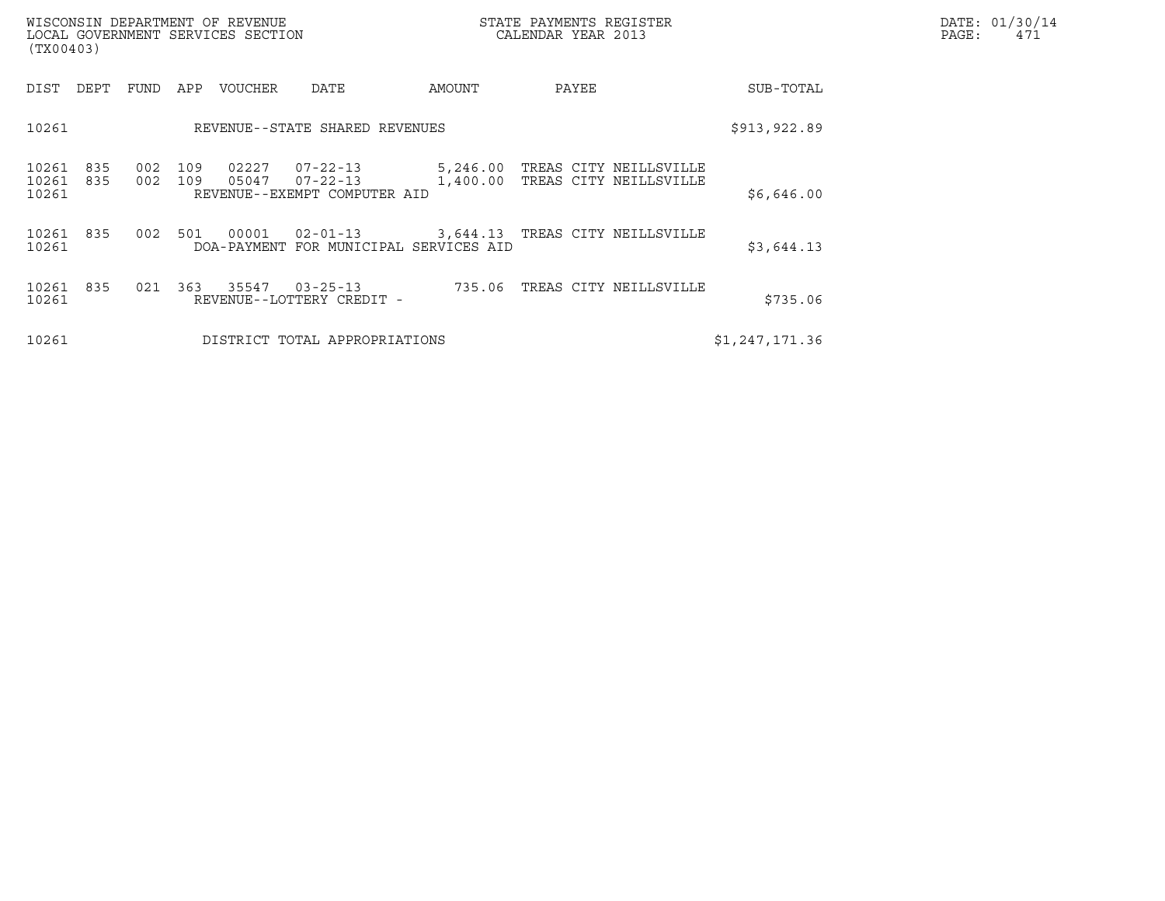| (TX00403)               |            |            |            | WISCONSIN DEPARTMENT OF REVENUE<br>LOCAL GOVERNMENT SERVICES SECTION |                                                      |               | STATE PAYMENTS REGISTER<br>CALENDAR YEAR 2013             |            | DATE: 01/30/14<br>PAGE:<br>471 |
|-------------------------|------------|------------|------------|----------------------------------------------------------------------|------------------------------------------------------|---------------|-----------------------------------------------------------|------------|--------------------------------|
| DIST DEPT               |            | FUND       | APP        | <b>VOUCHER</b>                                                       | DATE                                                 | AMOUNT        | PAYEE                                                     | SUB-TOTAL  |                                |
| 10261                   |            |            |            |                                                                      | REVENUE--STATE SHARED REVENUES                       | \$913, 922.89 |                                                           |            |                                |
| 10261<br>10261<br>10261 | 835<br>835 | 002<br>002 | 109<br>109 | 02227<br>05047                                                       | 07-22-13<br>07-22-13<br>REVENUE--EXEMPT COMPUTER AID | 5,246.00      | TREAS CITY NEILLSVILLE<br>1,400.00 TREAS CITY NEILLSVILLE | \$6,646.00 |                                |
| 10261<br>10261          | 835        | 002        | 501        | 00001<br>DOA-PAYMENT                                                 | $02 - 01 - 13$<br>FOR MUNICIPAL SERVICES AID         |               | 3,644.13 TREAS CITY NEILLSVILLE                           | \$3,644.13 |                                |

| 10261              |  | \$3,644.13 |                                             |  |                               |                |  |
|--------------------|--|------------|---------------------------------------------|--|-------------------------------|----------------|--|
| 10261 835<br>10261 |  | 021 363    | 35547 03-25-13<br>REVENUE--LOTTERY CREDIT - |  | 735.06 TREAS CITY NEILLSVILLE | \$735.06       |  |
| 10261              |  |            | DISTRICT TOTAL APPROPRIATIONS               |  |                               | \$1,247,171.36 |  |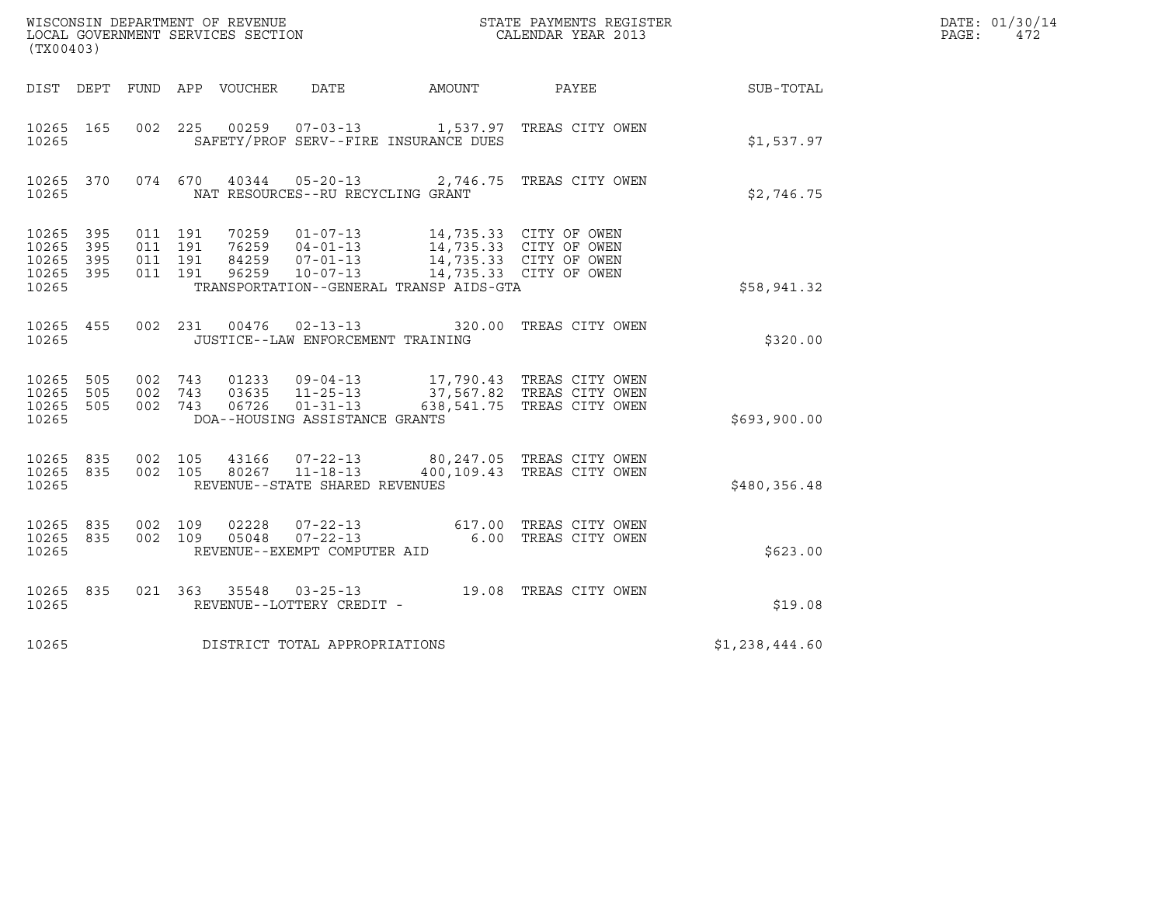| $\tt WISCONSIM DEPARTMENT OF REVENUE$ $\tt WISCONMIN SERS REGISTER$ $\tt LOCAL BODAR YEAR$ $2013$<br>(TX00403) |                   |                                          |  |                            |                                                  |                                                                                                                                                                                            |                                                                                                     |              | DATE: 01/30/14<br>$\mathtt{PAGE}$ :<br>472 |
|----------------------------------------------------------------------------------------------------------------|-------------------|------------------------------------------|--|----------------------------|--------------------------------------------------|--------------------------------------------------------------------------------------------------------------------------------------------------------------------------------------------|-----------------------------------------------------------------------------------------------------|--------------|--------------------------------------------|
|                                                                                                                |                   |                                          |  | DIST DEPT FUND APP VOUCHER |                                                  | DATE AMOUNT PAYEE                                                                                                                                                                          |                                                                                                     | SUB-TOTAL    |                                            |
| 10265 165<br>10265                                                                                             |                   |                                          |  |                            |                                                  | SAFETY/PROF SERV--FIRE INSURANCE DUES                                                                                                                                                      | 002  225  00259  07-03-13   1,537.97  TREAS CITY OWEN                                               | \$1,537.97   |                                            |
| 10265 370<br>10265                                                                                             |                   |                                          |  |                            | NAT RESOURCES--RU RECYCLING GRANT                |                                                                                                                                                                                            | 074  670  40344  05-20-13  2,746.75  TREAS CITY OWEN                                                | \$2,746.75   |                                            |
| 10265 395<br>10265<br>10265<br>10265<br>10265                                                                  | 395<br>395<br>395 | 011 191<br>011 191<br>011 191<br>011 191 |  |                            |                                                  | 76255 04-01-13<br>84259 07-01-13 14,735.33 CITY OF OWEN<br>84259  07-01-13  14,735.33  CITY OF OWEN<br>96259  10-07-13  14,735.33  CITY OF OWEN<br>TRANSPORTATION--GENERAL TRANSP AIDS-GTA | 14,735.33 CITY OF OWEN                                                                              | \$58,941.32  |                                            |
| 10265 455<br>10265                                                                                             |                   |                                          |  |                            | JUSTICE--LAW ENFORCEMENT TRAINING                |                                                                                                                                                                                            | 002  231  00476  02-13-13  320.00  TREAS CITY OWEN                                                  | \$320.00     |                                            |
| 10265<br>10265<br>10265<br>10265                                                                               | 505<br>505<br>505 | 002 743<br>002 743<br>002 743            |  | 06726                      | $01 - 31 - 13$<br>DOA--HOUSING ASSISTANCE GRANTS |                                                                                                                                                                                            | 17,790.43 TREAS CITY OWEN<br>03635 11-25-13 37,567.82 TREAS CITY OWEN<br>638,541.75 TREAS CITY OWEN | \$693,900.00 |                                            |
| 10265<br>10265 835<br>10265                                                                                    | 835               | 002 105<br>002 105                       |  | 43166                      | 80267 11-18-13<br>REVENUE--STATE SHARED REVENUES |                                                                                                                                                                                            | 07-22-13 80,247.05 TREAS CITY OWEN<br>400,109.43 TREAS CITY OWEN                                    | \$480,356.48 |                                            |
| 10265 835<br>10265<br>10265                                                                                    | 835               | 002 109<br>002 109                       |  | 02228<br>05048             | REVENUE--EXEMPT COMPUTER AID                     |                                                                                                                                                                                            | 07-22-13 617.00 TREAS CITY OWEN<br>07-22-13 6.00 TREAS CITY OWEN                                    | \$623.00     |                                            |
| 10265 835<br>10265                                                                                             |                   |                                          |  |                            | REVENUE--LOTTERY CREDIT -                        |                                                                                                                                                                                            | 021 363 35548 03-25-13 19.08 TREAS CITY OWEN                                                        | \$19.08      |                                            |
| 10265                                                                                                          |                   |                                          |  |                            | DISTRICT TOTAL APPROPRIATIONS                    | \$1,238,444.60                                                                                                                                                                             |                                                                                                     |              |                                            |